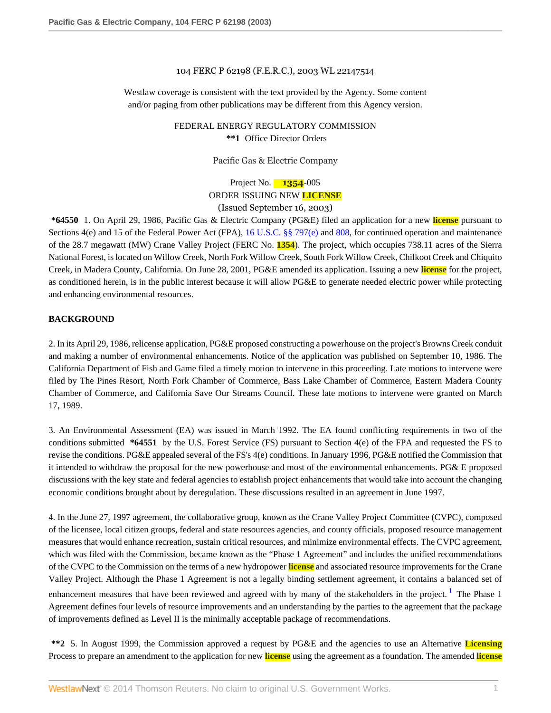### 104 FERC P 62198 (F.E.R.C.), 2003 WL 22147514

Westlaw coverage is consistent with the text provided by the Agency. Some content and/or paging from other publications may be different from this Agency version.

> FEDERAL ENERGY REGULATORY COMMISSION **\*\*1** Office Director Orders

> > Pacific Gas & Electric Company

Project No. **1354**-005 ORDER ISSUING NEW **LICENSE** (Issued September 16, 2003)

**\*64550** 1. On April 29, 1986, Pacific Gas & Electric Company (PG&E) filed an application for a new **license** pursuant to Sections 4(e) and 15 of the Federal Power Act (FPA), [16 U.S.C. §§ 797\(e\)](http://www.westlaw.com/Link/Document/FullText?findType=L&pubNum=1000546&cite=16USCAS797&originatingDoc=Ie835b436391d11dbb0d3b726c66cf290&refType=LQ&originationContext=document&vr=3.0&rs=cblt1.0&transitionType=DocumentItem&contextData=(sc.Search)) and [808](http://www.westlaw.com/Link/Document/FullText?findType=L&pubNum=1000546&cite=16USCAS808&originatingDoc=Ie835b436391d11dbb0d3b726c66cf290&refType=LQ&originationContext=document&vr=3.0&rs=cblt1.0&transitionType=DocumentItem&contextData=(sc.Search)), for continued operation and maintenance of the 28.7 megawatt (MW) Crane Valley Project (FERC No. **1354**). The project, which occupies 738.11 acres of the Sierra National Forest, is located on Willow Creek, North Fork Willow Creek, South Fork Willow Creek, Chilkoot Creek and Chiquito Creek, in Madera County, California. On June 28, 2001, PG&E amended its application. Issuing a new **license** for the project, as conditioned herein, is in the public interest because it will allow PG&E to generate needed electric power while protecting and enhancing environmental resources.

### **BACKGROUND**

2. In its April 29, 1986, relicense application, PG&E proposed constructing a powerhouse on the project's Browns Creek conduit and making a number of environmental enhancements. Notice of the application was published on September 10, 1986. The California Department of Fish and Game filed a timely motion to intervene in this proceeding. Late motions to intervene were filed by The Pines Resort, North Fork Chamber of Commerce, Bass Lake Chamber of Commerce, Eastern Madera County Chamber of Commerce, and California Save Our Streams Council. These late motions to intervene were granted on March 17, 1989.

3. An Environmental Assessment (EA) was issued in March 1992. The EA found conflicting requirements in two of the conditions submitted **\*64551** by the U.S. Forest Service (FS) pursuant to Section 4(e) of the FPA and requested the FS to revise the conditions. PG&E appealed several of the FS's 4(e) conditions. In January 1996, PG&E notified the Commission that it intended to withdraw the proposal for the new powerhouse and most of the environmental enhancements. PG& E proposed discussions with the key state and federal agencies to establish project enhancements that would take into account the changing economic conditions brought about by deregulation. These discussions resulted in an agreement in June 1997.

4. In the June 27, 1997 agreement, the collaborative group, known as the Crane Valley Project Committee (CVPC), composed of the licensee, local citizen groups, federal and state resources agencies, and county officials, proposed resource management measures that would enhance recreation, sustain critical resources, and minimize environmental effects. The CVPC agreement, which was filed with the Commission, became known as the "Phase 1 Agreement" and includes the unified recommendations of the CVPC to the Commission on the terms of a new hydropower **license** and associated resource improvements for the Crane Valley Project. Although the Phase 1 Agreement is not a legally binding settlement agreement, it contains a balanced set of enhancement measures that have been reviewed and agreed with by many of the stakeholders in the project.<sup>[1](#page-42-0)</sup> The Phase 1 Agreement defines four levels of resource improvements and an understanding by the parties to the agreement that the package of improvements defined as Level II is the minimally acceptable package of recommendations.

<span id="page-0-0"></span>**\*\*2** 5. In August 1999, the Commission approved a request by PG&E and the agencies to use an Alternative **Licensing** Process to prepare an amendment to the application for new **license** using the agreement as a foundation. The amended **license**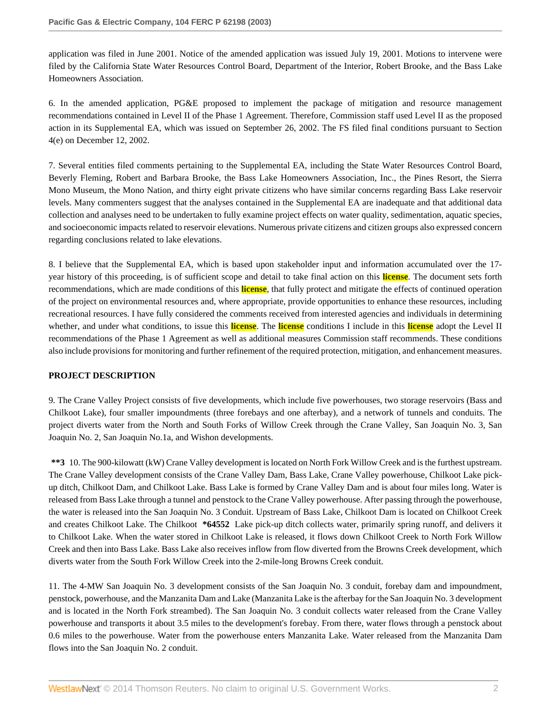application was filed in June 2001. Notice of the amended application was issued July 19, 2001. Motions to intervene were filed by the California State Water Resources Control Board, Department of the Interior, Robert Brooke, and the Bass Lake Homeowners Association.

6. In the amended application, PG&E proposed to implement the package of mitigation and resource management recommendations contained in Level II of the Phase 1 Agreement. Therefore, Commission staff used Level II as the proposed action in its Supplemental EA, which was issued on September 26, 2002. The FS filed final conditions pursuant to Section 4(e) on December 12, 2002.

7. Several entities filed comments pertaining to the Supplemental EA, including the State Water Resources Control Board, Beverly Fleming, Robert and Barbara Brooke, the Bass Lake Homeowners Association, Inc., the Pines Resort, the Sierra Mono Museum, the Mono Nation, and thirty eight private citizens who have similar concerns regarding Bass Lake reservoir levels. Many commenters suggest that the analyses contained in the Supplemental EA are inadequate and that additional data collection and analyses need to be undertaken to fully examine project effects on water quality, sedimentation, aquatic species, and socioeconomic impacts related to reservoir elevations. Numerous private citizens and citizen groups also expressed concern regarding conclusions related to lake elevations.

8. I believe that the Supplemental EA, which is based upon stakeholder input and information accumulated over the 17 year history of this proceeding, is of sufficient scope and detail to take final action on this **license**. The document sets forth recommendations, which are made conditions of this **license**, that fully protect and mitigate the effects of continued operation of the project on environmental resources and, where appropriate, provide opportunities to enhance these resources, including recreational resources. I have fully considered the comments received from interested agencies and individuals in determining whether, and under what conditions, to issue this **license**. The **license** conditions I include in this **license** adopt the Level II recommendations of the Phase 1 Agreement as well as additional measures Commission staff recommends. These conditions also include provisions for monitoring and further refinement of the required protection, mitigation, and enhancement measures.

# **PROJECT DESCRIPTION**

9. The Crane Valley Project consists of five developments, which include five powerhouses, two storage reservoirs (Bass and Chilkoot Lake), four smaller impoundments (three forebays and one afterbay), and a network of tunnels and conduits. The project diverts water from the North and South Forks of Willow Creek through the Crane Valley, San Joaquin No. 3, San Joaquin No. 2, San Joaquin No.1a, and Wishon developments.

**\*\*3** 10. The 900-kilowatt (kW) Crane Valley development is located on North Fork Willow Creek and is the furthest upstream. The Crane Valley development consists of the Crane Valley Dam, Bass Lake, Crane Valley powerhouse, Chilkoot Lake pickup ditch, Chilkoot Dam, and Chilkoot Lake. Bass Lake is formed by Crane Valley Dam and is about four miles long. Water is released from Bass Lake through a tunnel and penstock to the Crane Valley powerhouse. After passing through the powerhouse, the water is released into the San Joaquin No. 3 Conduit. Upstream of Bass Lake, Chilkoot Dam is located on Chilkoot Creek and creates Chilkoot Lake. The Chilkoot **\*64552** Lake pick-up ditch collects water, primarily spring runoff, and delivers it to Chilkoot Lake. When the water stored in Chilkoot Lake is released, it flows down Chilkoot Creek to North Fork Willow Creek and then into Bass Lake. Bass Lake also receives inflow from flow diverted from the Browns Creek development, which diverts water from the South Fork Willow Creek into the 2-mile-long Browns Creek conduit.

11. The 4-MW San Joaquin No. 3 development consists of the San Joaquin No. 3 conduit, forebay dam and impoundment, penstock, powerhouse, and the Manzanita Dam and Lake (Manzanita Lake is the afterbay for the San Joaquin No. 3 development and is located in the North Fork streambed). The San Joaquin No. 3 conduit collects water released from the Crane Valley powerhouse and transports it about 3.5 miles to the development's forebay. From there, water flows through a penstock about 0.6 miles to the powerhouse. Water from the powerhouse enters Manzanita Lake. Water released from the Manzanita Dam flows into the San Joaquin No. 2 conduit.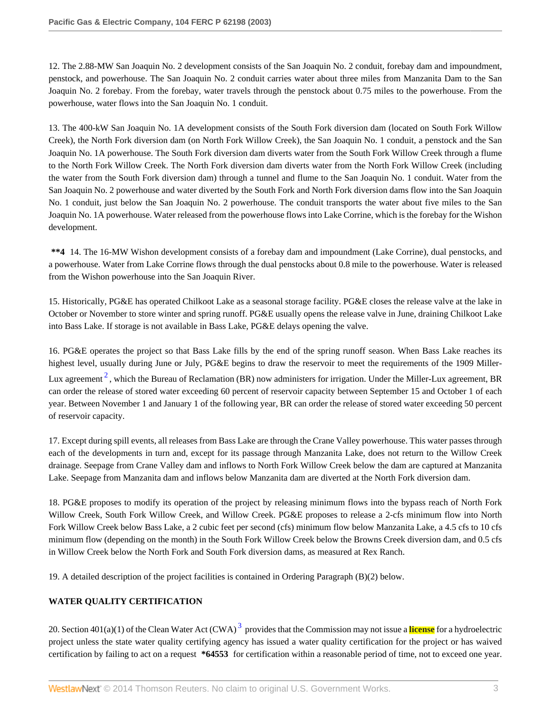12. The 2.88-MW San Joaquin No. 2 development consists of the San Joaquin No. 2 conduit, forebay dam and impoundment, penstock, and powerhouse. The San Joaquin No. 2 conduit carries water about three miles from Manzanita Dam to the San Joaquin No. 2 forebay. From the forebay, water travels through the penstock about 0.75 miles to the powerhouse. From the powerhouse, water flows into the San Joaquin No. 1 conduit.

13. The 400-kW San Joaquin No. 1A development consists of the South Fork diversion dam (located on South Fork Willow Creek), the North Fork diversion dam (on North Fork Willow Creek), the San Joaquin No. 1 conduit, a penstock and the San Joaquin No. 1A powerhouse. The South Fork diversion dam diverts water from the South Fork Willow Creek through a flume to the North Fork Willow Creek. The North Fork diversion dam diverts water from the North Fork Willow Creek (including the water from the South Fork diversion dam) through a tunnel and flume to the San Joaquin No. 1 conduit. Water from the San Joaquin No. 2 powerhouse and water diverted by the South Fork and North Fork diversion dams flow into the San Joaquin No. 1 conduit, just below the San Joaquin No. 2 powerhouse. The conduit transports the water about five miles to the San Joaquin No. 1A powerhouse. Water released from the powerhouse flows into Lake Corrine, which is the forebay for the Wishon development.

**\*\*4** 14. The 16-MW Wishon development consists of a forebay dam and impoundment (Lake Corrine), dual penstocks, and a powerhouse. Water from Lake Corrine flows through the dual penstocks about 0.8 mile to the powerhouse. Water is released from the Wishon powerhouse into the San Joaquin River.

15. Historically, PG&E has operated Chilkoot Lake as a seasonal storage facility. PG&E closes the release valve at the lake in October or November to store winter and spring runoff. PG&E usually opens the release valve in June, draining Chilkoot Lake into Bass Lake. If storage is not available in Bass Lake, PG&E delays opening the valve.

<span id="page-2-0"></span>16. PG&E operates the project so that Bass Lake fills by the end of the spring runoff season. When Bass Lake reaches its highest level, usually during June or July, PG&E begins to draw the reservoir to meet the requirements of the 1909 Miller-Lux agreement  $^2$  $^2$ , which the Bureau of Reclamation (BR) now administers for irrigation. Under the Miller-Lux agreement, BR can order the release of stored water exceeding 60 percent of reservoir capacity between September 15 and October 1 of each year. Between November 1 and January 1 of the following year, BR can order the release of stored water exceeding 50 percent of reservoir capacity.

17. Except during spill events, all releases from Bass Lake are through the Crane Valley powerhouse. This water passes through each of the developments in turn and, except for its passage through Manzanita Lake, does not return to the Willow Creek drainage. Seepage from Crane Valley dam and inflows to North Fork Willow Creek below the dam are captured at Manzanita Lake. Seepage from Manzanita dam and inflows below Manzanita dam are diverted at the North Fork diversion dam.

18. PG&E proposes to modify its operation of the project by releasing minimum flows into the bypass reach of North Fork Willow Creek, South Fork Willow Creek, and Willow Creek. PG&E proposes to release a 2-cfs minimum flow into North Fork Willow Creek below Bass Lake, a 2 cubic feet per second (cfs) minimum flow below Manzanita Lake, a 4.5 cfs to 10 cfs minimum flow (depending on the month) in the South Fork Willow Creek below the Browns Creek diversion dam, and 0.5 cfs in Willow Creek below the North Fork and South Fork diversion dams, as measured at Rex Ranch.

19. A detailed description of the project facilities is contained in Ordering Paragraph (B)(2) below.

# **WATER QUALITY CERTIFICATION**

<span id="page-2-1"></span>20. Section 401(a)(1) of the Clean Water Act (CWA) [3](#page-42-2) provides that the Commission may not issue a **license** for a hydroelectric project unless the state water quality certifying agency has issued a water quality certification for the project or has waived certification by failing to act on a request **\*64553** for certification within a reasonable period of time, not to exceed one year.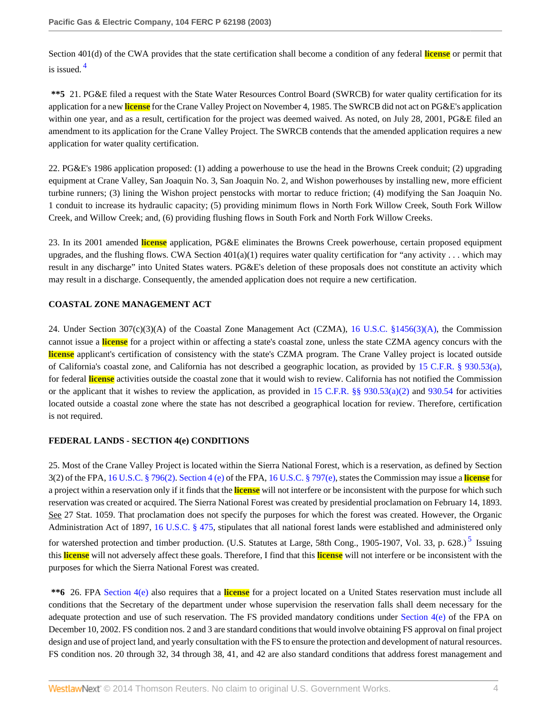<span id="page-3-0"></span>Section 401(d) of the CWA provides that the state certification shall become a condition of any federal **license** or permit that is issued. [4](#page-42-3)

**\*\*5** 21. PG&E filed a request with the State Water Resources Control Board (SWRCB) for water quality certification for its application for a new **license** for the Crane Valley Project on November 4, 1985. The SWRCB did not act on PG&E's application within one year, and as a result, certification for the project was deemed waived. As noted, on July 28, 2001, PG&E filed an amendment to its application for the Crane Valley Project. The SWRCB contends that the amended application requires a new application for water quality certification.

22. PG&E's 1986 application proposed: (1) adding a powerhouse to use the head in the Browns Creek conduit; (2) upgrading equipment at Crane Valley, San Joaquin No. 3, San Joaquin No. 2, and Wishon powerhouses by installing new, more efficient turbine runners; (3) lining the Wishon project penstocks with mortar to reduce friction; (4) modifying the San Joaquin No. 1 conduit to increase its hydraulic capacity; (5) providing minimum flows in North Fork Willow Creek, South Fork Willow Creek, and Willow Creek; and, (6) providing flushing flows in South Fork and North Fork Willow Creeks.

23. In its 2001 amended **license** application, PG&E eliminates the Browns Creek powerhouse, certain proposed equipment upgrades, and the flushing flows. CWA Section  $401(a)(1)$  requires water quality certification for "any activity . . . which may result in any discharge" into United States waters. PG&E's deletion of these proposals does not constitute an activity which may result in a discharge. Consequently, the amended application does not require a new certification.

# **COASTAL ZONE MANAGEMENT ACT**

24. Under Section 307(c)(3)(A) of the Coastal Zone Management Act (CZMA), [16 U.S.C. §1456\(3\)\(A\)](http://www.westlaw.com/Link/Document/FullText?findType=L&pubNum=1000546&cite=16USCAS1456&originatingDoc=Ie835b436391d11dbb0d3b726c66cf290&refType=LQ&originationContext=document&vr=3.0&rs=cblt1.0&transitionType=DocumentItem&contextData=(sc.Search)), the Commission cannot issue a **license** for a project within or affecting a state's coastal zone, unless the state CZMA agency concurs with the **license** applicant's certification of consistency with the state's CZMA program. The Crane Valley project is located outside of California's coastal zone, and California has not described a geographic location, as provided by [15 C.F.R. § 930.53\(a\)](http://www.westlaw.com/Link/Document/FullText?findType=L&pubNum=1000547&cite=15CFRS930.53&originatingDoc=Ie835b436391d11dbb0d3b726c66cf290&refType=LQ&originationContext=document&vr=3.0&rs=cblt1.0&transitionType=DocumentItem&contextData=(sc.Search)), for federal **license** activities outside the coastal zone that it would wish to review. California has not notified the Commission or the applicant that it wishes to review the application, as provided in [15 C.F.R. §§ 930.53\(a\)\(2\)](http://www.westlaw.com/Link/Document/FullText?findType=L&pubNum=1000547&cite=15CFRS930.53&originatingDoc=Ie835b436391d11dbb0d3b726c66cf290&refType=LQ&originationContext=document&vr=3.0&rs=cblt1.0&transitionType=DocumentItem&contextData=(sc.Search)) and [930.54](http://www.westlaw.com/Link/Document/FullText?findType=L&pubNum=1000547&cite=15CFRS930.54&originatingDoc=Ie835b436391d11dbb0d3b726c66cf290&refType=LQ&originationContext=document&vr=3.0&rs=cblt1.0&transitionType=DocumentItem&contextData=(sc.Search)) for activities located outside a coastal zone where the state has not described a geographical location for review. Therefore, certification is not required.

# **FEDERAL LANDS - SECTION 4(e) CONDITIONS**

25. Most of the Crane Valley Project is located within the Sierra National Forest, which is a reservation, as defined by Section 3(2) of the FPA, [16 U.S.C. § 796\(2\).](http://www.westlaw.com/Link/Document/FullText?findType=L&pubNum=1000546&cite=16USCAS796&originatingDoc=Ie835b436391d11dbb0d3b726c66cf290&refType=LQ&originationContext=document&vr=3.0&rs=cblt1.0&transitionType=DocumentItem&contextData=(sc.Search)) [Section 4 \(e\)](http://www.westlaw.com/Link/Document/FullText?findType=L&pubNum=1000546&cite=16USCAS4&originatingDoc=Ie835b436391d11dbb0d3b726c66cf290&refType=LQ&originationContext=document&vr=3.0&rs=cblt1.0&transitionType=DocumentItem&contextData=(sc.Search)) of the FPA, [16 U.S.C. § 797\(e\),](http://www.westlaw.com/Link/Document/FullText?findType=L&pubNum=1000546&cite=16USCAS797&originatingDoc=Ie835b436391d11dbb0d3b726c66cf290&refType=LQ&originationContext=document&vr=3.0&rs=cblt1.0&transitionType=DocumentItem&contextData=(sc.Search)) states the Commission may issue a **license** for a project within a reservation only if it finds that the **license** will not interfere or be inconsistent with the purpose for which such reservation was created or acquired. The Sierra National Forest was created by presidential proclamation on February 14, 1893. See 27 Stat. 1059. That proclamation does not specify the purposes for which the forest was created. However, the Organic Administration Act of 1897, [16 U.S.C. § 475](http://www.westlaw.com/Link/Document/FullText?findType=L&pubNum=1000546&cite=16USCAS475&originatingDoc=Ie835b436391d11dbb0d3b726c66cf290&refType=LQ&originationContext=document&vr=3.0&rs=cblt1.0&transitionType=DocumentItem&contextData=(sc.Search)), stipulates that all national forest lands were established and administered only for watershed protection and timber production. (U.S. Statutes at Large, [5](#page-42-4)8th Cong., 1905-1907, Vol. 33, p. 628.)<sup>5</sup> Issuing this **license** will not adversely affect these goals. Therefore, I find that this **license** will not interfere or be inconsistent with the purposes for which the Sierra National Forest was created.

<span id="page-3-1"></span>**\*\*6** 26. FPA [Section 4\(e\)](http://www.westlaw.com/Link/Document/FullText?findType=L&pubNum=1000546&cite=16USCAS4&originatingDoc=Ie835b436391d11dbb0d3b726c66cf290&refType=LQ&originationContext=document&vr=3.0&rs=cblt1.0&transitionType=DocumentItem&contextData=(sc.Search)) also requires that a **license** for a project located on a United States reservation must include all conditions that the Secretary of the department under whose supervision the reservation falls shall deem necessary for the adequate protection and use of such reservation. The FS provided mandatory conditions under [Section 4\(e\)](http://www.westlaw.com/Link/Document/FullText?findType=L&pubNum=1000546&cite=16USCAS4&originatingDoc=Ie835b436391d11dbb0d3b726c66cf290&refType=LQ&originationContext=document&vr=3.0&rs=cblt1.0&transitionType=DocumentItem&contextData=(sc.Search)) of the FPA on December 10, 2002. FS condition nos. 2 and 3 are standard conditions that would involve obtaining FS approval on final project design and use of project land, and yearly consultation with the FS to ensure the protection and development of natural resources. FS condition nos. 20 through 32, 34 through 38, 41, and 42 are also standard conditions that address forest management and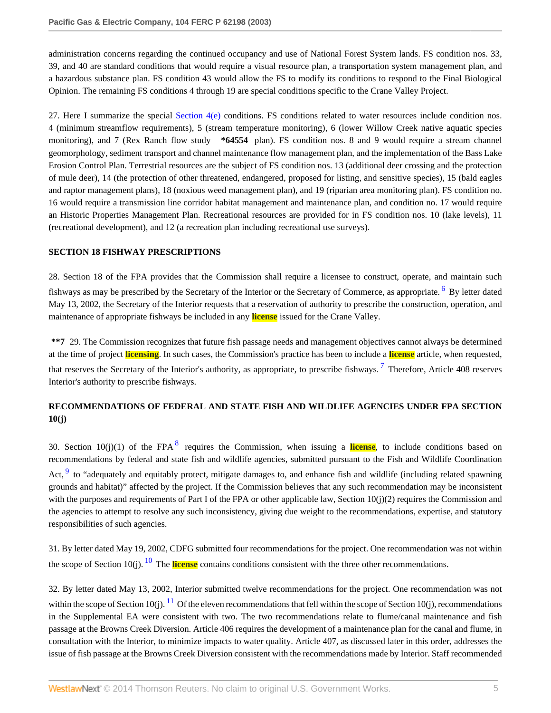administration concerns regarding the continued occupancy and use of National Forest System lands. FS condition nos. 33, 39, and 40 are standard conditions that would require a visual resource plan, a transportation system management plan, and a hazardous substance plan. FS condition 43 would allow the FS to modify its conditions to respond to the Final Biological Opinion. The remaining FS conditions 4 through 19 are special conditions specific to the Crane Valley Project.

27. Here I summarize the special [Section 4\(e\)](http://www.westlaw.com/Link/Document/FullText?findType=L&pubNum=1000546&cite=16USCAS4&originatingDoc=Ie835b436391d11dbb0d3b726c66cf290&refType=LQ&originationContext=document&vr=3.0&rs=cblt1.0&transitionType=DocumentItem&contextData=(sc.Search)) conditions. FS conditions related to water resources include condition nos. 4 (minimum streamflow requirements), 5 (stream temperature monitoring), 6 (lower Willow Creek native aquatic species monitoring), and 7 (Rex Ranch flow study **\*64554** plan). FS condition nos. 8 and 9 would require a stream channel geomorphology, sediment transport and channel maintenance flow management plan, and the implementation of the Bass Lake Erosion Control Plan. Terrestrial resources are the subject of FS condition nos. 13 (additional deer crossing and the protection of mule deer), 14 (the protection of other threatened, endangered, proposed for listing, and sensitive species), 15 (bald eagles and raptor management plans), 18 (noxious weed management plan), and 19 (riparian area monitoring plan). FS condition no. 16 would require a transmission line corridor habitat management and maintenance plan, and condition no. 17 would require an Historic Properties Management Plan. Recreational resources are provided for in FS condition nos. 10 (lake levels), 11 (recreational development), and 12 (a recreation plan including recreational use surveys).

# **SECTION 18 FISHWAY PRESCRIPTIONS**

<span id="page-4-0"></span>28. Section 18 of the FPA provides that the Commission shall require a licensee to construct, operate, and maintain such fishways as may be prescribed by the Secretary of the Interior or the Secretary of Commerce, as appropriate. <sup>[6](#page-42-5)</sup> By letter dated May 13, 2002, the Secretary of the Interior requests that a reservation of authority to prescribe the construction, operation, and maintenance of appropriate fishways be included in any **license** issued for the Crane Valley.

<span id="page-4-1"></span>**\*\*7** 29. The Commission recognizes that future fish passage needs and management objectives cannot always be determined at the time of project **licensing**. In such cases, the Commission's practice has been to include a **license** article, when requested, that reserves the Secretary of the Interior's authority, as appropriate, to prescribe fishways.<sup>[7](#page-42-6)</sup> Therefore, Article 408 reserves Interior's authority to prescribe fishways.

# **RECOMMENDATIONS OF FEDERAL AND STATE FISH AND WILDLIFE AGENCIES UNDER FPA SECTION 10(j)**

<span id="page-4-3"></span><span id="page-4-2"></span>30. Section 10(j)(1) of the FPA [8](#page-42-7) requires the Commission, when issuing a license, to include conditions based on recommendations by federal and state fish and wildlife agencies, submitted pursuant to the Fish and Wildlife Coordination Act, <sup>[9](#page-42-8)</sup> to "adequately and equitably protect, mitigate damages to, and enhance fish and wildlife (including related spawning grounds and habitat)" affected by the project. If the Commission believes that any such recommendation may be inconsistent with the purposes and requirements of Part I of the FPA or other applicable law, Section 10(j)(2) requires the Commission and the agencies to attempt to resolve any such inconsistency, giving due weight to the recommendations, expertise, and statutory responsibilities of such agencies.

<span id="page-4-4"></span>31. By letter dated May 19, 2002, CDFG submitted four recommendations for the project. One recommendation was not within the scope of Section [10](#page-42-9)(j).  $^{10}$  The **license** contains conditions consistent with the three other recommendations.

<span id="page-4-5"></span>32. By letter dated May 13, 2002, Interior submitted twelve recommendations for the project. One recommendation was not within the scope of Section 10(j). <sup>[11](#page-42-10)</sup> Of the eleven recommendations that fell within the scope of Section 10(j), recommendations in the Supplemental EA were consistent with two. The two recommendations relate to flume/canal maintenance and fish passage at the Browns Creek Diversion. Article 406 requires the development of a maintenance plan for the canal and flume, in consultation with the Interior, to minimize impacts to water quality. Article 407, as discussed later in this order, addresses the issue of fish passage at the Browns Creek Diversion consistent with the recommendations made by Interior. Staff recommended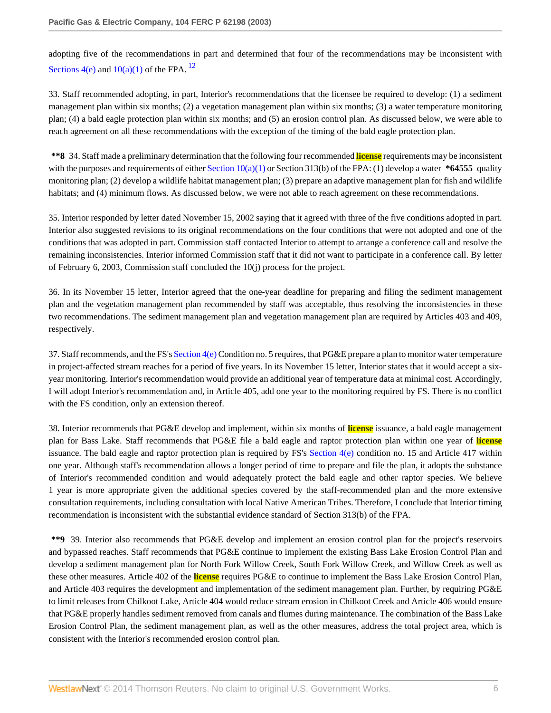<span id="page-5-0"></span>adopting five of the recommendations in part and determined that four of the recommendations may be inconsistent with Sections  $4(e)$  and  $10(a)(1)$  of the FPA. <sup>[12](#page-42-11)</sup>

33. Staff recommended adopting, in part, Interior's recommendations that the licensee be required to develop: (1) a sediment management plan within six months; (2) a vegetation management plan within six months; (3) a water temperature monitoring plan; (4) a bald eagle protection plan within six months; and (5) an erosion control plan. As discussed below, we were able to reach agreement on all these recommendations with the exception of the timing of the bald eagle protection plan.

**\*\*8** 34. Staff made a preliminary determination that the following four recommended **license** requirements may be inconsistent with the purposes and requirements of either Section  $10(a)(1)$  or Section 313(b) of the FPA: (1) develop a water  $*64555$  quality monitoring plan; (2) develop a wildlife habitat management plan; (3) prepare an adaptive management plan for fish and wildlife habitats; and (4) minimum flows. As discussed below, we were not able to reach agreement on these recommendations.

35. Interior responded by letter dated November 15, 2002 saying that it agreed with three of the five conditions adopted in part. Interior also suggested revisions to its original recommendations on the four conditions that were not adopted and one of the conditions that was adopted in part. Commission staff contacted Interior to attempt to arrange a conference call and resolve the remaining inconsistencies. Interior informed Commission staff that it did not want to participate in a conference call. By letter of February 6, 2003, Commission staff concluded the 10(j) process for the project.

36. In its November 15 letter, Interior agreed that the one-year deadline for preparing and filing the sediment management plan and the vegetation management plan recommended by staff was acceptable, thus resolving the inconsistencies in these two recommendations. The sediment management plan and vegetation management plan are required by Articles 403 and 409, respectively.

37. Staff recommends, and the FS's Section  $4(e)$  Condition no. 5 requires, that PG&E prepare a plan to monitor water temperature in project-affected stream reaches for a period of five years. In its November 15 letter, Interior states that it would accept a sixyear monitoring. Interior's recommendation would provide an additional year of temperature data at minimal cost. Accordingly, I will adopt Interior's recommendation and, in Article 405, add one year to the monitoring required by FS. There is no conflict with the FS condition, only an extension thereof.

38. Interior recommends that PG&E develop and implement, within six months of **license** issuance, a bald eagle management plan for Bass Lake. Staff recommends that PG&E file a bald eagle and raptor protection plan within one year of **license** issuance. The bald eagle and raptor protection plan is required by FS's [Section 4\(e\)](http://www.westlaw.com/Link/Document/FullText?findType=L&pubNum=1000546&cite=16USCAS4&originatingDoc=Ie835b436391d11dbb0d3b726c66cf290&refType=LQ&originationContext=document&vr=3.0&rs=cblt1.0&transitionType=DocumentItem&contextData=(sc.Search)) condition no. 15 and Article 417 within one year. Although staff's recommendation allows a longer period of time to prepare and file the plan, it adopts the substance of Interior's recommended condition and would adequately protect the bald eagle and other raptor species. We believe 1 year is more appropriate given the additional species covered by the staff-recommended plan and the more extensive consultation requirements, including consultation with local Native American Tribes. Therefore, I conclude that Interior timing recommendation is inconsistent with the substantial evidence standard of Section 313(b) of the FPA.

**\*\*9** 39. Interior also recommends that PG&E develop and implement an erosion control plan for the project's reservoirs and bypassed reaches. Staff recommends that PG&E continue to implement the existing Bass Lake Erosion Control Plan and develop a sediment management plan for North Fork Willow Creek, South Fork Willow Creek, and Willow Creek as well as these other measures. Article 402 of the **license** requires PG&E to continue to implement the Bass Lake Erosion Control Plan, and Article 403 requires the development and implementation of the sediment management plan. Further, by requiring PG&E to limit releases from Chilkoot Lake, Article 404 would reduce stream erosion in Chilkoot Creek and Article 406 would ensure that PG&E properly handles sediment removed from canals and flumes during maintenance. The combination of the Bass Lake Erosion Control Plan, the sediment management plan, as well as the other measures, address the total project area, which is consistent with the Interior's recommended erosion control plan.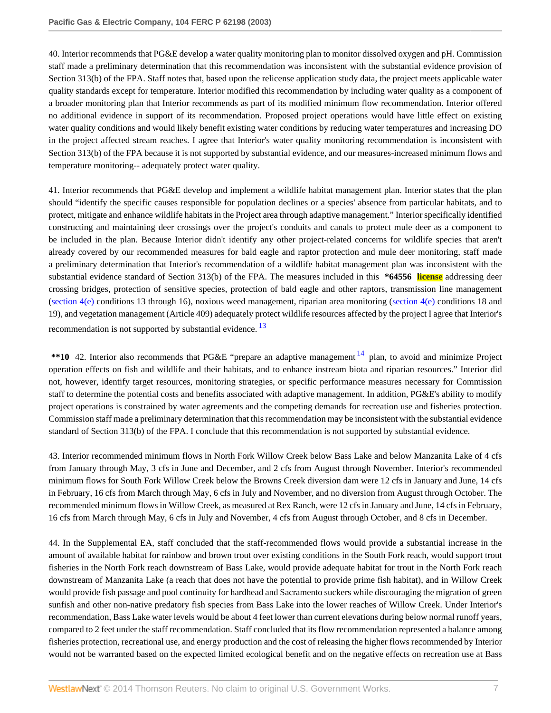40. Interior recommends that PG&E develop a water quality monitoring plan to monitor dissolved oxygen and pH. Commission staff made a preliminary determination that this recommendation was inconsistent with the substantial evidence provision of Section 313(b) of the FPA. Staff notes that, based upon the relicense application study data, the project meets applicable water quality standards except for temperature. Interior modified this recommendation by including water quality as a component of a broader monitoring plan that Interior recommends as part of its modified minimum flow recommendation. Interior offered no additional evidence in support of its recommendation. Proposed project operations would have little effect on existing water quality conditions and would likely benefit existing water conditions by reducing water temperatures and increasing DO in the project affected stream reaches. I agree that Interior's water quality monitoring recommendation is inconsistent with Section 313(b) of the FPA because it is not supported by substantial evidence, and our measures-increased minimum flows and temperature monitoring-- adequately protect water quality.

41. Interior recommends that PG&E develop and implement a wildlife habitat management plan. Interior states that the plan should "identify the specific causes responsible for population declines or a species' absence from particular habitats, and to protect, mitigate and enhance wildlife habitats in the Project area through adaptive management." Interior specifically identified constructing and maintaining deer crossings over the project's conduits and canals to protect mule deer as a component to be included in the plan. Because Interior didn't identify any other project-related concerns for wildlife species that aren't already covered by our recommended measures for bald eagle and raptor protection and mule deer monitoring, staff made a preliminary determination that Interior's recommendation of a wildlife habitat management plan was inconsistent with the substantial evidence standard of Section 313(b) of the FPA. The measures included in this **\*64556 license** addressing deer crossing bridges, protection of sensitive species, protection of bald eagle and other raptors, transmission line management [\(section 4\(e\)](http://www.westlaw.com/Link/Document/FullText?findType=L&pubNum=1000546&cite=16USCAS4&originatingDoc=Ie835b436391d11dbb0d3b726c66cf290&refType=LQ&originationContext=document&vr=3.0&rs=cblt1.0&transitionType=DocumentItem&contextData=(sc.Search)) conditions 13 through 16), noxious weed management, riparian area monitoring [\(section 4\(e\)](http://www.westlaw.com/Link/Document/FullText?findType=L&pubNum=1000546&cite=16USCAS4&originatingDoc=Ie835b436391d11dbb0d3b726c66cf290&refType=LQ&originationContext=document&vr=3.0&rs=cblt1.0&transitionType=DocumentItem&contextData=(sc.Search)) conditions 18 and 19), and vegetation management (Article 409) adequately protect wildlife resources affected by the project I agree that Interior's recommendation is not supported by substantial evidence.  $13$ 

<span id="page-6-1"></span><span id="page-6-0"></span>\*\*10 42. Interior also recommends that PG&E "prepare an adaptive management <sup>[14](#page-42-13)</sup> plan, to avoid and minimize Project operation effects on fish and wildlife and their habitats, and to enhance instream biota and riparian resources." Interior did not, however, identify target resources, monitoring strategies, or specific performance measures necessary for Commission staff to determine the potential costs and benefits associated with adaptive management. In addition, PG&E's ability to modify project operations is constrained by water agreements and the competing demands for recreation use and fisheries protection. Commission staff made a preliminary determination that this recommendation may be inconsistent with the substantial evidence standard of Section 313(b) of the FPA. I conclude that this recommendation is not supported by substantial evidence.

43. Interior recommended minimum flows in North Fork Willow Creek below Bass Lake and below Manzanita Lake of 4 cfs from January through May, 3 cfs in June and December, and 2 cfs from August through November. Interior's recommended minimum flows for South Fork Willow Creek below the Browns Creek diversion dam were 12 cfs in January and June, 14 cfs in February, 16 cfs from March through May, 6 cfs in July and November, and no diversion from August through October. The recommended minimum flows in Willow Creek, as measured at Rex Ranch, were 12 cfs in January and June, 14 cfs in February, 16 cfs from March through May, 6 cfs in July and November, 4 cfs from August through October, and 8 cfs in December.

44. In the Supplemental EA, staff concluded that the staff-recommended flows would provide a substantial increase in the amount of available habitat for rainbow and brown trout over existing conditions in the South Fork reach, would support trout fisheries in the North Fork reach downstream of Bass Lake, would provide adequate habitat for trout in the North Fork reach downstream of Manzanita Lake (a reach that does not have the potential to provide prime fish habitat), and in Willow Creek would provide fish passage and pool continuity for hardhead and Sacramento suckers while discouraging the migration of green sunfish and other non-native predatory fish species from Bass Lake into the lower reaches of Willow Creek. Under Interior's recommendation, Bass Lake water levels would be about 4 feet lower than current elevations during below normal runoff years, compared to 2 feet under the staff recommendation. Staff concluded that its flow recommendation represented a balance among fisheries protection, recreational use, and energy production and the cost of releasing the higher flows recommended by Interior would not be warranted based on the expected limited ecological benefit and on the negative effects on recreation use at Bass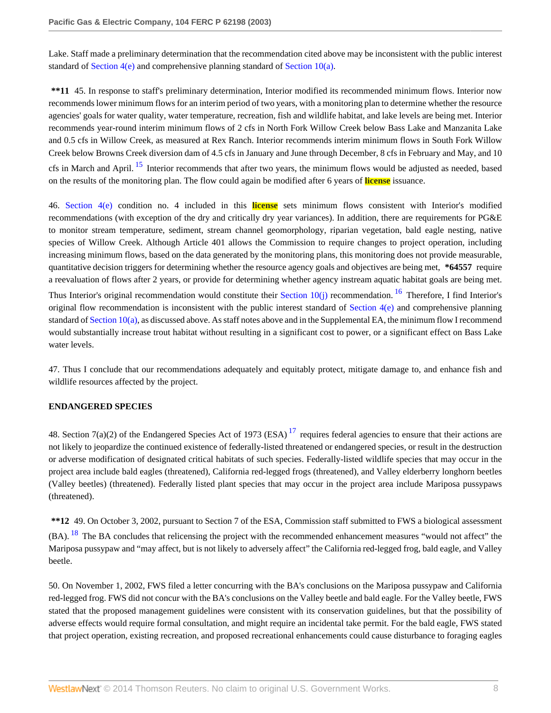Lake. Staff made a preliminary determination that the recommendation cited above may be inconsistent with the public interest standard of [Section 4\(e\)](http://www.westlaw.com/Link/Document/FullText?findType=L&pubNum=1000546&cite=16USCAS4&originatingDoc=Ie835b436391d11dbb0d3b726c66cf290&refType=LQ&originationContext=document&vr=3.0&rs=cblt1.0&transitionType=DocumentItem&contextData=(sc.Search)) and comprehensive planning standard of [Section 10\(a\).](http://www.westlaw.com/Link/Document/FullText?findType=L&pubNum=1000546&cite=16USCAS10&originatingDoc=Ie835b436391d11dbb0d3b726c66cf290&refType=LQ&originationContext=document&vr=3.0&rs=cblt1.0&transitionType=DocumentItem&contextData=(sc.Search))

**\*\*11** 45. In response to staff's preliminary determination, Interior modified its recommended minimum flows. Interior now recommends lower minimum flows for an interim period of two years, with a monitoring plan to determine whether the resource agencies' goals for water quality, water temperature, recreation, fish and wildlife habitat, and lake levels are being met. Interior recommends year-round interim minimum flows of 2 cfs in North Fork Willow Creek below Bass Lake and Manzanita Lake and 0.5 cfs in Willow Creek, as measured at Rex Ranch. Interior recommends interim minimum flows in South Fork Willow Creek below Browns Creek diversion dam of 4.5 cfs in January and June through December, 8 cfs in February and May, and 10 cfs in March and April.  $^{15}$  $^{15}$  $^{15}$  Interior recommends that after two years, the minimum flows would be adjusted as needed, based on the results of the monitoring plan. The flow could again be modified after 6 years of **license** issuance.

<span id="page-7-0"></span>46. [Section 4\(e\)](http://www.westlaw.com/Link/Document/FullText?findType=L&pubNum=1000546&cite=16USCAS4&originatingDoc=Ie835b436391d11dbb0d3b726c66cf290&refType=LQ&originationContext=document&vr=3.0&rs=cblt1.0&transitionType=DocumentItem&contextData=(sc.Search)) condition no. 4 included in this **license** sets minimum flows consistent with Interior's modified recommendations (with exception of the dry and critically dry year variances). In addition, there are requirements for PG&E to monitor stream temperature, sediment, stream channel geomorphology, riparian vegetation, bald eagle nesting, native species of Willow Creek. Although Article 401 allows the Commission to require changes to project operation, including increasing minimum flows, based on the data generated by the monitoring plans, this monitoring does not provide measurable, quantitative decision triggers for determining whether the resource agency goals and objectives are being met, **\*64557** require a reevaluation of flows after 2 years, or provide for determining whether agency instream aquatic habitat goals are being met.

<span id="page-7-1"></span>Thus Interior's original recommendation would constitute their Section  $10(i)$  recommendation. <sup>[16](#page-42-15)</sup> Therefore, I find Interior's original flow recommendation is inconsistent with the public interest standard of Section  $4(e)$  and comprehensive planning standard of Section  $10(a)$ , as discussed above. As staff notes above and in the Supplemental EA, the minimum flow I recommend would substantially increase trout habitat without resulting in a significant cost to power, or a significant effect on Bass Lake water levels.

47. Thus I conclude that our recommendations adequately and equitably protect, mitigate damage to, and enhance fish and wildlife resources affected by the project.

### **ENDANGERED SPECIES**

<span id="page-7-2"></span>48. Section 7(a)(2) of the Endangered Species Act of 1973 (ESA)<sup>[17](#page-42-16)</sup> requires federal agencies to ensure that their actions are not likely to jeopardize the continued existence of federally-listed threatened or endangered species, or result in the destruction or adverse modification of designated critical habitats of such species. Federally-listed wildlife species that may occur in the project area include bald eagles (threatened), California red-legged frogs (threatened), and Valley elderberry longhorn beetles (Valley beetles) (threatened). Federally listed plant species that may occur in the project area include Mariposa pussypaws (threatened).

<span id="page-7-3"></span>**\*\*12** 49. On October 3, 2002, pursuant to Section 7 of the ESA, Commission staff submitted to FWS a biological assessment (BA). <sup>[18](#page-42-17)</sup> The BA concludes that relicensing the project with the recommended enhancement measures "would not affect" the Mariposa pussypaw and "may affect, but is not likely to adversely affect" the California red-legged frog, bald eagle, and Valley beetle.

50. On November 1, 2002, FWS filed a letter concurring with the BA's conclusions on the Mariposa pussypaw and California red-legged frog. FWS did not concur with the BA's conclusions on the Valley beetle and bald eagle. For the Valley beetle, FWS stated that the proposed management guidelines were consistent with its conservation guidelines, but that the possibility of adverse effects would require formal consultation, and might require an incidental take permit. For the bald eagle, FWS stated that project operation, existing recreation, and proposed recreational enhancements could cause disturbance to foraging eagles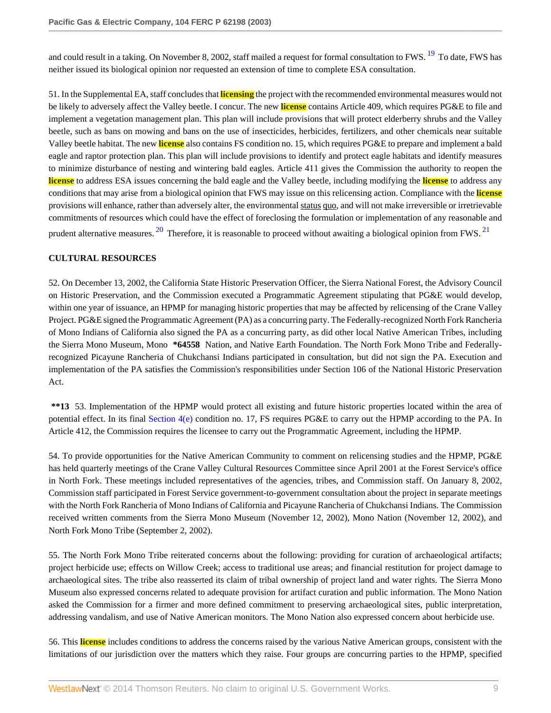<span id="page-8-0"></span>and could result in a taking. On November 8, 2002, staff mailed a request for formal consultation to FWS. <sup>[19](#page-42-18)</sup> To date, FWS has neither issued its biological opinion nor requested an extension of time to complete ESA consultation.

51. In the Supplemental EA, staff concludes that **licensing** the project with the recommended environmental measures would not be likely to adversely affect the Valley beetle. I concur. The new **license** contains Article 409, which requires PG&E to file and implement a vegetation management plan. This plan will include provisions that will protect elderberry shrubs and the Valley beetle, such as bans on mowing and bans on the use of insecticides, herbicides, fertilizers, and other chemicals near suitable Valley beetle habitat. The new **license** also contains FS condition no. 15, which requires PG&E to prepare and implement a bald eagle and raptor protection plan. This plan will include provisions to identify and protect eagle habitats and identify measures to minimize disturbance of nesting and wintering bald eagles. Article 411 gives the Commission the authority to reopen the **license** to address ESA issues concerning the bald eagle and the Valley beetle, including modifying the **license** to address any conditions that may arise from a biological opinion that FWS may issue on this relicensing action. Compliance with the **license** provisions will enhance, rather than adversely alter, the environmental status quo, and will not make irreversible or irretrievable commitments of resources which could have the effect of foreclosing the formulation or implementation of any reasonable and prudent alternative measures.  $^{20}$  $^{20}$  $^{20}$  Therefore, it is reasonable to proceed without awaiting a biological opinion from FWS.  $^{21}$  $^{21}$  $^{21}$ 

### <span id="page-8-2"></span><span id="page-8-1"></span>**CULTURAL RESOURCES**

52. On December 13, 2002, the California State Historic Preservation Officer, the Sierra National Forest, the Advisory Council on Historic Preservation, and the Commission executed a Programmatic Agreement stipulating that PG&E would develop, within one year of issuance, an HPMP for managing historic properties that may be affected by relicensing of the Crane Valley Project. PG&E signed the Programmatic Agreement (PA) as a concurring party. The Federally-recognized North Fork Rancheria of Mono Indians of California also signed the PA as a concurring party, as did other local Native American Tribes, including the Sierra Mono Museum, Mono **\*64558** Nation, and Native Earth Foundation. The North Fork Mono Tribe and Federallyrecognized Picayune Rancheria of Chukchansi Indians participated in consultation, but did not sign the PA. Execution and implementation of the PA satisfies the Commission's responsibilities under Section 106 of the National Historic Preservation Act.

**\*\*13** 53. Implementation of the HPMP would protect all existing and future historic properties located within the area of potential effect. In its final [Section 4\(e\)](http://www.westlaw.com/Link/Document/FullText?findType=L&pubNum=1000546&cite=16USCAS4&originatingDoc=Ie835b436391d11dbb0d3b726c66cf290&refType=LQ&originationContext=document&vr=3.0&rs=cblt1.0&transitionType=DocumentItem&contextData=(sc.Search)) condition no. 17, FS requires PG&E to carry out the HPMP according to the PA. In Article 412, the Commission requires the licensee to carry out the Programmatic Agreement, including the HPMP.

54. To provide opportunities for the Native American Community to comment on relicensing studies and the HPMP, PG&E has held quarterly meetings of the Crane Valley Cultural Resources Committee since April 2001 at the Forest Service's office in North Fork. These meetings included representatives of the agencies, tribes, and Commission staff. On January 8, 2002, Commission staff participated in Forest Service government-to-government consultation about the project in separate meetings with the North Fork Rancheria of Mono Indians of California and Picayune Rancheria of Chukchansi Indians. The Commission received written comments from the Sierra Mono Museum (November 12, 2002), Mono Nation (November 12, 2002), and North Fork Mono Tribe (September 2, 2002).

55. The North Fork Mono Tribe reiterated concerns about the following: providing for curation of archaeological artifacts; project herbicide use; effects on Willow Creek; access to traditional use areas; and financial restitution for project damage to archaeological sites. The tribe also reasserted its claim of tribal ownership of project land and water rights. The Sierra Mono Museum also expressed concerns related to adequate provision for artifact curation and public information. The Mono Nation asked the Commission for a firmer and more defined commitment to preserving archaeological sites, public interpretation, addressing vandalism, and use of Native American monitors. The Mono Nation also expressed concern about herbicide use.

56. This **license** includes conditions to address the concerns raised by the various Native American groups, consistent with the limitations of our jurisdiction over the matters which they raise. Four groups are concurring parties to the HPMP, specified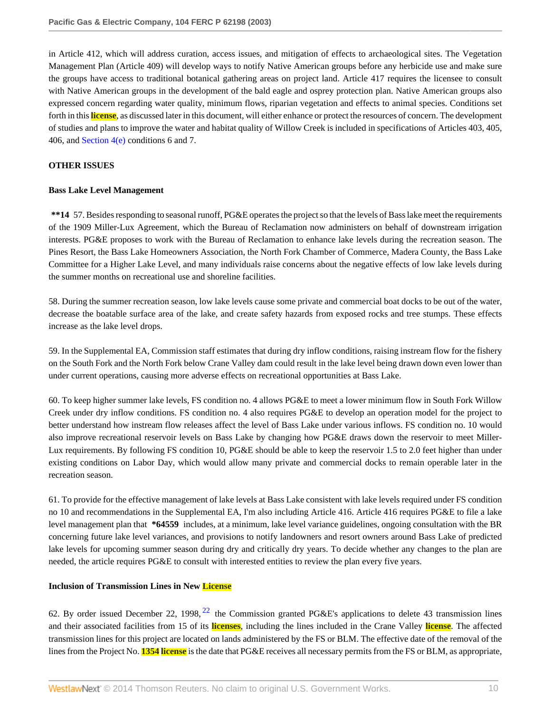in Article 412, which will address curation, access issues, and mitigation of effects to archaeological sites. The Vegetation Management Plan (Article 409) will develop ways to notify Native American groups before any herbicide use and make sure the groups have access to traditional botanical gathering areas on project land. Article 417 requires the licensee to consult with Native American groups in the development of the bald eagle and osprey protection plan. Native American groups also expressed concern regarding water quality, minimum flows, riparian vegetation and effects to animal species. Conditions set forth in this **license**, as discussed later in this document, will either enhance or protect the resources of concern. The development of studies and plans to improve the water and habitat quality of Willow Creek is included in specifications of Articles 403, 405, 406, and Section  $4(e)$  conditions 6 and 7.

### **OTHER ISSUES**

#### **Bass Lake Level Management**

**\*\*14** 57. Besides responding to seasonal runoff, PG&E operates the project so that the levels of Bass lake meet the requirements of the 1909 Miller-Lux Agreement, which the Bureau of Reclamation now administers on behalf of downstream irrigation interests. PG&E proposes to work with the Bureau of Reclamation to enhance lake levels during the recreation season. The Pines Resort, the Bass Lake Homeowners Association, the North Fork Chamber of Commerce, Madera County, the Bass Lake Committee for a Higher Lake Level, and many individuals raise concerns about the negative effects of low lake levels during the summer months on recreational use and shoreline facilities.

58. During the summer recreation season, low lake levels cause some private and commercial boat docks to be out of the water, decrease the boatable surface area of the lake, and create safety hazards from exposed rocks and tree stumps. These effects increase as the lake level drops.

59. In the Supplemental EA, Commission staff estimates that during dry inflow conditions, raising instream flow for the fishery on the South Fork and the North Fork below Crane Valley dam could result in the lake level being drawn down even lower than under current operations, causing more adverse effects on recreational opportunities at Bass Lake.

60. To keep higher summer lake levels, FS condition no. 4 allows PG&E to meet a lower minimum flow in South Fork Willow Creek under dry inflow conditions. FS condition no. 4 also requires PG&E to develop an operation model for the project to better understand how instream flow releases affect the level of Bass Lake under various inflows. FS condition no. 10 would also improve recreational reservoir levels on Bass Lake by changing how PG&E draws down the reservoir to meet Miller-Lux requirements. By following FS condition 10, PG&E should be able to keep the reservoir 1.5 to 2.0 feet higher than under existing conditions on Labor Day, which would allow many private and commercial docks to remain operable later in the recreation season.

61. To provide for the effective management of lake levels at Bass Lake consistent with lake levels required under FS condition no 10 and recommendations in the Supplemental EA, I'm also including Article 416. Article 416 requires PG&E to file a lake level management plan that **\*64559** includes, at a minimum, lake level variance guidelines, ongoing consultation with the BR concerning future lake level variances, and provisions to notify landowners and resort owners around Bass Lake of predicted lake levels for upcoming summer season during dry and critically dry years. To decide whether any changes to the plan are needed, the article requires PG&E to consult with interested entities to review the plan every five years.

#### **Inclusion of Transmission Lines in New License**

<span id="page-9-0"></span>62. By order issued December [22](#page-42-21), 1998,  $^{22}$  the Commission granted PG&E's applications to delete 43 transmission lines and their associated facilities from 15 of its **licenses**, including the lines included in the Crane Valley **license**. The affected transmission lines for this project are located on lands administered by the FS or BLM. The effective date of the removal of the lines from the Project No. **1354 license** is the date that PG&E receives all necessary permits from the FS or BLM, as appropriate,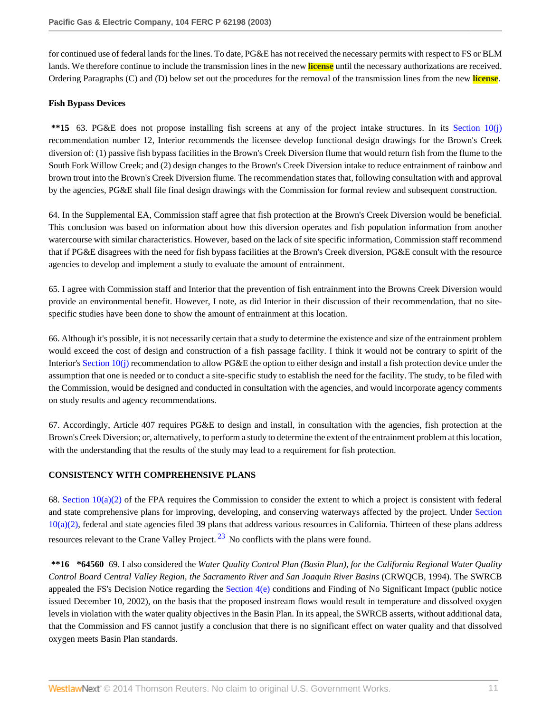for continued use of federal lands for the lines. To date, PG&E has not received the necessary permits with respect to FS or BLM lands. We therefore continue to include the transmission lines in the new **license** until the necessary authorizations are received. Ordering Paragraphs (C) and (D) below set out the procedures for the removal of the transmission lines from the new **license**.

### **Fish Bypass Devices**

**\*\*15** 63. PG&E does not propose installing fish screens at any of the project intake structures. In its [Section 10\(j\)](http://www.westlaw.com/Link/Document/FullText?findType=L&pubNum=1000546&cite=16USCAS10&originatingDoc=Ie835b436391d11dbb0d3b726c66cf290&refType=LQ&originationContext=document&vr=3.0&rs=cblt1.0&transitionType=DocumentItem&contextData=(sc.Search)) recommendation number 12, Interior recommends the licensee develop functional design drawings for the Brown's Creek diversion of: (1) passive fish bypass facilities in the Brown's Creek Diversion flume that would return fish from the flume to the South Fork Willow Creek; and (2) design changes to the Brown's Creek Diversion intake to reduce entrainment of rainbow and brown trout into the Brown's Creek Diversion flume. The recommendation states that, following consultation with and approval by the agencies, PG&E shall file final design drawings with the Commission for formal review and subsequent construction.

64. In the Supplemental EA, Commission staff agree that fish protection at the Brown's Creek Diversion would be beneficial. This conclusion was based on information about how this diversion operates and fish population information from another watercourse with similar characteristics. However, based on the lack of site specific information, Commission staff recommend that if PG&E disagrees with the need for fish bypass facilities at the Brown's Creek diversion, PG&E consult with the resource agencies to develop and implement a study to evaluate the amount of entrainment.

65. I agree with Commission staff and Interior that the prevention of fish entrainment into the Browns Creek Diversion would provide an environmental benefit. However, I note, as did Interior in their discussion of their recommendation, that no sitespecific studies have been done to show the amount of entrainment at this location.

66. Although it's possible, it is not necessarily certain that a study to determine the existence and size of the entrainment problem would exceed the cost of design and construction of a fish passage facility. I think it would not be contrary to spirit of the Interior's [Section 10\(j\)](http://www.westlaw.com/Link/Document/FullText?findType=L&pubNum=1000546&cite=16USCAS10&originatingDoc=Ie835b436391d11dbb0d3b726c66cf290&refType=LQ&originationContext=document&vr=3.0&rs=cblt1.0&transitionType=DocumentItem&contextData=(sc.Search)) recommendation to allow PG&E the option to either design and install a fish protection device under the assumption that one is needed or to conduct a site-specific study to establish the need for the facility. The study, to be filed with the Commission, would be designed and conducted in consultation with the agencies, and would incorporate agency comments on study results and agency recommendations.

67. Accordingly, Article 407 requires PG&E to design and install, in consultation with the agencies, fish protection at the Brown's Creek Diversion; or, alternatively, to perform a study to determine the extent of the entrainment problem at this location, with the understanding that the results of the study may lead to a requirement for fish protection.

# **CONSISTENCY WITH COMPREHENSIVE PLANS**

68. Section  $10(a)(2)$  of the FPA requires the Commission to consider the extent to which a project is consistent with federal and state comprehensive plans for improving, developing, and conserving waterways affected by the project. Under [Section](http://www.westlaw.com/Link/Document/FullText?findType=L&pubNum=1000546&cite=16USCAS10&originatingDoc=Ie835b436391d11dbb0d3b726c66cf290&refType=LQ&originationContext=document&vr=3.0&rs=cblt1.0&transitionType=DocumentItem&contextData=(sc.Search)) [10\(a\)\(2\),](http://www.westlaw.com/Link/Document/FullText?findType=L&pubNum=1000546&cite=16USCAS10&originatingDoc=Ie835b436391d11dbb0d3b726c66cf290&refType=LQ&originationContext=document&vr=3.0&rs=cblt1.0&transitionType=DocumentItem&contextData=(sc.Search)) federal and state agencies filed 39 plans that address various resources in California. Thirteen of these plans address resources relevant to the Crane Valley Project.  $^{23}$  $^{23}$  $^{23}$  No conflicts with the plans were found.

<span id="page-10-0"></span>**\*\*16 \*64560** 69. I also considered the *Water Quality Control Plan (Basin Plan), for the California Regional Water Quality Control Board Central Valley Region, the Sacramento River and San Joaquin River Basins* (CRWQCB, 1994). The SWRCB appealed the FS's Decision Notice regarding the [Section 4\(e\)](http://www.westlaw.com/Link/Document/FullText?findType=L&pubNum=1000546&cite=16USCAS4&originatingDoc=Ie835b436391d11dbb0d3b726c66cf290&refType=LQ&originationContext=document&vr=3.0&rs=cblt1.0&transitionType=DocumentItem&contextData=(sc.Search)) conditions and Finding of No Significant Impact (public notice issued December 10, 2002), on the basis that the proposed instream flows would result in temperature and dissolved oxygen levels in violation with the water quality objectives in the Basin Plan. In its appeal, the SWRCB asserts, without additional data, that the Commission and FS cannot justify a conclusion that there is no significant effect on water quality and that dissolved oxygen meets Basin Plan standards.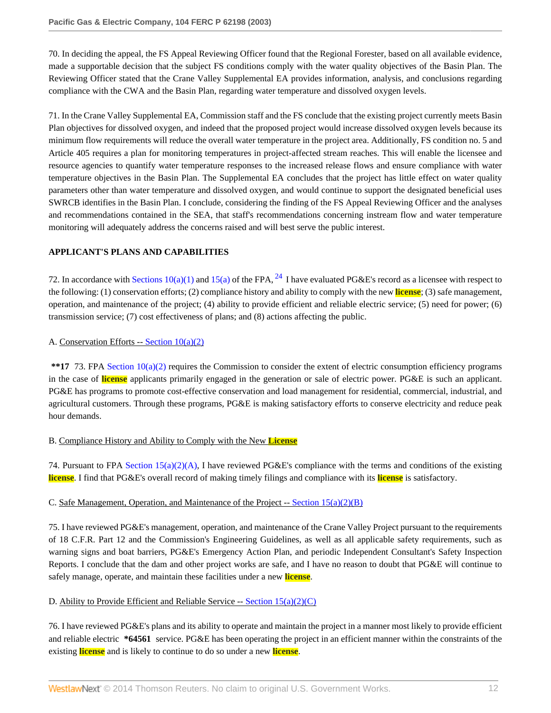70. In deciding the appeal, the FS Appeal Reviewing Officer found that the Regional Forester, based on all available evidence, made a supportable decision that the subject FS conditions comply with the water quality objectives of the Basin Plan. The Reviewing Officer stated that the Crane Valley Supplemental EA provides information, analysis, and conclusions regarding compliance with the CWA and the Basin Plan, regarding water temperature and dissolved oxygen levels.

71. In the Crane Valley Supplemental EA, Commission staff and the FS conclude that the existing project currently meets Basin Plan objectives for dissolved oxygen, and indeed that the proposed project would increase dissolved oxygen levels because its minimum flow requirements will reduce the overall water temperature in the project area. Additionally, FS condition no. 5 and Article 405 requires a plan for monitoring temperatures in project-affected stream reaches. This will enable the licensee and resource agencies to quantify water temperature responses to the increased release flows and ensure compliance with water temperature objectives in the Basin Plan. The Supplemental EA concludes that the project has little effect on water quality parameters other than water temperature and dissolved oxygen, and would continue to support the designated beneficial uses SWRCB identifies in the Basin Plan. I conclude, considering the finding of the FS Appeal Reviewing Officer and the analyses and recommendations contained in the SEA, that staff's recommendations concerning instream flow and water temperature monitoring will adequately address the concerns raised and will best serve the public interest.

# **APPLICANT'S PLANS AND CAPABILITIES**

<span id="page-11-0"></span>72. In accordance with [Sections 10\(a\)\(1\)](http://www.westlaw.com/Link/Document/FullText?findType=L&pubNum=1000546&cite=16USCAS10&originatingDoc=Ie835b436391d11dbb0d3b726c66cf290&refType=LQ&originationContext=document&vr=3.0&rs=cblt1.0&transitionType=DocumentItem&contextData=(sc.Search)) and [15\(a\)](http://www.westlaw.com/Link/Document/FullText?findType=L&pubNum=1000546&cite=16USCAS15&originatingDoc=Ie835b436391d11dbb0d3b726c66cf290&refType=LQ&originationContext=document&vr=3.0&rs=cblt1.0&transitionType=DocumentItem&contextData=(sc.Search)) of the FPA,  $^{24}$  $^{24}$  $^{24}$  I have evaluated PG&E's record as a licensee with respect to the following: (1) conservation efforts; (2) compliance history and ability to comply with the new **license**; (3) safe management, operation, and maintenance of the project; (4) ability to provide efficient and reliable electric service; (5) need for power; (6) transmission service; (7) cost effectiveness of plans; and (8) actions affecting the public.

# A. Conservation Efforts  $-$  Section  $10(a)(2)$

**\*\*17** 73. FPA [Section 10\(a\)\(2\)](http://www.westlaw.com/Link/Document/FullText?findType=L&pubNum=1000546&cite=16USCAS10&originatingDoc=Ie835b436391d11dbb0d3b726c66cf290&refType=LQ&originationContext=document&vr=3.0&rs=cblt1.0&transitionType=DocumentItem&contextData=(sc.Search)) requires the Commission to consider the extent of electric consumption efficiency programs in the case of **license** applicants primarily engaged in the generation or sale of electric power. PG&E is such an applicant. PG&E has programs to promote cost-effective conservation and load management for residential, commercial, industrial, and agricultural customers. Through these programs, PG&E is making satisfactory efforts to conserve electricity and reduce peak hour demands.

# B. Compliance History and Ability to Comply with the New **License**

74. Pursuant to FPA [Section 15\(a\)\(2\)\(A\)](http://www.westlaw.com/Link/Document/FullText?findType=L&pubNum=1000546&cite=16USCAS15&originatingDoc=Ie835b436391d11dbb0d3b726c66cf290&refType=LQ&originationContext=document&vr=3.0&rs=cblt1.0&transitionType=DocumentItem&contextData=(sc.Search)), I have reviewed PG&E's compliance with the terms and conditions of the existing **license**. I find that PG&E's overall record of making timely filings and compliance with its **license** is satisfactory.

# C. Safe Management, Operation, and Maintenance of the Project -- Section  $15(a)(2)(B)$

75. I have reviewed PG&E's management, operation, and maintenance of the Crane Valley Project pursuant to the requirements of 18 C.F.R. Part 12 and the Commission's Engineering Guidelines, as well as all applicable safety requirements, such as warning signs and boat barriers, PG&E's Emergency Action Plan, and periodic Independent Consultant's Safety Inspection Reports. I conclude that the dam and other project works are safe, and I have no reason to doubt that PG&E will continue to safely manage, operate, and maintain these facilities under a new **license**.

# D. Ability to Provide Efficient and Reliable Service -- Section  $15(a)(2)(C)$

76. I have reviewed PG&E's plans and its ability to operate and maintain the project in a manner most likely to provide efficient and reliable electric **\*64561** service. PG&E has been operating the project in an efficient manner within the constraints of the existing **license** and is likely to continue to do so under a new **license**.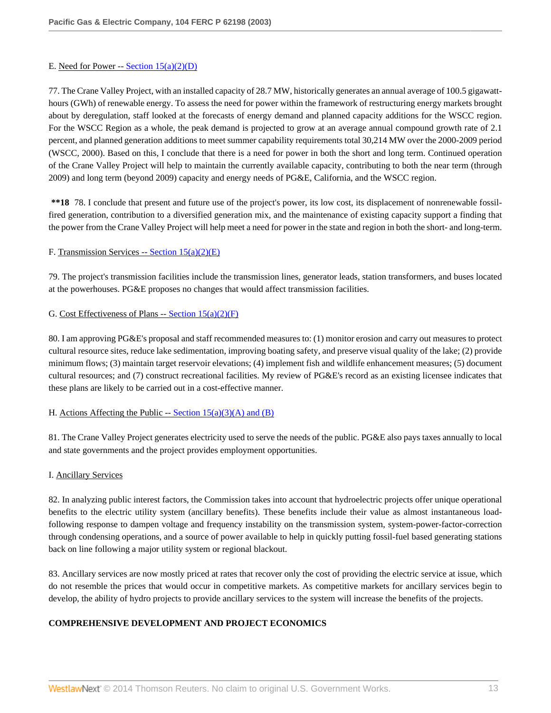### E. Need for Power -- Section  $15(a)(2)(D)$

77. The Crane Valley Project, with an installed capacity of 28.7 MW, historically generates an annual average of 100.5 gigawatthours (GWh) of renewable energy. To assess the need for power within the framework of restructuring energy markets brought about by deregulation, staff looked at the forecasts of energy demand and planned capacity additions for the WSCC region. For the WSCC Region as a whole, the peak demand is projected to grow at an average annual compound growth rate of 2.1 percent, and planned generation additions to meet summer capability requirements total 30,214 MW over the 2000-2009 period (WSCC, 2000). Based on this, I conclude that there is a need for power in both the short and long term. Continued operation of the Crane Valley Project will help to maintain the currently available capacity, contributing to both the near term (through 2009) and long term (beyond 2009) capacity and energy needs of PG&E, California, and the WSCC region.

**\*\*18** 78. I conclude that present and future use of the project's power, its low cost, its displacement of nonrenewable fossilfired generation, contribution to a diversified generation mix, and the maintenance of existing capacity support a finding that the power from the Crane Valley Project will help meet a need for power in the state and region in both the short- and long-term.

# F. Transmission Services -- [Section 15\(a\)\(2\)\(E\)](http://www.westlaw.com/Link/Document/FullText?findType=L&pubNum=1000546&cite=16USCAS15&originatingDoc=Ie835b436391d11dbb0d3b726c66cf290&refType=LQ&originationContext=document&vr=3.0&rs=cblt1.0&transitionType=DocumentItem&contextData=(sc.Search))

79. The project's transmission facilities include the transmission lines, generator leads, station transformers, and buses located at the powerhouses. PG&E proposes no changes that would affect transmission facilities.

# G. Cost Effectiveness of Plans -- Section  $15(a)(2)(F)$

80. I am approving PG&E's proposal and staff recommended measures to: (1) monitor erosion and carry out measures to protect cultural resource sites, reduce lake sedimentation, improving boating safety, and preserve visual quality of the lake; (2) provide minimum flows; (3) maintain target reservoir elevations; (4) implement fish and wildlife enhancement measures; (5) document cultural resources; and (7) construct recreational facilities. My review of PG&E's record as an existing licensee indicates that these plans are likely to be carried out in a cost-effective manner.

#### H. Actions Affecting the Public  $-$  [Section 15\(a\)\(3\)\(A\) and \(B\)](http://www.westlaw.com/Link/Document/FullText?findType=L&pubNum=1000546&cite=16USCAS15&originatingDoc=Ie835b436391d11dbb0d3b726c66cf290&refType=LQ&originationContext=document&vr=3.0&rs=cblt1.0&transitionType=DocumentItem&contextData=(sc.Search))

81. The Crane Valley Project generates electricity used to serve the needs of the public. PG&E also pays taxes annually to local and state governments and the project provides employment opportunities.

#### I. Ancillary Services

82. In analyzing public interest factors, the Commission takes into account that hydroelectric projects offer unique operational benefits to the electric utility system (ancillary benefits). These benefits include their value as almost instantaneous loadfollowing response to dampen voltage and frequency instability on the transmission system, system-power-factor-correction through condensing operations, and a source of power available to help in quickly putting fossil-fuel based generating stations back on line following a major utility system or regional blackout.

83. Ancillary services are now mostly priced at rates that recover only the cost of providing the electric service at issue, which do not resemble the prices that would occur in competitive markets. As competitive markets for ancillary services begin to develop, the ability of hydro projects to provide ancillary services to the system will increase the benefits of the projects.

# **COMPREHENSIVE DEVELOPMENT AND PROJECT ECONOMICS**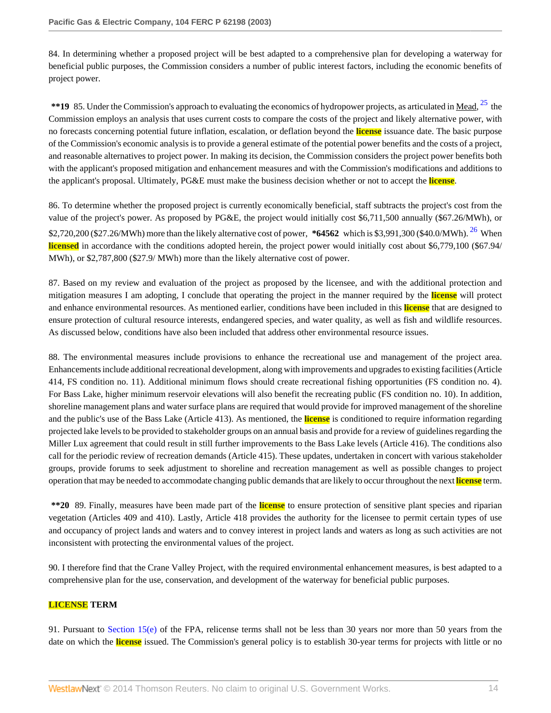84. In determining whether a proposed project will be best adapted to a comprehensive plan for developing a waterway for beneficial public purposes, the Commission considers a number of public interest factors, including the economic benefits of project power.

<span id="page-13-0"></span>\*\*19 85. Under the Commission's approach to evaluating the economics of hydropower projects, as articulated in <u>Mead, <sup>[25](#page-43-1)</sup></u> the Commission employs an analysis that uses current costs to compare the costs of the project and likely alternative power, with no forecasts concerning potential future inflation, escalation, or deflation beyond the **license** issuance date. The basic purpose of the Commission's economic analysis is to provide a general estimate of the potential power benefits and the costs of a project, and reasonable alternatives to project power. In making its decision, the Commission considers the project power benefits both with the applicant's proposed mitigation and enhancement measures and with the Commission's modifications and additions to the applicant's proposal. Ultimately, PG&E must make the business decision whether or not to accept the **license**.

<span id="page-13-1"></span>86. To determine whether the proposed project is currently economically beneficial, staff subtracts the project's cost from the value of the project's power. As proposed by PG&E, the project would initially cost \$6,711,500 annually (\$67.26/MWh), or \$2,720,200 (\$27.26/MWh) more than the likely alternative cost of power, **\*64562** which is \$3,991,300 (\$40.0/MWh). [26](#page-43-2) When **licensed** in accordance with the conditions adopted herein, the project power would initially cost about \$6,779,100 (\$67.94/ MWh), or \$2,787,800 (\$27.9/ MWh) more than the likely alternative cost of power.

87. Based on my review and evaluation of the project as proposed by the licensee, and with the additional protection and mitigation measures I am adopting, I conclude that operating the project in the manner required by the **license** will protect and enhance environmental resources. As mentioned earlier, conditions have been included in this **license** that are designed to ensure protection of cultural resource interests, endangered species, and water quality, as well as fish and wildlife resources. As discussed below, conditions have also been included that address other environmental resource issues.

88. The environmental measures include provisions to enhance the recreational use and management of the project area. Enhancements include additional recreational development, along with improvements and upgrades to existing facilities (Article 414, FS condition no. 11). Additional minimum flows should create recreational fishing opportunities (FS condition no. 4). For Bass Lake, higher minimum reservoir elevations will also benefit the recreating public (FS condition no. 10). In addition, shoreline management plans and water surface plans are required that would provide for improved management of the shoreline and the public's use of the Bass Lake (Article 413). As mentioned, the **license** is conditioned to require information regarding projected lake levels to be provided to stakeholder groups on an annual basis and provide for a review of guidelines regarding the Miller Lux agreement that could result in still further improvements to the Bass Lake levels (Article 416). The conditions also call for the periodic review of recreation demands (Article 415). These updates, undertaken in concert with various stakeholder groups, provide forums to seek adjustment to shoreline and recreation management as well as possible changes to project operation that may be needed to accommodate changing public demands that are likely to occur throughout the next **license** term.

**\*\*20** 89. Finally, measures have been made part of the **license** to ensure protection of sensitive plant species and riparian vegetation (Articles 409 and 410). Lastly, Article 418 provides the authority for the licensee to permit certain types of use and occupancy of project lands and waters and to convey interest in project lands and waters as long as such activities are not inconsistent with protecting the environmental values of the project.

90. I therefore find that the Crane Valley Project, with the required environmental enhancement measures, is best adapted to a comprehensive plan for the use, conservation, and development of the waterway for beneficial public purposes.

# **LICENSE TERM**

91. Pursuant to [Section 15\(e\)](http://www.westlaw.com/Link/Document/FullText?findType=L&pubNum=1000546&cite=16USCAS15&originatingDoc=Ie835b436391d11dbb0d3b726c66cf290&refType=LQ&originationContext=document&vr=3.0&rs=cblt1.0&transitionType=DocumentItem&contextData=(sc.Search)) of the FPA, relicense terms shall not be less than 30 years nor more than 50 years from the date on which the **license** issued. The Commission's general policy is to establish 30-year terms for projects with little or no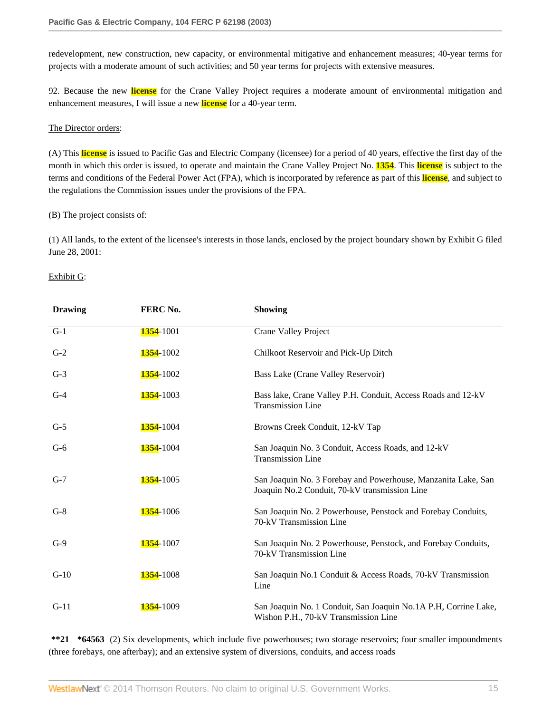redevelopment, new construction, new capacity, or environmental mitigative and enhancement measures; 40-year terms for projects with a moderate amount of such activities; and 50 year terms for projects with extensive measures.

92. Because the new **license** for the Crane Valley Project requires a moderate amount of environmental mitigation and enhancement measures, I will issue a new **license** for a 40-year term.

#### The Director orders:

(A) This **license** is issued to Pacific Gas and Electric Company (licensee) for a period of 40 years, effective the first day of the month in which this order is issued, to operate and maintain the Crane Valley Project No. **1354**. This **license** is subject to the terms and conditions of the Federal Power Act (FPA), which is incorporated by reference as part of this **license**, and subject to the regulations the Commission issues under the provisions of the FPA.

### (B) The project consists of:

(1) All lands, to the extent of the licensee's interests in those lands, enclosed by the project boundary shown by Exhibit G filed June 28, 2001:

# Exhibit G:

| <b>Drawing</b> | FERC No.          | <b>Showing</b>                                                                                                 |
|----------------|-------------------|----------------------------------------------------------------------------------------------------------------|
| $G-1$          | <b>1354</b> -1001 | Crane Valley Project                                                                                           |
| $G-2$          | 1354-1002         | Chilkoot Reservoir and Pick-Up Ditch                                                                           |
| $G-3$          | 1354-1002         | Bass Lake (Crane Valley Reservoir)                                                                             |
| $G-4$          | 1354-1003         | Bass lake, Crane Valley P.H. Conduit, Access Roads and 12-kV<br><b>Transmission Line</b>                       |
| $G-5$          | <b>1354</b> -1004 | Browns Creek Conduit, 12-kV Tap                                                                                |
| $G-6$          | <b>1354</b> -1004 | San Joaquin No. 3 Conduit, Access Roads, and 12-kV<br><b>Transmission Line</b>                                 |
| $G-7$          | <b>1354</b> -1005 | San Joaquin No. 3 Forebay and Powerhouse, Manzanita Lake, San<br>Joaquin No.2 Conduit, 70-kV transmission Line |
| $G-8$          | <b>1354</b> -1006 | San Joaquin No. 2 Powerhouse, Penstock and Forebay Conduits,<br>70-kV Transmission Line                        |
| $G-9$          | <b>1354</b> -1007 | San Joaquin No. 2 Powerhouse, Penstock, and Forebay Conduits,<br>70-kV Transmission Line                       |
| $G-10$         | <b>1354</b> -1008 | San Joaquin No.1 Conduit & Access Roads, 70-kV Transmission<br>Line                                            |
| $G-11$         | <b>1354</b> -1009 | San Joaquin No. 1 Conduit, San Joaquin No.1A P.H, Corrine Lake,<br>Wishon P.H., 70-kV Transmission Line        |

**\*\*21 \*64563** (2) Six developments, which include five powerhouses; two storage reservoirs; four smaller impoundments (three forebays, one afterbay); and an extensive system of diversions, conduits, and access roads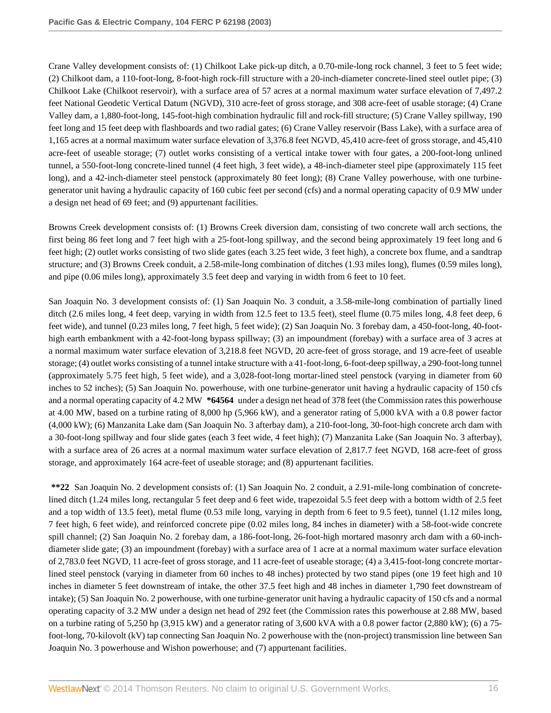Crane Valley development consists of: (1) Chilkoot Lake pick-up ditch, a 0.70-mile-long rock channel, 3 feet to 5 feet wide; (2) Chilkoot dam, a 110-foot-long, 8-foot-high rock-fill structure with a 20-inch-diameter concrete-lined steel outlet pipe; (3) Chilkoot Lake (Chilkoot reservoir), with a surface area of 57 acres at a normal maximum water surface elevation of 7,497.2 feet National Geodetic Vertical Datum (NGVD), 310 acre-feet of gross storage, and 308 acre-feet of usable storage; (4) Crane Valley dam, a 1,880-foot-long, 145-foot-high combination hydraulic fill and rock-fill structure; (5) Crane Valley spillway, 190 feet long and 15 feet deep with flashboards and two radial gates; (6) Crane Valley reservoir (Bass Lake), with a surface area of 1,165 acres at a normal maximum water surface elevation of 3,376.8 feet NGVD, 45,410 acre-feet of gross storage, and 45,410 acre-feet of useable storage; (7) outlet works consisting of a vertical intake tower with four gates, a 200-foot-long unlined tunnel, a 550-foot-long concrete-lined tunnel (4 feet high, 3 feet wide), a 48-inch-diameter steel pipe (approximately 115 feet long), and a 42-inch-diameter steel penstock (approximately 80 feet long); (8) Crane Valley powerhouse, with one turbinegenerator unit having a hydraulic capacity of 160 cubic feet per second (cfs) and a normal operating capacity of 0.9 MW under a design net head of 69 feet; and (9) appurtenant facilities.

Browns Creek development consists of: (1) Browns Creek diversion dam, consisting of two concrete wall arch sections, the first being 86 feet long and 7 feet high with a 25-foot-long spillway, and the second being approximately 19 feet long and 6 feet high; (2) outlet works consisting of two slide gates (each 3.25 feet wide, 3 feet high), a concrete box flume, and a sandtrap structure; and (3) Browns Creek conduit, a 2.58-mile-long combination of ditches (1.93 miles long), flumes (0.59 miles long), and pipe (0.06 miles long), approximately 3.5 feet deep and varying in width from 6 feet to 10 feet.

San Joaquin No. 3 development consists of: (1) San Joaquin No. 3 conduit, a 3.58-mile-long combination of partially lined ditch (2.6 miles long, 4 feet deep, varying in width from 12.5 feet to 13.5 feet), steel flume (0.75 miles long, 4.8 feet deep, 6 feet wide), and tunnel (0.23 miles long, 7 feet high, 5 feet wide); (2) San Joaquin No. 3 forebay dam, a 450-foot-long, 40-foothigh earth embankment with a 42-foot-long bypass spillway; (3) an impoundment (forebay) with a surface area of 3 acres at a normal maximum water surface elevation of 3,218.8 feet NGVD, 20 acre-feet of gross storage, and 19 acre-feet of useable storage; (4) outlet works consisting of a tunnel intake structure with a 41-foot-long, 6-foot-deep spillway, a 290-foot-long tunnel (approximately 5.75 feet high, 5 feet wide), and a 3,028-foot-long mortar-lined steel penstock (varying in diameter from 60 inches to 52 inches); (5) San Joaquin No. powerhouse, with one turbine-generator unit having a hydraulic capacity of 150 cfs and a normal operating capacity of 4.2 MW **\*64564** under a design net head of 378 feet (the Commission rates this powerhouse at 4.00 MW, based on a turbine rating of 8,000 hp (5,966 kW), and a generator rating of 5,000 kVA with a 0.8 power factor (4,000 kW); (6) Manzanita Lake dam (San Joaquin No. 3 afterbay dam), a 210-foot-long, 30-foot-high concrete arch dam with a 30-foot-long spillway and four slide gates (each 3 feet wide, 4 feet high); (7) Manzanita Lake (San Joaquin No. 3 afterbay), with a surface area of 26 acres at a normal maximum water surface elevation of 2,817.7 feet NGVD, 168 acre-feet of gross storage, and approximately 164 acre-feet of useable storage; and (8) appurtenant facilities.

**\*\*22** San Joaquin No. 2 development consists of: (1) San Joaquin No. 2 conduit, a 2.91-mile-long combination of concretelined ditch (1.24 miles long, rectangular 5 feet deep and 6 feet wide, trapezoidal 5.5 feet deep with a bottom width of 2.5 feet and a top width of 13.5 feet), metal flume (0.53 mile long, varying in depth from 6 feet to 9.5 feet), tunnel (1.12 miles long, 7 feet high, 6 feet wide), and reinforced concrete pipe (0.02 miles long, 84 inches in diameter) with a 58-foot-wide concrete spill channel; (2) San Joaquin No. 2 forebay dam, a 186-foot-long, 26-foot-high mortared masonry arch dam with a 60-inchdiameter slide gate; (3) an impoundment (forebay) with a surface area of 1 acre at a normal maximum water surface elevation of 2,783.0 feet NGVD, 11 acre-feet of gross storage, and 11 acre-feet of useable storage; (4) a 3,415-foot-long concrete mortarlined steel penstock (varying in diameter from 60 inches to 48 inches) protected by two stand pipes (one 19 feet high and 10 inches in diameter 5 feet downstream of intake, the other 37.5 feet high and 48 inches in diameter 1,790 feet downstream of intake); (5) San Joaquin No. 2 powerhouse, with one turbine-generator unit having a hydraulic capacity of 150 cfs and a normal operating capacity of 3.2 MW under a design net head of 292 feet (the Commission rates this powerhouse at 2.88 MW, based on a turbine rating of 5,250 hp (3,915 kW) and a generator rating of 3,600 kVA with a 0.8 power factor (2,880 kW); (6) a 75 foot-long, 70-kilovolt (kV) tap connecting San Joaquin No. 2 powerhouse with the (non-project) transmission line between San Joaquin No. 3 powerhouse and Wishon powerhouse; and (7) appurtenant facilities.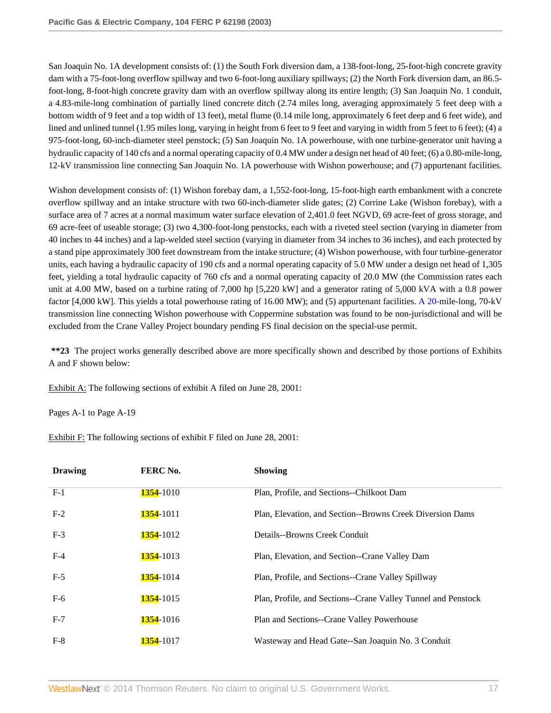San Joaquin No. 1A development consists of: (1) the South Fork diversion dam, a 138-foot-long, 25-foot-high concrete gravity dam with a 75-foot-long overflow spillway and two 6-foot-long auxiliary spillways; (2) the North Fork diversion dam, an 86.5 foot-long, 8-foot-high concrete gravity dam with an overflow spillway along its entire length; (3) San Joaquin No. 1 conduit, a 4.83-mile-long combination of partially lined concrete ditch (2.74 miles long, averaging approximately 5 feet deep with a bottom width of 9 feet and a top width of 13 feet), metal flume (0.14 mile long, approximately 6 feet deep and 6 feet wide), and lined and unlined tunnel (1.95 miles long, varying in height from 6 feet to 9 feet and varying in width from 5 feet to 6 feet); (4) a 975-foot-long, 60-inch-diameter steel penstock; (5) San Joaquin No. 1A powerhouse, with one turbine-generator unit having a hydraulic capacity of 140 cfs and a normal operating capacity of 0.4 MW under a design net head of 40 feet; (6) a 0.80-mile-long, 12-kV transmission line connecting San Joaquin No. 1A powerhouse with Wishon powerhouse; and (7) appurtenant facilities.

Wishon development consists of: (1) Wishon forebay dam, a 1,552-foot-long, 15-foot-high earth embankment with a concrete overflow spillway and an intake structure with two 60-inch-diameter slide gates; (2) Corrine Lake (Wishon forebay), with a surface area of 7 acres at a normal maximum water surface elevation of 2,401.0 feet NGVD, 69 acre-feet of gross storage, and 69 acre-feet of useable storage; (3) two 4,300-foot-long penstocks, each with a riveted steel section (varying in diameter from 40 inches to 44 inches) and a lap-welded steel section (varying in diameter from 34 inches to 36 inches), and each protected by a stand pipe approximately 300 feet downstream from the intake structure; (4) Wishon powerhouse, with four turbine-generator units, each having a hydraulic capacity of 190 cfs and a normal operating capacity of 5.0 MW under a design net head of 1,305 feet, yielding a total hydraulic capacity of 760 cfs and a normal operating capacity of 20.0 MW (the Commission rates each unit at 4.00 MW, based on a turbine rating of 7,000 hp [5,220 kW] and a generator rating of 5,000 kVA with a 0.8 power factor [4,000 kW]. This yields a total powerhouse rating of 16.00 MW); and (5) appurtenant facilities. [A 20-m](http://www.westlaw.com/Link/Document/FullText?findType=Y&pubNum=5304&cite=CGOA20&originationContext=document&vr=3.0&rs=cblt1.0&transitionType=DocumentItem&contextData=(sc.Search))ile-long, 70-kV transmission line connecting Wishon powerhouse with Coppermine substation was found to be non-jurisdictional and will be excluded from the Crane Valley Project boundary pending FS final decision on the special-use permit.

**\*\*23** The project works generally described above are more specifically shown and described by those portions of Exhibits A and F shown below:

Exhibit A: The following sections of exhibit A filed on June 28, 2001:

Pages A-1 to Page A-19

Exhibit F: The following sections of exhibit F filed on June 28, 2001:

| <b>Drawing</b> | FERC No.          | <b>Showing</b>                                                |
|----------------|-------------------|---------------------------------------------------------------|
| $F-1$          | 1354-1010         | Plan, Profile, and Sections--Chilkoot Dam                     |
| $F-2$          | <b>1354</b> -1011 | Plan, Elevation, and Section--Browns Creek Diversion Dams     |
| $F-3$          | <b>1354</b> -1012 | Details--Browns Creek Conduit                                 |
| $F-4$          | <b>1354</b> -1013 | Plan, Elevation, and Section--Crane Valley Dam                |
| $F-5$          | <b>1354</b> -1014 | Plan, Profile, and Sections--Crane Valley Spillway            |
| $F-6$          | <b>1354</b> -1015 | Plan, Profile, and Sections--Crane Valley Tunnel and Penstock |
| $F-7$          | <b>1354</b> -1016 | Plan and Sections--Crane Valley Powerhouse                    |
| $F-8$          | <b>1354</b> -1017 | Wasteway and Head Gate--San Joaquin No. 3 Conduit             |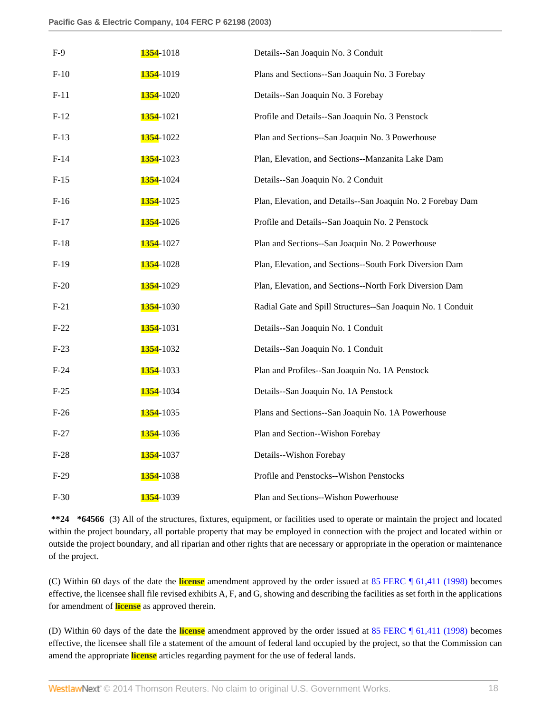| $F-9$  | <b>1354</b> -1018 | Details--San Joaquin No. 3 Conduit                          |
|--------|-------------------|-------------------------------------------------------------|
| $F-10$ | <b>1354</b> -1019 | Plans and Sections--San Joaquin No. 3 Forebay               |
| $F-11$ | <b>1354</b> -1020 | Details--San Joaquin No. 3 Forebay                          |
| $F-12$ | <b>1354</b> -1021 | Profile and Details--San Joaquin No. 3 Penstock             |
| $F-13$ | <b>1354</b> -1022 | Plan and Sections--San Joaquin No. 3 Powerhouse             |
| $F-14$ | 1354-1023         | Plan, Elevation, and Sections--Manzanita Lake Dam           |
| $F-15$ | <b>1354</b> -1024 | Details--San Joaquin No. 2 Conduit                          |
| $F-16$ | <b>1354</b> -1025 | Plan, Elevation, and Details--San Joaquin No. 2 Forebay Dam |
| $F-17$ | <b>1354</b> -1026 | Profile and Details--San Joaquin No. 2 Penstock             |
| $F-18$ | <b>1354</b> -1027 | Plan and Sections--San Joaquin No. 2 Powerhouse             |
| $F-19$ | 1354-1028         | Plan, Elevation, and Sections--South Fork Diversion Dam     |
| $F-20$ | <b>1354</b> -1029 | Plan, Elevation, and Sections--North Fork Diversion Dam     |
| $F-21$ | <b>1354</b> -1030 | Radial Gate and Spill Structures--San Joaquin No. 1 Conduit |
| $F-22$ | <b>1354</b> -1031 | Details--San Joaquin No. 1 Conduit                          |
| $F-23$ | <b>1354</b> -1032 | Details--San Joaquin No. 1 Conduit                          |
| $F-24$ | <b>1354</b> -1033 | Plan and Profiles--San Joaquin No. 1A Penstock              |
| $F-25$ | <b>1354</b> -1034 | Details--San Joaquin No. 1A Penstock                        |
| $F-26$ | <b>1354</b> -1035 | Plans and Sections--San Joaquin No. 1A Powerhouse           |
| $F-27$ | <b>1354</b> -1036 | Plan and Section--Wishon Forebay                            |
| $F-28$ | <b>1354</b> -1037 | Details--Wishon Forebay                                     |
| $F-29$ | <b>1354</b> -1038 | Profile and Penstocks--Wishon Penstocks                     |
| $F-30$ | <b>1354</b> -1039 | Plan and Sections--Wishon Powerhouse                        |

**\*\*24 \*64566** (3) All of the structures, fixtures, equipment, or facilities used to operate or maintain the project and located within the project boundary, all portable property that may be employed in connection with the project and located within or outside the project boundary, and all riparian and other rights that are necessary or appropriate in the operation or maintenance of the project.

(C) Within 60 days of the date the **license** amendment approved by the order issued at [85 FERC ¶ 61,411 \(1998\)](http://www.westlaw.com/Link/Document/FullText?findType=Y&serNum=1998476489&originationContext=document&vr=3.0&rs=cblt1.0&transitionType=DocumentItem&contextData=(sc.Search)) becomes effective, the licensee shall file revised exhibits A, F, and G, showing and describing the facilities as set forth in the applications for amendment of **license** as approved therein.

(D) Within 60 days of the date the **license** amendment approved by the order issued at [85 FERC ¶ 61,411 \(1998\)](http://www.westlaw.com/Link/Document/FullText?findType=Y&serNum=1998476489&originationContext=document&vr=3.0&rs=cblt1.0&transitionType=DocumentItem&contextData=(sc.Search)) becomes effective, the licensee shall file a statement of the amount of federal land occupied by the project, so that the Commission can amend the appropriate **license** articles regarding payment for the use of federal lands.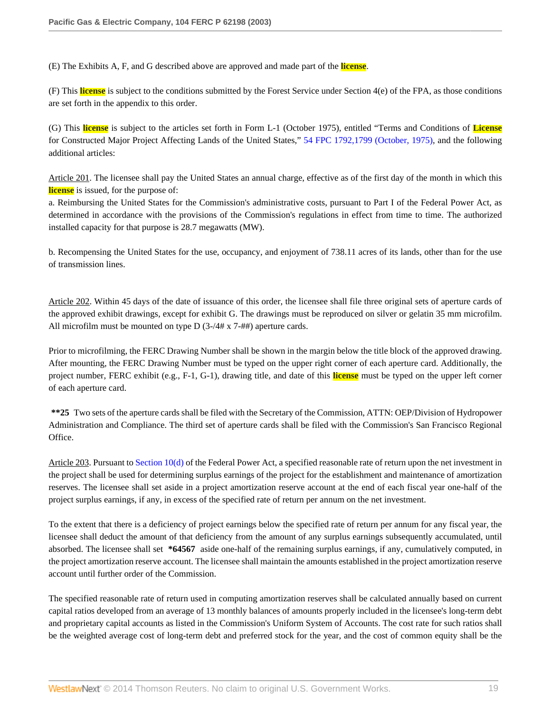(E) The Exhibits A, F, and G described above are approved and made part of the **license**.

(F) This **license** is subject to the conditions submitted by the Forest Service under Section 4(e) of the FPA, as those conditions are set forth in the appendix to this order.

(G) This **license** is subject to the articles set forth in Form L-1 (October 1975), entitled "Terms and Conditions of **License** for Constructed Major Project Affecting Lands of the United States," [54 FPC 1792,1799 \(October, 1975\)](http://www.westlaw.com/Link/Document/FullText?findType=Y&serNum=1975152005&pubNum=921&originationContext=document&vr=3.0&rs=cblt1.0&transitionType=DocumentItem&contextData=(sc.Search)#co_pp_sp_921_1799), and the following additional articles:

Article 201. The licensee shall pay the United States an annual charge, effective as of the first day of the month in which this **license** is issued, for the purpose of:

a. Reimbursing the United States for the Commission's administrative costs, pursuant to Part I of the Federal Power Act, as determined in accordance with the provisions of the Commission's regulations in effect from time to time. The authorized installed capacity for that purpose is 28.7 megawatts (MW).

b. Recompensing the United States for the use, occupancy, and enjoyment of 738.11 acres of its lands, other than for the use of transmission lines.

Article 202. Within 45 days of the date of issuance of this order, the licensee shall file three original sets of aperture cards of the approved exhibit drawings, except for exhibit G. The drawings must be reproduced on silver or gelatin 35 mm microfilm. All microfilm must be mounted on type D (3-/4# x 7-##) aperture cards.

Prior to microfilming, the FERC Drawing Number shall be shown in the margin below the title block of the approved drawing. After mounting, the FERC Drawing Number must be typed on the upper right corner of each aperture card. Additionally, the project number, FERC exhibit (e.g., F-1, G-1), drawing title, and date of this **license** must be typed on the upper left corner of each aperture card.

**\*\*25** Two sets of the aperture cards shall be filed with the Secretary of the Commission, ATTN: OEP/Division of Hydropower Administration and Compliance. The third set of aperture cards shall be filed with the Commission's San Francisco Regional Office.

Article 203. Pursuant to [Section 10\(d\)](http://www.westlaw.com/Link/Document/FullText?findType=L&pubNum=1000546&cite=16USCAS10&originatingDoc=Ie835b436391d11dbb0d3b726c66cf290&refType=LQ&originationContext=document&vr=3.0&rs=cblt1.0&transitionType=DocumentItem&contextData=(sc.Search)) of the Federal Power Act, a specified reasonable rate of return upon the net investment in the project shall be used for determining surplus earnings of the project for the establishment and maintenance of amortization reserves. The licensee shall set aside in a project amortization reserve account at the end of each fiscal year one-half of the project surplus earnings, if any, in excess of the specified rate of return per annum on the net investment.

To the extent that there is a deficiency of project earnings below the specified rate of return per annum for any fiscal year, the licensee shall deduct the amount of that deficiency from the amount of any surplus earnings subsequently accumulated, until absorbed. The licensee shall set **\*64567** aside one-half of the remaining surplus earnings, if any, cumulatively computed, in the project amortization reserve account. The licensee shall maintain the amounts established in the project amortization reserve account until further order of the Commission.

The specified reasonable rate of return used in computing amortization reserves shall be calculated annually based on current capital ratios developed from an average of 13 monthly balances of amounts properly included in the licensee's long-term debt and proprietary capital accounts as listed in the Commission's Uniform System of Accounts. The cost rate for such ratios shall be the weighted average cost of long-term debt and preferred stock for the year, and the cost of common equity shall be the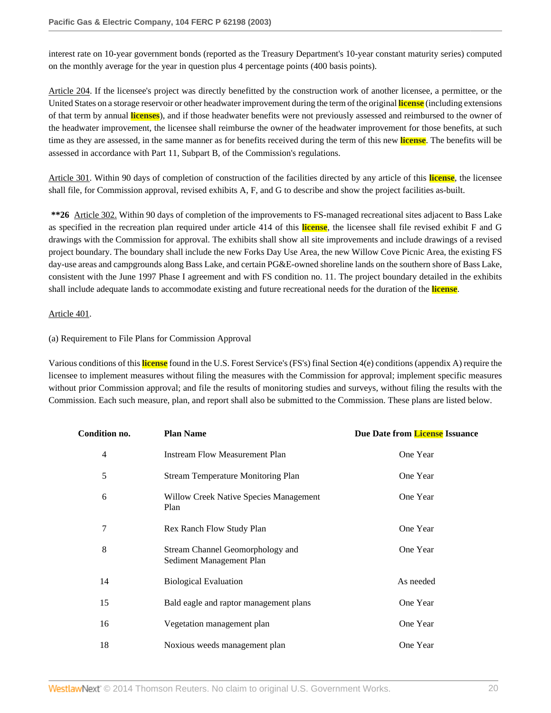interest rate on 10-year government bonds (reported as the Treasury Department's 10-year constant maturity series) computed on the monthly average for the year in question plus 4 percentage points (400 basis points).

Article 204. If the licensee's project was directly benefitted by the construction work of another licensee, a permittee, or the United States on a storage reservoir or other headwater improvement during the term of the original **license** (including extensions of that term by annual **licenses**), and if those headwater benefits were not previously assessed and reimbursed to the owner of the headwater improvement, the licensee shall reimburse the owner of the headwater improvement for those benefits, at such time as they are assessed, in the same manner as for benefits received during the term of this new **license**. The benefits will be assessed in accordance with Part 11, Subpart B, of the Commission's regulations.

Article 301. Within 90 days of completion of construction of the facilities directed by any article of this **license**, the licensee shall file, for Commission approval, revised exhibits A, F, and G to describe and show the project facilities as-built.

**\*\*26** Article 302. Within 90 days of completion of the improvements to FS-managed recreational sites adjacent to Bass Lake as specified in the recreation plan required under article 414 of this **license**, the licensee shall file revised exhibit F and G drawings with the Commission for approval. The exhibits shall show all site improvements and include drawings of a revised project boundary. The boundary shall include the new Forks Day Use Area, the new Willow Cove Picnic Area, the existing FS day-use areas and campgrounds along Bass Lake, and certain PG&E-owned shoreline lands on the southern shore of Bass Lake, consistent with the June 1997 Phase I agreement and with FS condition no. 11. The project boundary detailed in the exhibits shall include adequate lands to accommodate existing and future recreational needs for the duration of the **license**.

### Article 401.

### (a) Requirement to File Plans for Commission Approval

Various conditions of this **license** found in the U.S. Forest Service's (FS's) final Section 4(e) conditions (appendix A) require the licensee to implement measures without filing the measures with the Commission for approval; implement specific measures without prior Commission approval; and file the results of monitoring studies and surveys, without filing the results with the Commission. Each such measure, plan, and report shall also be submitted to the Commission. These plans are listed below.

| <b>Condition no.</b> | <b>Plan Name</b>                                             | Due Date from License Issuance |
|----------------------|--------------------------------------------------------------|--------------------------------|
| $\overline{4}$       | <b>Instream Flow Measurement Plan</b>                        | One Year                       |
| 5                    | <b>Stream Temperature Monitoring Plan</b>                    | One Year                       |
| 6                    | Willow Creek Native Species Management<br>Plan               | One Year                       |
| 7                    | Rex Ranch Flow Study Plan                                    | One Year                       |
| 8                    | Stream Channel Geomorphology and<br>Sediment Management Plan | One Year                       |
| 14                   | <b>Biological Evaluation</b>                                 | As needed                      |
| 15                   | Bald eagle and raptor management plans                       | One Year                       |
| 16                   | Vegetation management plan                                   | One Year                       |
| 18                   | Noxious weeds management plan                                | One Year                       |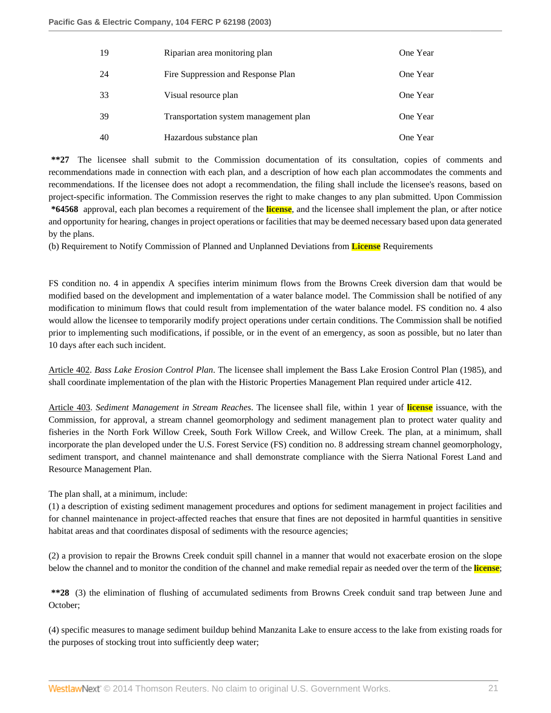| 19 | Riparian area monitoring plan         | One Year |
|----|---------------------------------------|----------|
| 24 | Fire Suppression and Response Plan    | One Year |
| 33 | Visual resource plan                  | One Year |
| 39 | Transportation system management plan | One Year |
| 40 | Hazardous substance plan              | One Year |

**\*\*27** The licensee shall submit to the Commission documentation of its consultation, copies of comments and recommendations made in connection with each plan, and a description of how each plan accommodates the comments and recommendations. If the licensee does not adopt a recommendation, the filing shall include the licensee's reasons, based on project-specific information. The Commission reserves the right to make changes to any plan submitted. Upon Commission

**\*64568** approval, each plan becomes a requirement of the **license**, and the licensee shall implement the plan, or after notice and opportunity for hearing, changes in project operations or facilities that may be deemed necessary based upon data generated by the plans.

(b) Requirement to Notify Commission of Planned and Unplanned Deviations from **License** Requirements

FS condition no. 4 in appendix A specifies interim minimum flows from the Browns Creek diversion dam that would be modified based on the development and implementation of a water balance model. The Commission shall be notified of any modification to minimum flows that could result from implementation of the water balance model. FS condition no. 4 also would allow the licensee to temporarily modify project operations under certain conditions. The Commission shall be notified prior to implementing such modifications, if possible, or in the event of an emergency, as soon as possible, but no later than 10 days after each such incident.

Article 402. *Bass Lake Erosion Control Plan*. The licensee shall implement the Bass Lake Erosion Control Plan (1985), and shall coordinate implementation of the plan with the Historic Properties Management Plan required under article 412.

Article 403. *Sediment Management in Stream Reaches*. The licensee shall file, within 1 year of **license** issuance, with the Commission, for approval, a stream channel geomorphology and sediment management plan to protect water quality and fisheries in the North Fork Willow Creek, South Fork Willow Creek, and Willow Creek. The plan, at a minimum, shall incorporate the plan developed under the U.S. Forest Service (FS) condition no. 8 addressing stream channel geomorphology, sediment transport, and channel maintenance and shall demonstrate compliance with the Sierra National Forest Land and Resource Management Plan.

The plan shall, at a minimum, include:

(1) a description of existing sediment management procedures and options for sediment management in project facilities and for channel maintenance in project-affected reaches that ensure that fines are not deposited in harmful quantities in sensitive habitat areas and that coordinates disposal of sediments with the resource agencies;

(2) a provision to repair the Browns Creek conduit spill channel in a manner that would not exacerbate erosion on the slope below the channel and to monitor the condition of the channel and make remedial repair as needed over the term of the **license**;

**\*\*28** (3) the elimination of flushing of accumulated sediments from Browns Creek conduit sand trap between June and October;

(4) specific measures to manage sediment buildup behind Manzanita Lake to ensure access to the lake from existing roads for the purposes of stocking trout into sufficiently deep water;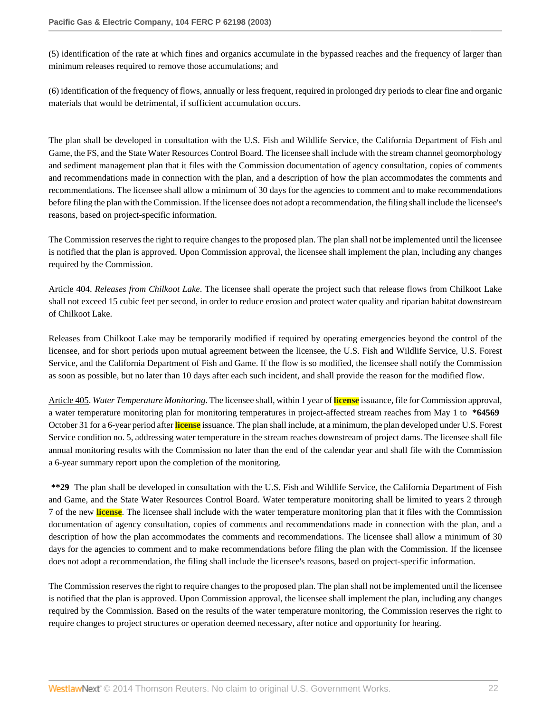(5) identification of the rate at which fines and organics accumulate in the bypassed reaches and the frequency of larger than minimum releases required to remove those accumulations; and

(6) identification of the frequency of flows, annually or less frequent, required in prolonged dry periods to clear fine and organic materials that would be detrimental, if sufficient accumulation occurs.

The plan shall be developed in consultation with the U.S. Fish and Wildlife Service, the California Department of Fish and Game, the FS, and the State Water Resources Control Board. The licensee shall include with the stream channel geomorphology and sediment management plan that it files with the Commission documentation of agency consultation, copies of comments and recommendations made in connection with the plan, and a description of how the plan accommodates the comments and recommendations. The licensee shall allow a minimum of 30 days for the agencies to comment and to make recommendations before filing the plan with the Commission. If the licensee does not adopt a recommendation, the filing shall include the licensee's reasons, based on project-specific information.

The Commission reserves the right to require changes to the proposed plan. The plan shall not be implemented until the licensee is notified that the plan is approved. Upon Commission approval, the licensee shall implement the plan, including any changes required by the Commission.

Article 404. *Releases from Chilkoot Lake*. The licensee shall operate the project such that release flows from Chilkoot Lake shall not exceed 15 cubic feet per second, in order to reduce erosion and protect water quality and riparian habitat downstream of Chilkoot Lake.

Releases from Chilkoot Lake may be temporarily modified if required by operating emergencies beyond the control of the licensee, and for short periods upon mutual agreement between the licensee, the U.S. Fish and Wildlife Service, U.S. Forest Service, and the California Department of Fish and Game. If the flow is so modified, the licensee shall notify the Commission as soon as possible, but no later than 10 days after each such incident, and shall provide the reason for the modified flow.

Article 405. *Water Temperature Monitoring*. The licensee shall, within 1 year of **license** issuance, file for Commission approval, a water temperature monitoring plan for monitoring temperatures in project-affected stream reaches from May 1 to **\*64569** October 31 for a 6-year period after **license** issuance. The plan shall include, at a minimum, the plan developed under U.S. Forest Service condition no. 5, addressing water temperature in the stream reaches downstream of project dams. The licensee shall file annual monitoring results with the Commission no later than the end of the calendar year and shall file with the Commission a 6-year summary report upon the completion of the monitoring.

**\*\*29** The plan shall be developed in consultation with the U.S. Fish and Wildlife Service, the California Department of Fish and Game, and the State Water Resources Control Board. Water temperature monitoring shall be limited to years 2 through 7 of the new **license**. The licensee shall include with the water temperature monitoring plan that it files with the Commission documentation of agency consultation, copies of comments and recommendations made in connection with the plan, and a description of how the plan accommodates the comments and recommendations. The licensee shall allow a minimum of 30 days for the agencies to comment and to make recommendations before filing the plan with the Commission. If the licensee does not adopt a recommendation, the filing shall include the licensee's reasons, based on project-specific information.

The Commission reserves the right to require changes to the proposed plan. The plan shall not be implemented until the licensee is notified that the plan is approved. Upon Commission approval, the licensee shall implement the plan, including any changes required by the Commission. Based on the results of the water temperature monitoring, the Commission reserves the right to require changes to project structures or operation deemed necessary, after notice and opportunity for hearing.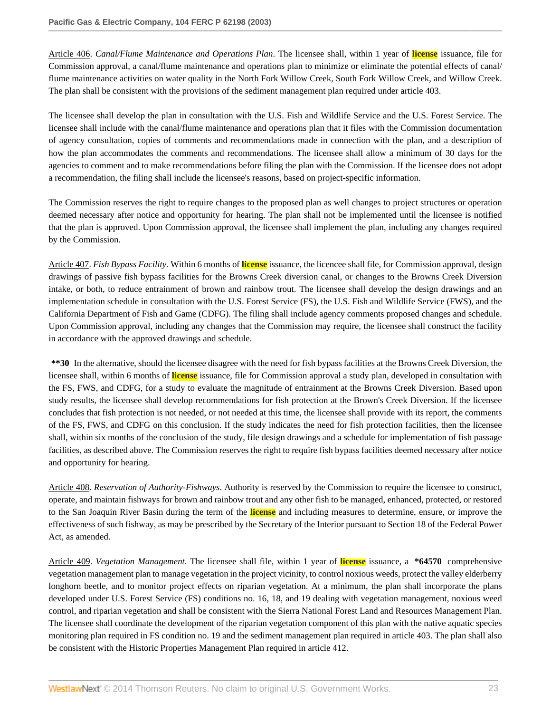Article 406. *Canal/Flume Maintenance and Operations Plan*. The licensee shall, within 1 year of **license** issuance, file for Commission approval, a canal/flume maintenance and operations plan to minimize or eliminate the potential effects of canal/ flume maintenance activities on water quality in the North Fork Willow Creek, South Fork Willow Creek, and Willow Creek. The plan shall be consistent with the provisions of the sediment management plan required under article 403.

The licensee shall develop the plan in consultation with the U.S. Fish and Wildlife Service and the U.S. Forest Service. The licensee shall include with the canal/flume maintenance and operations plan that it files with the Commission documentation of agency consultation, copies of comments and recommendations made in connection with the plan, and a description of how the plan accommodates the comments and recommendations. The licensee shall allow a minimum of 30 days for the agencies to comment and to make recommendations before filing the plan with the Commission. If the licensee does not adopt a recommendation, the filing shall include the licensee's reasons, based on project-specific information.

The Commission reserves the right to require changes to the proposed plan as well changes to project structures or operation deemed necessary after notice and opportunity for hearing. The plan shall not be implemented until the licensee is notified that the plan is approved. Upon Commission approval, the licensee shall implement the plan, including any changes required by the Commission.

Article 407. *Fish Bypass Facility.* Within 6 months of **license** issuance, the licencee shall file, for Commission approval, design drawings of passive fish bypass facilities for the Browns Creek diversion canal, or changes to the Browns Creek Diversion intake, or both, to reduce entrainment of brown and rainbow trout. The licensee shall develop the design drawings and an implementation schedule in consultation with the U.S. Forest Service (FS), the U.S. Fish and Wildlife Service (FWS), and the California Department of Fish and Game (CDFG). The filing shall include agency comments proposed changes and schedule. Upon Commission approval, including any changes that the Commission may require, the licensee shall construct the facility in accordance with the approved drawings and schedule.

**\*\*30** In the alternative, should the licensee disagree with the need for fish bypass facilities at the Browns Creek Diversion, the licensee shall, within 6 months of **license** issuance, file for Commission approval a study plan, developed in consultation with the FS, FWS, and CDFG, for a study to evaluate the magnitude of entrainment at the Browns Creek Diversion. Based upon study results, the licensee shall develop recommendations for fish protection at the Brown's Creek Diversion. If the licensee concludes that fish protection is not needed, or not needed at this time, the licensee shall provide with its report, the comments of the FS, FWS, and CDFG on this conclusion. If the study indicates the need for fish protection facilities, then the licensee shall, within six months of the conclusion of the study, file design drawings and a schedule for implementation of fish passage facilities, as described above. The Commission reserves the right to require fish bypass facilities deemed necessary after notice and opportunity for hearing.

Article 408. *Reservation of Authority-Fishways*. Authority is reserved by the Commission to require the licensee to construct, operate, and maintain fishways for brown and rainbow trout and any other fish to be managed, enhanced, protected, or restored to the San Joaquin River Basin during the term of the **license** and including measures to determine, ensure, or improve the effectiveness of such fishway, as may be prescribed by the Secretary of the Interior pursuant to Section 18 of the Federal Power Act, as amended.

Article 409. *Vegetation Management*. The licensee shall file, within 1 year of **license** issuance, a **\*64570** comprehensive vegetation management plan to manage vegetation in the project vicinity, to control noxious weeds, protect the valley elderberry longhorn beetle, and to monitor project effects on riparian vegetation. At a minimum, the plan shall incorporate the plans developed under U.S. Forest Service (FS) conditions no. 16, 18, and 19 dealing with vegetation management, noxious weed control, and riparian vegetation and shall be consistent with the Sierra National Forest Land and Resources Management Plan. The licensee shall coordinate the development of the riparian vegetation component of this plan with the native aquatic species monitoring plan required in FS condition no. 19 and the sediment management plan required in article 403. The plan shall also be consistent with the Historic Properties Management Plan required in article 412.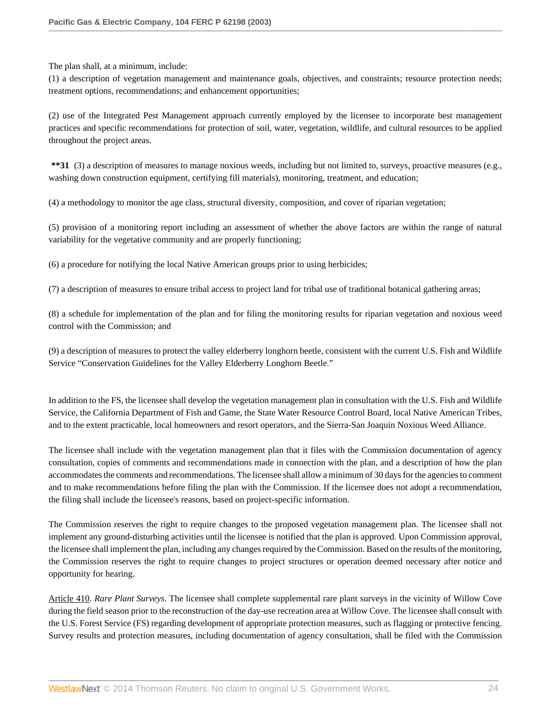The plan shall, at a minimum, include:

(1) a description of vegetation management and maintenance goals, objectives, and constraints; resource protection needs; treatment options, recommendations; and enhancement opportunities;

(2) use of the Integrated Pest Management approach currently employed by the licensee to incorporate best management practices and specific recommendations for protection of soil, water, vegetation, wildlife, and cultural resources to be applied throughout the project areas.

**\*\*31** (3) a description of measures to manage noxious weeds, including but not limited to, surveys, proactive measures (e.g., washing down construction equipment, certifying fill materials), monitoring, treatment, and education;

(4) a methodology to monitor the age class, structural diversity, composition, and cover of riparian vegetation;

(5) provision of a monitoring report including an assessment of whether the above factors are within the range of natural variability for the vegetative community and are properly functioning;

(6) a procedure for notifying the local Native American groups prior to using herbicides;

(7) a description of measures to ensure tribal access to project land for tribal use of traditional botanical gathering areas;

(8) a schedule for implementation of the plan and for filing the monitoring results for riparian vegetation and noxious weed control with the Commission; and

(9) a description of measures to protect the valley elderberry longhorn beetle, consistent with the current U.S. Fish and Wildlife Service "Conservation Guidelines for the Valley Elderberry Longhorn Beetle."

In addition to the FS, the licensee shall develop the vegetation management plan in consultation with the U.S. Fish and Wildlife Service, the California Department of Fish and Game, the State Water Resource Control Board, local Native American Tribes, and to the extent practicable, local homeowners and resort operators, and the Sierra-San Joaquin Noxious Weed Alliance.

The licensee shall include with the vegetation management plan that it files with the Commission documentation of agency consultation, copies of comments and recommendations made in connection with the plan, and a description of how the plan accommodates the comments and recommendations. The licensee shall allow a minimum of 30 days for the agencies to comment and to make recommendations before filing the plan with the Commission. If the licensee does not adopt a recommendation, the filing shall include the licensee's reasons, based on project-specific information.

The Commission reserves the right to require changes to the proposed vegetation management plan. The licensee shall not implement any ground-disturbing activities until the licensee is notified that the plan is approved. Upon Commission approval, the licensee shall implement the plan, including any changes required by the Commission. Based on the results of the monitoring, the Commission reserves the right to require changes to project structures or operation deemed necessary after notice and opportunity for hearing.

Article 410. *Rare Plant Surveys*. The licensee shall complete supplemental rare plant surveys in the vicinity of Willow Cove during the field season prior to the reconstruction of the day-use recreation area at Willow Cove. The licensee shall consult with the U.S. Forest Service (FS) regarding development of appropriate protection measures, such as flagging or protective fencing. Survey results and protection measures, including documentation of agency consultation, shall be filed with the Commission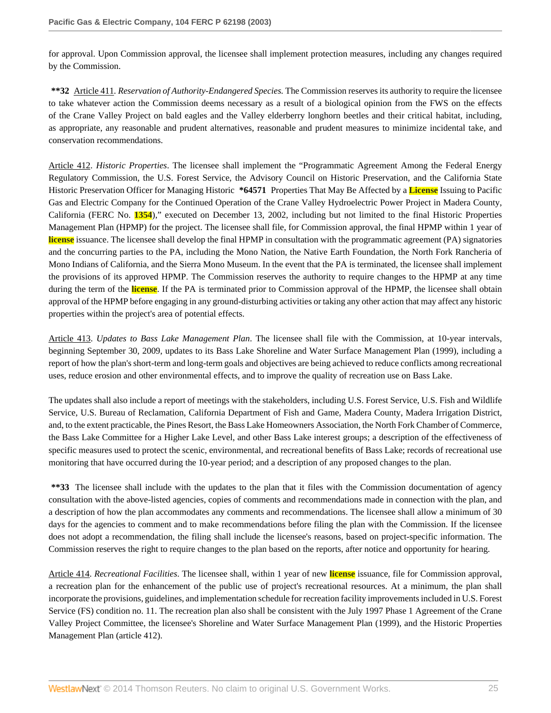for approval. Upon Commission approval, the licensee shall implement protection measures, including any changes required by the Commission.

**\*\*32** Article 411*. Reservation of Authority-Endangered Species.* The Commission reserves its authority to require the licensee to take whatever action the Commission deems necessary as a result of a biological opinion from the FWS on the effects of the Crane Valley Project on bald eagles and the Valley elderberry longhorn beetles and their critical habitat, including, as appropriate, any reasonable and prudent alternatives, reasonable and prudent measures to minimize incidental take, and conservation recommendations.

Article 412. *Historic Properties*. The licensee shall implement the "Programmatic Agreement Among the Federal Energy Regulatory Commission, the U.S. Forest Service, the Advisory Council on Historic Preservation, and the California State Historic Preservation Officer for Managing Historic **\*64571** Properties That May Be Affected by a **License** Issuing to Pacific Gas and Electric Company for the Continued Operation of the Crane Valley Hydroelectric Power Project in Madera County, California (FERC No. **1354**)," executed on December 13, 2002, including but not limited to the final Historic Properties Management Plan (HPMP) for the project. The licensee shall file, for Commission approval, the final HPMP within 1 year of **license** issuance. The licensee shall develop the final HPMP in consultation with the programmatic agreement (PA) signatories and the concurring parties to the PA, including the Mono Nation, the Native Earth Foundation, the North Fork Rancheria of Mono Indians of California, and the Sierra Mono Museum. In the event that the PA is terminated, the licensee shall implement the provisions of its approved HPMP. The Commission reserves the authority to require changes to the HPMP at any time during the term of the **license**. If the PA is terminated prior to Commission approval of the HPMP, the licensee shall obtain approval of the HPMP before engaging in any ground-disturbing activities or taking any other action that may affect any historic properties within the project's area of potential effects.

Article 413. *Updates to Bass Lake Management Plan*. The licensee shall file with the Commission, at 10-year intervals, beginning September 30, 2009, updates to its Bass Lake Shoreline and Water Surface Management Plan (1999), including a report of how the plan's short-term and long-term goals and objectives are being achieved to reduce conflicts among recreational uses, reduce erosion and other environmental effects, and to improve the quality of recreation use on Bass Lake.

The updates shall also include a report of meetings with the stakeholders, including U.S. Forest Service, U.S. Fish and Wildlife Service, U.S. Bureau of Reclamation, California Department of Fish and Game, Madera County, Madera Irrigation District, and, to the extent practicable, the Pines Resort, the Bass Lake Homeowners Association, the North Fork Chamber of Commerce, the Bass Lake Committee for a Higher Lake Level, and other Bass Lake interest groups; a description of the effectiveness of specific measures used to protect the scenic, environmental, and recreational benefits of Bass Lake; records of recreational use monitoring that have occurred during the 10-year period; and a description of any proposed changes to the plan.

**\*\*33** The licensee shall include with the updates to the plan that it files with the Commission documentation of agency consultation with the above-listed agencies, copies of comments and recommendations made in connection with the plan, and a description of how the plan accommodates any comments and recommendations. The licensee shall allow a minimum of 30 days for the agencies to comment and to make recommendations before filing the plan with the Commission. If the licensee does not adopt a recommendation, the filing shall include the licensee's reasons, based on project-specific information. The Commission reserves the right to require changes to the plan based on the reports, after notice and opportunity for hearing.

Article 414. *Recreational Facilities*. The licensee shall, within 1 year of new **license** issuance, file for Commission approval, a recreation plan for the enhancement of the public use of project's recreational resources. At a minimum, the plan shall incorporate the provisions, guidelines, and implementation schedule for recreation facility improvements included in U.S. Forest Service (FS) condition no. 11. The recreation plan also shall be consistent with the July 1997 Phase 1 Agreement of the Crane Valley Project Committee, the licensee's Shoreline and Water Surface Management Plan (1999), and the Historic Properties Management Plan (article 412).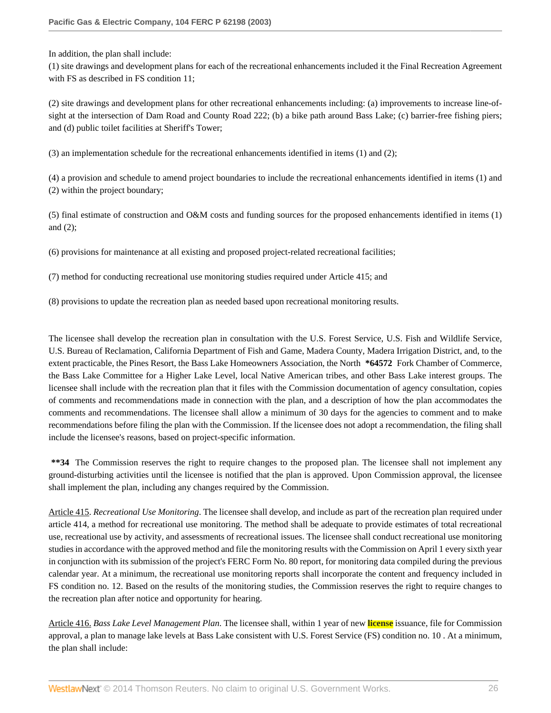In addition, the plan shall include:

(1) site drawings and development plans for each of the recreational enhancements included it the Final Recreation Agreement with FS as described in FS condition 11;

(2) site drawings and development plans for other recreational enhancements including: (a) improvements to increase line-ofsight at the intersection of Dam Road and County Road 222; (b) a bike path around Bass Lake; (c) barrier-free fishing piers; and (d) public toilet facilities at Sheriff's Tower;

(3) an implementation schedule for the recreational enhancements identified in items (1) and (2);

(4) a provision and schedule to amend project boundaries to include the recreational enhancements identified in items (1) and (2) within the project boundary;

(5) final estimate of construction and O&M costs and funding sources for the proposed enhancements identified in items (1) and (2);

(6) provisions for maintenance at all existing and proposed project-related recreational facilities;

(7) method for conducting recreational use monitoring studies required under Article 415; and

(8) provisions to update the recreation plan as needed based upon recreational monitoring results.

The licensee shall develop the recreation plan in consultation with the U.S. Forest Service, U.S. Fish and Wildlife Service, U.S. Bureau of Reclamation, California Department of Fish and Game, Madera County, Madera Irrigation District, and, to the extent practicable, the Pines Resort, the Bass Lake Homeowners Association, the North **\*64572** Fork Chamber of Commerce, the Bass Lake Committee for a Higher Lake Level, local Native American tribes, and other Bass Lake interest groups. The licensee shall include with the recreation plan that it files with the Commission documentation of agency consultation, copies of comments and recommendations made in connection with the plan, and a description of how the plan accommodates the comments and recommendations. The licensee shall allow a minimum of 30 days for the agencies to comment and to make recommendations before filing the plan with the Commission. If the licensee does not adopt a recommendation, the filing shall include the licensee's reasons, based on project-specific information.

**\*\*34** The Commission reserves the right to require changes to the proposed plan. The licensee shall not implement any ground-disturbing activities until the licensee is notified that the plan is approved. Upon Commission approval, the licensee shall implement the plan, including any changes required by the Commission.

Article 415. *Recreational Use Monitoring*. The licensee shall develop, and include as part of the recreation plan required under article 414, a method for recreational use monitoring. The method shall be adequate to provide estimates of total recreational use, recreational use by activity, and assessments of recreational issues. The licensee shall conduct recreational use monitoring studies in accordance with the approved method and file the monitoring results with the Commission on April 1 every sixth year in conjunction with its submission of the project's FERC Form No. 80 report, for monitoring data compiled during the previous calendar year. At a minimum, the recreational use monitoring reports shall incorporate the content and frequency included in FS condition no. 12. Based on the results of the monitoring studies, the Commission reserves the right to require changes to the recreation plan after notice and opportunity for hearing.

Article 416. *Bass Lake Level Management Plan*. The licensee shall, within 1 year of new **license** issuance, file for Commission approval, a plan to manage lake levels at Bass Lake consistent with U.S. Forest Service (FS) condition no. 10 . At a minimum, the plan shall include: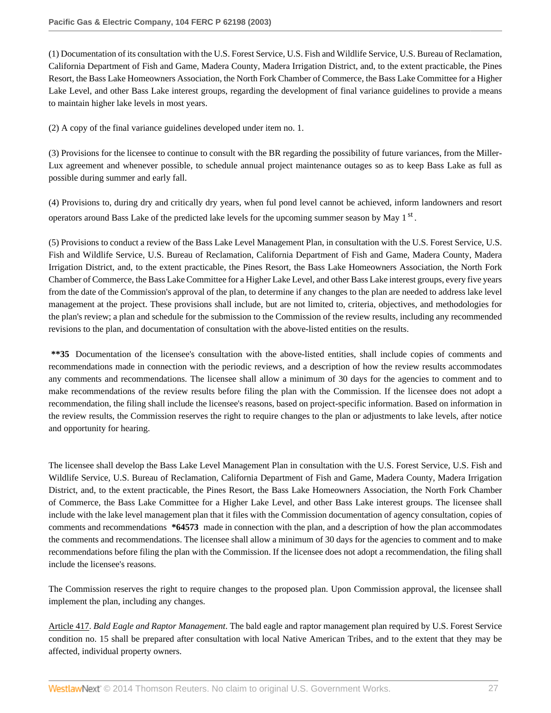(1) Documentation of its consultation with the U.S. Forest Service, U.S. Fish and Wildlife Service, U.S. Bureau of Reclamation, California Department of Fish and Game, Madera County, Madera Irrigation District, and, to the extent practicable, the Pines Resort, the Bass Lake Homeowners Association, the North Fork Chamber of Commerce, the Bass Lake Committee for a Higher Lake Level, and other Bass Lake interest groups, regarding the development of final variance guidelines to provide a means to maintain higher lake levels in most years.

(2) A copy of the final variance guidelines developed under item no. 1.

(3) Provisions for the licensee to continue to consult with the BR regarding the possibility of future variances, from the Miller-Lux agreement and whenever possible, to schedule annual project maintenance outages so as to keep Bass Lake as full as possible during summer and early fall.

(4) Provisions to, during dry and critically dry years, when ful pond level cannot be achieved, inform landowners and resort operators around Bass Lake of the predicted lake levels for the upcoming summer season by May 1<sup>st</sup>.

(5) Provisions to conduct a review of the Bass Lake Level Management Plan, in consultation with the U.S. Forest Service, U.S. Fish and Wildlife Service, U.S. Bureau of Reclamation, California Department of Fish and Game, Madera County, Madera Irrigation District, and, to the extent practicable, the Pines Resort, the Bass Lake Homeowners Association, the North Fork Chamber of Commerce, the Bass Lake Committee for a Higher Lake Level, and other Bass Lake interest groups, every five years from the date of the Commission's approval of the plan, to determine if any changes to the plan are needed to address lake level management at the project. These provisions shall include, but are not limited to, criteria, objectives, and methodologies for the plan's review; a plan and schedule for the submission to the Commission of the review results, including any recommended revisions to the plan, and documentation of consultation with the above-listed entities on the results.

**\*\*35** Documentation of the licensee's consultation with the above-listed entities, shall include copies of comments and recommendations made in connection with the periodic reviews, and a description of how the review results accommodates any comments and recommendations. The licensee shall allow a minimum of 30 days for the agencies to comment and to make recommendations of the review results before filing the plan with the Commission. If the licensee does not adopt a recommendation, the filing shall include the licensee's reasons, based on project-specific information. Based on information in the review results, the Commission reserves the right to require changes to the plan or adjustments to lake levels, after notice and opportunity for hearing.

The licensee shall develop the Bass Lake Level Management Plan in consultation with the U.S. Forest Service, U.S. Fish and Wildlife Service, U.S. Bureau of Reclamation, California Department of Fish and Game, Madera County, Madera Irrigation District, and, to the extent practicable, the Pines Resort, the Bass Lake Homeowners Association, the North Fork Chamber of Commerce, the Bass Lake Committee for a Higher Lake Level, and other Bass Lake interest groups. The licensee shall include with the lake level management plan that it files with the Commission documentation of agency consultation, copies of comments and recommendations **\*64573** made in connection with the plan, and a description of how the plan accommodates the comments and recommendations. The licensee shall allow a minimum of 30 days for the agencies to comment and to make recommendations before filing the plan with the Commission. If the licensee does not adopt a recommendation, the filing shall include the licensee's reasons.

The Commission reserves the right to require changes to the proposed plan. Upon Commission approval, the licensee shall implement the plan, including any changes.

Article 417. *Bald Eagle and Raptor Management*. The bald eagle and raptor management plan required by U.S. Forest Service condition no. 15 shall be prepared after consultation with local Native American Tribes, and to the extent that they may be affected, individual property owners.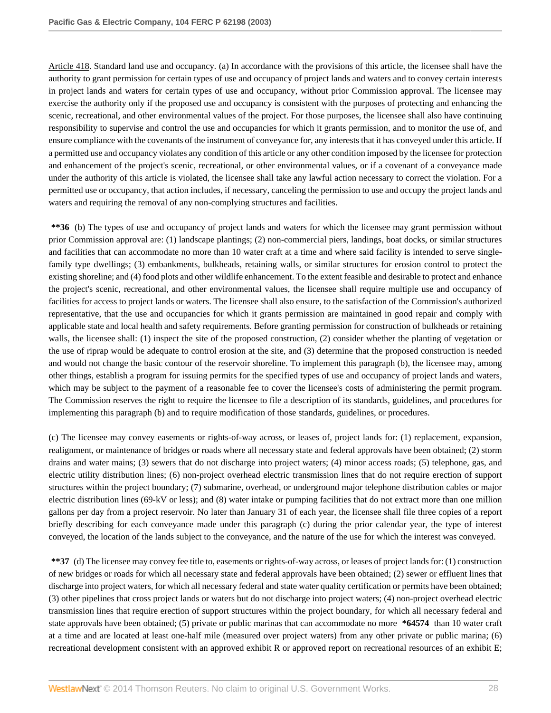Article 418. Standard land use and occupancy*.* (a) In accordance with the provisions of this article, the licensee shall have the authority to grant permission for certain types of use and occupancy of project lands and waters and to convey certain interests in project lands and waters for certain types of use and occupancy, without prior Commission approval. The licensee may exercise the authority only if the proposed use and occupancy is consistent with the purposes of protecting and enhancing the scenic, recreational, and other environmental values of the project. For those purposes, the licensee shall also have continuing responsibility to supervise and control the use and occupancies for which it grants permission, and to monitor the use of, and ensure compliance with the covenants of the instrument of conveyance for, any interests that it has conveyed under this article. If a permitted use and occupancy violates any condition of this article or any other condition imposed by the licensee for protection and enhancement of the project's scenic, recreational, or other environmental values, or if a covenant of a conveyance made under the authority of this article is violated, the licensee shall take any lawful action necessary to correct the violation. For a permitted use or occupancy, that action includes, if necessary, canceling the permission to use and occupy the project lands and waters and requiring the removal of any non-complying structures and facilities.

**\*\*36** (b) The types of use and occupancy of project lands and waters for which the licensee may grant permission without prior Commission approval are: (1) landscape plantings; (2) non-commercial piers, landings, boat docks, or similar structures and facilities that can accommodate no more than 10 water craft at a time and where said facility is intended to serve singlefamily type dwellings; (3) embankments, bulkheads, retaining walls, or similar structures for erosion control to protect the existing shoreline; and (4) food plots and other wildlife enhancement. To the extent feasible and desirable to protect and enhance the project's scenic, recreational, and other environmental values, the licensee shall require multiple use and occupancy of facilities for access to project lands or waters. The licensee shall also ensure, to the satisfaction of the Commission's authorized representative, that the use and occupancies for which it grants permission are maintained in good repair and comply with applicable state and local health and safety requirements. Before granting permission for construction of bulkheads or retaining walls, the licensee shall: (1) inspect the site of the proposed construction, (2) consider whether the planting of vegetation or the use of riprap would be adequate to control erosion at the site, and (3) determine that the proposed construction is needed and would not change the basic contour of the reservoir shoreline. To implement this paragraph (b), the licensee may, among other things, establish a program for issuing permits for the specified types of use and occupancy of project lands and waters, which may be subject to the payment of a reasonable fee to cover the licensee's costs of administering the permit program. The Commission reserves the right to require the licensee to file a description of its standards, guidelines, and procedures for implementing this paragraph (b) and to require modification of those standards, guidelines, or procedures.

(c) The licensee may convey easements or rights-of-way across, or leases of, project lands for: (1) replacement, expansion, realignment, or maintenance of bridges or roads where all necessary state and federal approvals have been obtained; (2) storm drains and water mains; (3) sewers that do not discharge into project waters; (4) minor access roads; (5) telephone, gas, and electric utility distribution lines; (6) non-project overhead electric transmission lines that do not require erection of support structures within the project boundary; (7) submarine, overhead, or underground major telephone distribution cables or major electric distribution lines (69-kV or less); and (8) water intake or pumping facilities that do not extract more than one million gallons per day from a project reservoir. No later than January 31 of each year, the licensee shall file three copies of a report briefly describing for each conveyance made under this paragraph (c) during the prior calendar year, the type of interest conveyed, the location of the lands subject to the conveyance, and the nature of the use for which the interest was conveyed.

**\*\*37** (d) The licensee may convey fee title to, easements or rights-of-way across, or leases of project lands for: (1) construction of new bridges or roads for which all necessary state and federal approvals have been obtained; (2) sewer or effluent lines that discharge into project waters, for which all necessary federal and state water quality certification or permits have been obtained; (3) other pipelines that cross project lands or waters but do not discharge into project waters; (4) non-project overhead electric transmission lines that require erection of support structures within the project boundary, for which all necessary federal and state approvals have been obtained; (5) private or public marinas that can accommodate no more **\*64574** than 10 water craft at a time and are located at least one-half mile (measured over project waters) from any other private or public marina; (6) recreational development consistent with an approved exhibit R or approved report on recreational resources of an exhibit E;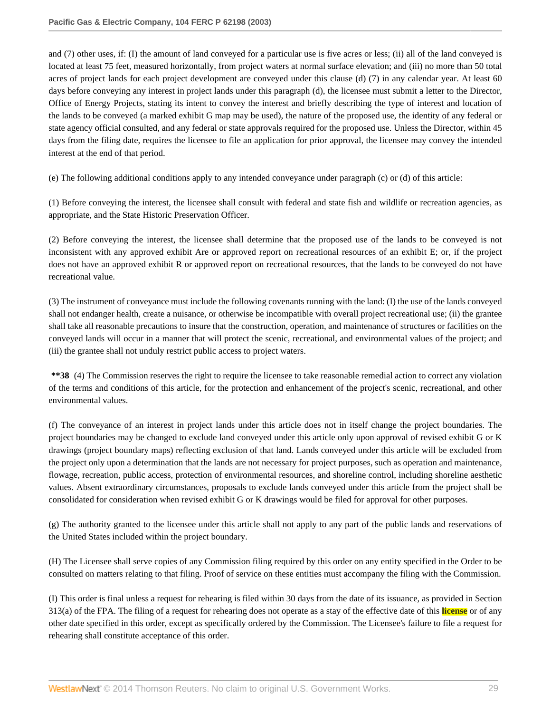and (7) other uses, if: (I) the amount of land conveyed for a particular use is five acres or less; (ii) all of the land conveyed is located at least 75 feet, measured horizontally, from project waters at normal surface elevation; and (iii) no more than 50 total acres of project lands for each project development are conveyed under this clause (d) (7) in any calendar year. At least 60 days before conveying any interest in project lands under this paragraph (d), the licensee must submit a letter to the Director, Office of Energy Projects, stating its intent to convey the interest and briefly describing the type of interest and location of the lands to be conveyed (a marked exhibit G map may be used), the nature of the proposed use, the identity of any federal or state agency official consulted, and any federal or state approvals required for the proposed use. Unless the Director, within 45 days from the filing date, requires the licensee to file an application for prior approval, the licensee may convey the intended interest at the end of that period.

(e) The following additional conditions apply to any intended conveyance under paragraph (c) or (d) of this article:

(1) Before conveying the interest, the licensee shall consult with federal and state fish and wildlife or recreation agencies, as appropriate, and the State Historic Preservation Officer.

(2) Before conveying the interest, the licensee shall determine that the proposed use of the lands to be conveyed is not inconsistent with any approved exhibit Are or approved report on recreational resources of an exhibit E; or, if the project does not have an approved exhibit R or approved report on recreational resources, that the lands to be conveyed do not have recreational value.

(3) The instrument of conveyance must include the following covenants running with the land: (I) the use of the lands conveyed shall not endanger health, create a nuisance, or otherwise be incompatible with overall project recreational use; (ii) the grantee shall take all reasonable precautions to insure that the construction, operation, and maintenance of structures or facilities on the conveyed lands will occur in a manner that will protect the scenic, recreational, and environmental values of the project; and (iii) the grantee shall not unduly restrict public access to project waters.

**\*\*38** (4) The Commission reserves the right to require the licensee to take reasonable remedial action to correct any violation of the terms and conditions of this article, for the protection and enhancement of the project's scenic, recreational, and other environmental values.

(f) The conveyance of an interest in project lands under this article does not in itself change the project boundaries. The project boundaries may be changed to exclude land conveyed under this article only upon approval of revised exhibit G or K drawings (project boundary maps) reflecting exclusion of that land. Lands conveyed under this article will be excluded from the project only upon a determination that the lands are not necessary for project purposes, such as operation and maintenance, flowage, recreation, public access, protection of environmental resources, and shoreline control, including shoreline aesthetic values. Absent extraordinary circumstances, proposals to exclude lands conveyed under this article from the project shall be consolidated for consideration when revised exhibit G or K drawings would be filed for approval for other purposes.

(g) The authority granted to the licensee under this article shall not apply to any part of the public lands and reservations of the United States included within the project boundary.

(H) The Licensee shall serve copies of any Commission filing required by this order on any entity specified in the Order to be consulted on matters relating to that filing. Proof of service on these entities must accompany the filing with the Commission.

(I) This order is final unless a request for rehearing is filed within 30 days from the date of its issuance, as provided in Section 313(a) of the FPA. The filing of a request for rehearing does not operate as a stay of the effective date of this **license** or of any other date specified in this order, except as specifically ordered by the Commission. The Licensee's failure to file a request for rehearing shall constitute acceptance of this order.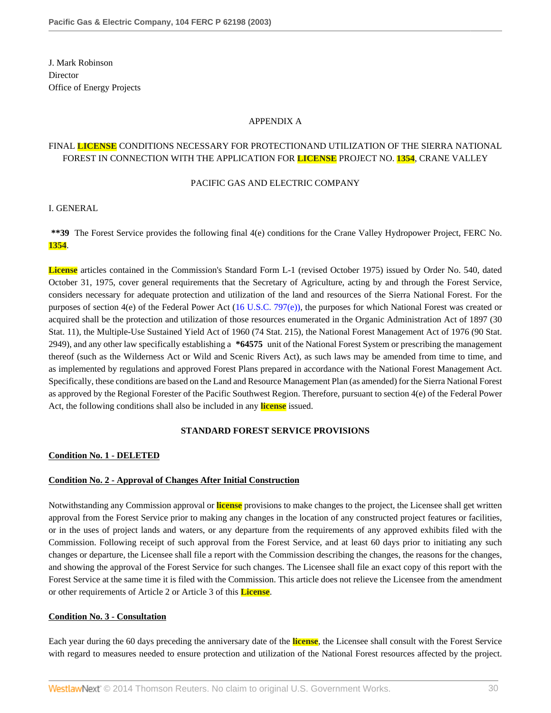J. Mark Robinson **Director** Office of Energy Projects

### APPENDIX A

# FINAL **LICENSE** CONDITIONS NECESSARY FOR PROTECTIONAND UTILIZATION OF THE SIERRA NATIONAL FOREST IN CONNECTION WITH THE APPLICATION FOR **LICENSE** PROJECT NO. **1354**, CRANE VALLEY

#### PACIFIC GAS AND ELECTRIC COMPANY

I. GENERAL

**\*\*39** The Forest Service provides the following final 4(e) conditions for the Crane Valley Hydropower Project, FERC No. **1354**.

**License** articles contained in the Commission's Standard Form L-1 (revised October 1975) issued by Order No. 540, dated October 31, 1975, cover general requirements that the Secretary of Agriculture, acting by and through the Forest Service, considers necessary for adequate protection and utilization of the land and resources of the Sierra National Forest. For the purposes of section 4(e) of the Federal Power Act ([16 U.S.C. 797\(e\)\),](http://www.westlaw.com/Link/Document/FullText?findType=L&pubNum=1000546&cite=16USCAS797&originatingDoc=Ie835b436391d11dbb0d3b726c66cf290&refType=LQ&originationContext=document&vr=3.0&rs=cblt1.0&transitionType=DocumentItem&contextData=(sc.Search)) the purposes for which National Forest was created or acquired shall be the protection and utilization of those resources enumerated in the Organic Administration Act of 1897 (30 Stat. 11), the Multiple-Use Sustained Yield Act of 1960 (74 Stat. 215), the National Forest Management Act of 1976 (90 Stat. 2949), and any other law specifically establishing a **\*64575** unit of the National Forest System or prescribing the management thereof (such as the Wilderness Act or Wild and Scenic Rivers Act), as such laws may be amended from time to time, and as implemented by regulations and approved Forest Plans prepared in accordance with the National Forest Management Act. Specifically, these conditions are based on the Land and Resource Management Plan (as amended) for the Sierra National Forest as approved by the Regional Forester of the Pacific Southwest Region. Therefore, pursuant to section 4(e) of the Federal Power Act, the following conditions shall also be included in any **license** issued.

# **STANDARD FOREST SERVICE PROVISIONS**

#### **Condition No. 1 - DELETED**

# **Condition No. 2 - Approval of Changes After Initial Construction**

Notwithstanding any Commission approval or **license** provisions to make changes to the project, the Licensee shall get written approval from the Forest Service prior to making any changes in the location of any constructed project features or facilities, or in the uses of project lands and waters, or any departure from the requirements of any approved exhibits filed with the Commission. Following receipt of such approval from the Forest Service, and at least 60 days prior to initiating any such changes or departure, the Licensee shall file a report with the Commission describing the changes, the reasons for the changes, and showing the approval of the Forest Service for such changes. The Licensee shall file an exact copy of this report with the Forest Service at the same time it is filed with the Commission. This article does not relieve the Licensee from the amendment or other requirements of Article 2 or Article 3 of this **License**.

#### **Condition No. 3 - Consultation**

Each year during the 60 days preceding the anniversary date of the **license**, the Licensee shall consult with the Forest Service with regard to measures needed to ensure protection and utilization of the National Forest resources affected by the project.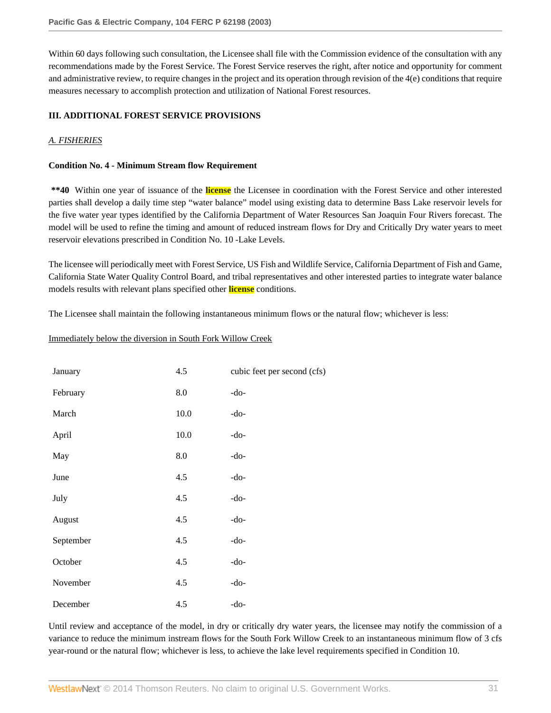Within 60 days following such consultation, the Licensee shall file with the Commission evidence of the consultation with any recommendations made by the Forest Service. The Forest Service reserves the right, after notice and opportunity for comment and administrative review, to require changes in the project and its operation through revision of the 4(e) conditions that require measures necessary to accomplish protection and utilization of National Forest resources.

# **III. ADDITIONAL FOREST SERVICE PROVISIONS**

# *A. FISHERIES*

### **Condition No. 4 - Minimum Stream flow Requirement**

**\*\*40** Within one year of issuance of the **license** the Licensee in coordination with the Forest Service and other interested parties shall develop a daily time step "water balance" model using existing data to determine Bass Lake reservoir levels for the five water year types identified by the California Department of Water Resources San Joaquin Four Rivers forecast. The model will be used to refine the timing and amount of reduced instream flows for Dry and Critically Dry water years to meet reservoir elevations prescribed in Condition No. 10 -Lake Levels.

The licensee will periodically meet with Forest Service, US Fish and Wildlife Service, California Department of Fish and Game, California State Water Quality Control Board, and tribal representatives and other interested parties to integrate water balance models results with relevant plans specified other **license** conditions.

The Licensee shall maintain the following instantaneous minimum flows or the natural flow; whichever is less:

### Immediately below the diversion in South Fork Willow Creek

| January   | 4.5      | cubic feet per second (cfs) |
|-----------|----------|-----------------------------|
| February  | 8.0      | $-do-$                      |
| March     | $10.0\,$ | $-do-$                      |
| April     | 10.0     | $-do-$                      |
| May       | 8.0      | $-do-$                      |
| June      | 4.5      | $-do-$                      |
| July      | 4.5      | $-do-$                      |
| August    | 4.5      | $-do-$                      |
| September | 4.5      | $-do-$                      |
| October   | 4.5      | $-do-$                      |
| November  | 4.5      | $-do-$                      |
| December  | 4.5      | $-do-$                      |

Until review and acceptance of the model, in dry or critically dry water years, the licensee may notify the commission of a variance to reduce the minimum instream flows for the South Fork Willow Creek to an instantaneous minimum flow of 3 cfs year-round or the natural flow; whichever is less, to achieve the lake level requirements specified in Condition 10.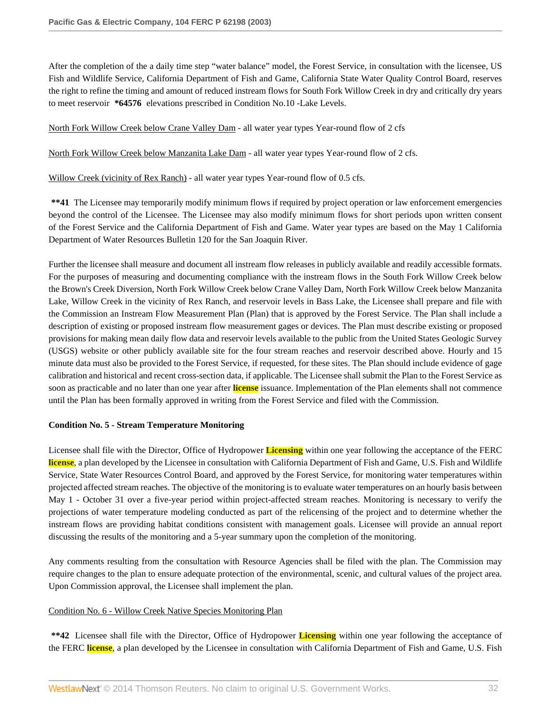After the completion of the a daily time step "water balance" model, the Forest Service, in consultation with the licensee, US Fish and Wildlife Service, California Department of Fish and Game, California State Water Quality Control Board, reserves the right to refine the timing and amount of reduced instream flows for South Fork Willow Creek in dry and critically dry years to meet reservoir **\*64576** elevations prescribed in Condition No.10 -Lake Levels.

North Fork Willow Creek below Crane Valley Dam - all water year types Year-round flow of 2 cfs

North Fork Willow Creek below Manzanita Lake Dam - all water year types Year-round flow of 2 cfs.

Willow Creek (vicinity of Rex Ranch) - all water year types Year-round flow of 0.5 cfs.

**\*\*41** The Licensee may temporarily modify minimum flows if required by project operation or law enforcement emergencies beyond the control of the Licensee. The Licensee may also modify minimum flows for short periods upon written consent of the Forest Service and the California Department of Fish and Game. Water year types are based on the May 1 California Department of Water Resources Bulletin 120 for the San Joaquin River.

Further the licensee shall measure and document all instream flow releases in publicly available and readily accessible formats. For the purposes of measuring and documenting compliance with the instream flows in the South Fork Willow Creek below the Brown's Creek Diversion, North Fork Willow Creek below Crane Valley Dam, North Fork Willow Creek below Manzanita Lake, Willow Creek in the vicinity of Rex Ranch, and reservoir levels in Bass Lake, the Licensee shall prepare and file with the Commission an Instream Flow Measurement Plan (Plan) that is approved by the Forest Service. The Plan shall include a description of existing or proposed instream flow measurement gages or devices. The Plan must describe existing or proposed provisions for making mean daily flow data and reservoir levels available to the public from the United States Geologic Survey (USGS) website or other publicly available site for the four stream reaches and reservoir described above. Hourly and 15 minute data must also be provided to the Forest Service, if requested, for these sites. The Plan should include evidence of gage calibration and historical and recent cross-section data, if applicable. The Licensee shall submit the Plan to the Forest Service as soon as practicable and no later than one year after **license** issuance. Implementation of the Plan elements shall not commence until the Plan has been formally approved in writing from the Forest Service and filed with the Commission.

#### **Condition No. 5 - Stream Temperature Monitoring**

Licensee shall file with the Director, Office of Hydropower **Licensing** within one year following the acceptance of the FERC **license**, a plan developed by the Licensee in consultation with California Department of Fish and Game, U.S. Fish and Wildlife Service, State Water Resources Control Board, and approved by the Forest Service, for monitoring water temperatures within projected affected stream reaches. The objective of the monitoring is to evaluate water temperatures on an hourly basis between May 1 - October 31 over a five-year period within project-affected stream reaches. Monitoring is necessary to verify the projections of water temperature modeling conducted as part of the relicensing of the project and to determine whether the instream flows are providing habitat conditions consistent with management goals. Licensee will provide an annual report discussing the results of the monitoring and a 5-year summary upon the completion of the monitoring.

Any comments resulting from the consultation with Resource Agencies shall be filed with the plan. The Commission may require changes to the plan to ensure adequate protection of the environmental, scenic, and cultural values of the project area. Upon Commission approval, the Licensee shall implement the plan.

# Condition No. 6 - Willow Creek Native Species Monitoring Plan

**\*\*42** Licensee shall file with the Director, Office of Hydropower **Licensing** within one year following the acceptance of the FERC **license**, a plan developed by the Licensee in consultation with California Department of Fish and Game, U.S. Fish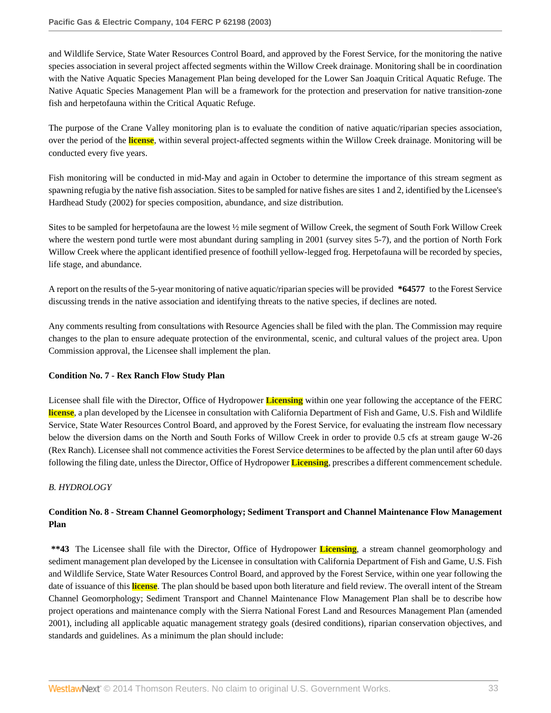and Wildlife Service, State Water Resources Control Board, and approved by the Forest Service, for the monitoring the native species association in several project affected segments within the Willow Creek drainage. Monitoring shall be in coordination with the Native Aquatic Species Management Plan being developed for the Lower San Joaquin Critical Aquatic Refuge. The Native Aquatic Species Management Plan will be a framework for the protection and preservation for native transition-zone fish and herpetofauna within the Critical Aquatic Refuge.

The purpose of the Crane Valley monitoring plan is to evaluate the condition of native aquatic/riparian species association, over the period of the **license**, within several project-affected segments within the Willow Creek drainage. Monitoring will be conducted every five years.

Fish monitoring will be conducted in mid-May and again in October to determine the importance of this stream segment as spawning refugia by the native fish association. Sites to be sampled for native fishes are sites 1 and 2, identified by the Licensee's Hardhead Study (2002) for species composition, abundance, and size distribution.

Sites to be sampled for herpetofauna are the lowest ½ mile segment of Willow Creek, the segment of South Fork Willow Creek where the western pond turtle were most abundant during sampling in 2001 (survey sites 5-7), and the portion of North Fork Willow Creek where the applicant identified presence of foothill yellow-legged frog. Herpetofauna will be recorded by species, life stage, and abundance.

A report on the results of the 5-year monitoring of native aquatic/riparian species will be provided **\*64577** to the Forest Service discussing trends in the native association and identifying threats to the native species, if declines are noted.

Any comments resulting from consultations with Resource Agencies shall be filed with the plan. The Commission may require changes to the plan to ensure adequate protection of the environmental, scenic, and cultural values of the project area. Upon Commission approval, the Licensee shall implement the plan.

# **Condition No. 7 - Rex Ranch Flow Study Plan**

Licensee shall file with the Director, Office of Hydropower **Licensing** within one year following the acceptance of the FERC **license**, a plan developed by the Licensee in consultation with California Department of Fish and Game, U.S. Fish and Wildlife Service, State Water Resources Control Board, and approved by the Forest Service, for evaluating the instream flow necessary below the diversion dams on the North and South Forks of Willow Creek in order to provide 0.5 cfs at stream gauge W-26 (Rex Ranch). Licensee shall not commence activities the Forest Service determines to be affected by the plan until after 60 days following the filing date, unless the Director, Office of Hydropower **Licensing**, prescribes a different commencement schedule.

# *B. HYDROLOGY*

# **Condition No. 8 - Stream Channel Geomorphology; Sediment Transport and Channel Maintenance Flow Management Plan**

**\*\*43** The Licensee shall file with the Director, Office of Hydropower **Licensing**, a stream channel geomorphology and sediment management plan developed by the Licensee in consultation with California Department of Fish and Game, U.S. Fish and Wildlife Service, State Water Resources Control Board, and approved by the Forest Service, within one year following the date of issuance of this **license**. The plan should be based upon both literature and field review. The overall intent of the Stream Channel Geomorphology; Sediment Transport and Channel Maintenance Flow Management Plan shall be to describe how project operations and maintenance comply with the Sierra National Forest Land and Resources Management Plan (amended 2001), including all applicable aquatic management strategy goals (desired conditions), riparian conservation objectives, and standards and guidelines. As a minimum the plan should include: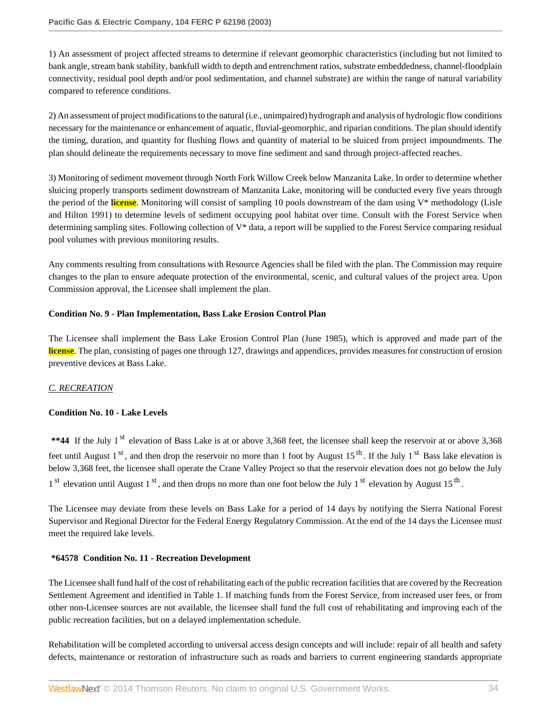1) An assessment of project affected streams to determine if relevant geomorphic characteristics (including but not limited to bank angle, stream bank stability, bankfull width to depth and entrenchment ratios, substrate embeddedness, channel-floodplain connectivity, residual pool depth and/or pool sedimentation, and channel substrate) are within the range of natural variability compared to reference conditions.

2) An assessment of project modifications to the natural (i.e., unimpaired) hydrograph and analysis of hydrologic flow conditions necessary for the maintenance or enhancement of aquatic, fluvial-geomorphic, and riparian conditions. The plan should identify the timing, duration, and quantity for flushing flows and quantity of material to be sluiced from project impoundments. The plan should delineate the requirements necessary to move fine sediment and sand through project-affected reaches.

3) Monitoring of sediment movement through North Fork Willow Creek below Manzanita Lake. In order to determine whether sluicing properly transports sediment downstream of Manzanita Lake, monitoring will be conducted every five years through the period of the **license**. Monitoring will consist of sampling 10 pools downstream of the dam using V\* methodology (Lisle and Hilton 1991) to determine levels of sediment occupying pool habitat over time. Consult with the Forest Service when determining sampling sites. Following collection of V\* data, a report will be supplied to the Forest Service comparing residual pool volumes with previous monitoring results.

Any comments resulting from consultations with Resource Agencies shall be filed with the plan. The Commission may require changes to the plan to ensure adequate protection of the environmental, scenic, and cultural values of the project area. Upon Commission approval, the Licensee shall implement the plan.

# **Condition No. 9 - Plan Implementation, Bass Lake Erosion Control Plan**

The Licensee shall implement the Bass Lake Erosion Control Plan (June 1985), which is approved and made part of the **license**. The plan, consisting of pages one through 127, drawings and appendices, provides measures for construction of erosion preventive devices at Bass Lake.

# *C. RECREATION*

# **Condition No. 10 - Lake Levels**

\*\*44 If the July 1<sup>st</sup> elevation of Bass Lake is at or above 3,368 feet, the licensee shall keep the reservoir at or above 3,368 feet until August 1<sup>st</sup>, and then drop the reservoir no more than 1 foot by August 15<sup>th</sup>. If the July 1<sup>st</sup> Bass lake elevation is below 3,368 feet, the licensee shall operate the Crane Valley Project so that the reservoir elevation does not go below the July  $1<sup>st</sup>$  elevation until August  $1<sup>st</sup>$ , and then drops no more than one foot below the July  $1<sup>st</sup>$  elevation by August  $15<sup>th</sup>$ .

The Licensee may deviate from these levels on Bass Lake for a period of 14 days by notifying the Sierra National Forest Supervisor and Regional Director for the Federal Energy Regulatory Commission. At the end of the 14 days the Licensee must meet the required lake levels.

# **\*64578 Condition No. 11 - Recreation Development**

The Licensee shall fund half of the cost of rehabilitating each of the public recreation facilities that are covered by the Recreation Settlement Agreement and identified in Table 1. If matching funds from the Forest Service, from increased user fees, or from other non-Licensee sources are not available, the licensee shall fund the full cost of rehabilitating and improving each of the public recreation facilities, but on a delayed implementation schedule.

Rehabilitation will be completed according to universal access design concepts and will include: repair of all health and safety defects, maintenance or restoration of infrastructure such as roads and barriers to current engineering standards appropriate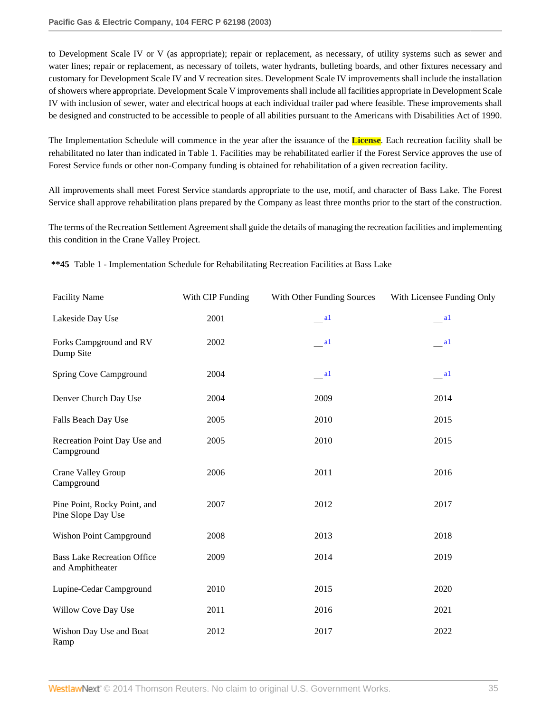to Development Scale IV or V (as appropriate); repair or replacement, as necessary, of utility systems such as sewer and water lines; repair or replacement, as necessary of toilets, water hydrants, bulleting boards, and other fixtures necessary and customary for Development Scale IV and V recreation sites. Development Scale IV improvements shall include the installation of showers where appropriate. Development Scale V improvements shall include all facilities appropriate in Development Scale IV with inclusion of sewer, water and electrical hoops at each individual trailer pad where feasible. These improvements shall be designed and constructed to be accessible to people of all abilities pursuant to the Americans with Disabilities Act of 1990.

The Implementation Schedule will commence in the year after the issuance of the **License**. Each recreation facility shall be rehabilitated no later than indicated in Table 1. Facilities may be rehabilitated earlier if the Forest Service approves the use of Forest Service funds or other non-Company funding is obtained for rehabilitation of a given recreation facility.

All improvements shall meet Forest Service standards appropriate to the use, motif, and character of Bass Lake. The Forest Service shall approve rehabilitation plans prepared by the Company as least three months prior to the start of the construction.

The terms of the Recreation Settlement Agreement shall guide the details of managing the recreation facilities and implementing this condition in the Crane Valley Project.

|  |  | **45 Table 1 - Implementation Schedule for Rehabilitating Recreation Facilities at Bass Lake |  |  |  |  |  |
|--|--|----------------------------------------------------------------------------------------------|--|--|--|--|--|
|--|--|----------------------------------------------------------------------------------------------|--|--|--|--|--|

<span id="page-34-0"></span>

| <b>Facility Name</b>                                   | With CIP Funding | With Other Funding Sources | With Licensee Funding Only |
|--------------------------------------------------------|------------------|----------------------------|----------------------------|
| Lakeside Day Use                                       | 2001             | $\qquad a1$                | $\frac{a1}{2}$             |
| Forks Campground and RV<br>Dump Site                   | 2002             | $\qquad$ al                | $-$ al                     |
| Spring Cove Campground                                 | 2004             | a                          | $\qquad a1$                |
| Denver Church Day Use                                  | 2004             | 2009                       | 2014                       |
| Falls Beach Day Use                                    | 2005             | 2010                       | 2015                       |
| Recreation Point Day Use and<br>Campground             | 2005             | 2010                       | 2015                       |
| Crane Valley Group<br>Campground                       | 2006             | 2011                       | 2016                       |
| Pine Point, Rocky Point, and<br>Pine Slope Day Use     | 2007             | 2012                       | 2017                       |
| Wishon Point Campground                                | 2008             | 2013                       | 2018                       |
| <b>Bass Lake Recreation Office</b><br>and Amphitheater | 2009             | 2014                       | 2019                       |
| Lupine-Cedar Campground                                | 2010             | 2015                       | 2020                       |
| Willow Cove Day Use                                    | 2011             | 2016                       | 2021                       |
| Wishon Day Use and Boat<br>Ramp                        | 2012             | 2017                       | 2022                       |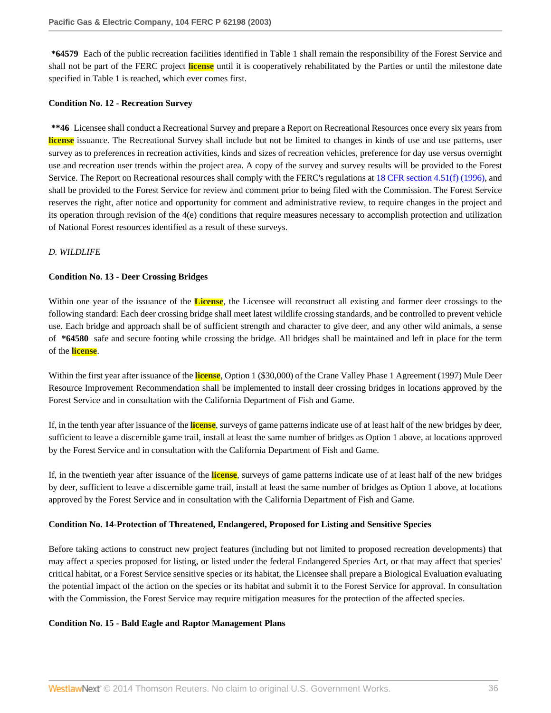**\*64579** Each of the public recreation facilities identified in Table 1 shall remain the responsibility of the Forest Service and shall not be part of the FERC project **license** until it is cooperatively rehabilitated by the Parties or until the milestone date specified in Table 1 is reached, which ever comes first.

#### **Condition No. 12 - Recreation Survey**

**\*\*46** Licensee shall conduct a Recreational Survey and prepare a Report on Recreational Resources once every six years from **license** issuance. The Recreational Survey shall include but not be limited to changes in kinds of use and use patterns, user survey as to preferences in recreation activities, kinds and sizes of recreation vehicles, preference for day use versus overnight use and recreation user trends within the project area. A copy of the survey and survey results will be provided to the Forest Service. The Report on Recreational resources shall comply with the FERC's regulations at [18 CFR section 4.51\(f\) \(1996\),](http://www.westlaw.com/Link/Document/FullText?findType=L&pubNum=1000547&cite=18CFRS4.51&originatingDoc=Ie835b436391d11dbb0d3b726c66cf290&refType=LQ&originationContext=document&vr=3.0&rs=cblt1.0&transitionType=DocumentItem&contextData=(sc.Search)) and shall be provided to the Forest Service for review and comment prior to being filed with the Commission. The Forest Service reserves the right, after notice and opportunity for comment and administrative review, to require changes in the project and its operation through revision of the 4(e) conditions that require measures necessary to accomplish protection and utilization of National Forest resources identified as a result of these surveys.

# *D. WILDLIFE*

### **Condition No. 13 - Deer Crossing Bridges**

Within one year of the issuance of the **License**, the Licensee will reconstruct all existing and former deer crossings to the following standard: Each deer crossing bridge shall meet latest wildlife crossing standards, and be controlled to prevent vehicle use. Each bridge and approach shall be of sufficient strength and character to give deer, and any other wild animals, a sense of **\*64580** safe and secure footing while crossing the bridge. All bridges shall be maintained and left in place for the term of the **license**.

Within the first year after issuance of the **license**, Option 1 (\$30,000) of the Crane Valley Phase 1 Agreement (1997) Mule Deer Resource Improvement Recommendation shall be implemented to install deer crossing bridges in locations approved by the Forest Service and in consultation with the California Department of Fish and Game.

If, in the tenth year after issuance of the **license**, surveys of game patterns indicate use of at least half of the new bridges by deer, sufficient to leave a discernible game trail, install at least the same number of bridges as Option 1 above, at locations approved by the Forest Service and in consultation with the California Department of Fish and Game.

If, in the twentieth year after issuance of the **license**, surveys of game patterns indicate use of at least half of the new bridges by deer, sufficient to leave a discernible game trail, install at least the same number of bridges as Option 1 above, at locations approved by the Forest Service and in consultation with the California Department of Fish and Game.

# **Condition No. 14-Protection of Threatened, Endangered, Proposed for Listing and Sensitive Species**

Before taking actions to construct new project features (including but not limited to proposed recreation developments) that may affect a species proposed for listing, or listed under the federal Endangered Species Act, or that may affect that species' critical habitat, or a Forest Service sensitive species or its habitat, the Licensee shall prepare a Biological Evaluation evaluating the potential impact of the action on the species or its habitat and submit it to the Forest Service for approval. In consultation with the Commission, the Forest Service may require mitigation measures for the protection of the affected species.

#### **Condition No. 15 - Bald Eagle and Raptor Management Plans**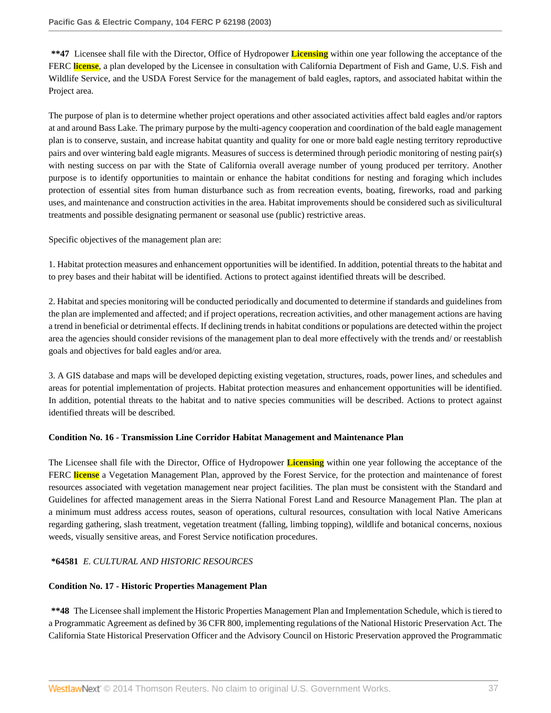**\*\*47** Licensee shall file with the Director, Office of Hydropower **Licensing** within one year following the acceptance of the FERC **license**, a plan developed by the Licensee in consultation with California Department of Fish and Game, U.S. Fish and Wildlife Service, and the USDA Forest Service for the management of bald eagles, raptors, and associated habitat within the Project area.

The purpose of plan is to determine whether project operations and other associated activities affect bald eagles and/or raptors at and around Bass Lake. The primary purpose by the multi-agency cooperation and coordination of the bald eagle management plan is to conserve, sustain, and increase habitat quantity and quality for one or more bald eagle nesting territory reproductive pairs and over wintering bald eagle migrants. Measures of success is determined through periodic monitoring of nesting pair(s) with nesting success on par with the State of California overall average number of young produced per territory. Another purpose is to identify opportunities to maintain or enhance the habitat conditions for nesting and foraging which includes protection of essential sites from human disturbance such as from recreation events, boating, fireworks, road and parking uses, and maintenance and construction activities in the area. Habitat improvements should be considered such as sivilicultural treatments and possible designating permanent or seasonal use (public) restrictive areas.

Specific objectives of the management plan are:

1. Habitat protection measures and enhancement opportunities will be identified. In addition, potential threats to the habitat and to prey bases and their habitat will be identified. Actions to protect against identified threats will be described.

2. Habitat and species monitoring will be conducted periodically and documented to determine if standards and guidelines from the plan are implemented and affected; and if project operations, recreation activities, and other management actions are having a trend in beneficial or detrimental effects. If declining trends in habitat conditions or populations are detected within the project area the agencies should consider revisions of the management plan to deal more effectively with the trends and/ or reestablish goals and objectives for bald eagles and/or area.

3. A GIS database and maps will be developed depicting existing vegetation, structures, roads, power lines, and schedules and areas for potential implementation of projects. Habitat protection measures and enhancement opportunities will be identified. In addition, potential threats to the habitat and to native species communities will be described. Actions to protect against identified threats will be described.

# **Condition No. 16 - Transmission Line Corridor Habitat Management and Maintenance Plan**

The Licensee shall file with the Director, Office of Hydropower **Licensing** within one year following the acceptance of the FERC **license** a Vegetation Management Plan, approved by the Forest Service, for the protection and maintenance of forest resources associated with vegetation management near project facilities. The plan must be consistent with the Standard and Guidelines for affected management areas in the Sierra National Forest Land and Resource Management Plan. The plan at a minimum must address access routes, season of operations, cultural resources, consultation with local Native Americans regarding gathering, slash treatment, vegetation treatment (falling, limbing topping), wildlife and botanical concerns, noxious weeds, visually sensitive areas, and Forest Service notification procedures.

# **\*64581** *E. CULTURAL AND HISTORIC RESOURCES*

#### **Condition No. 17 - Historic Properties Management Plan**

**\*\*48** The Licensee shall implement the Historic Properties Management Plan and Implementation Schedule, which is tiered to a Programmatic Agreement as defined by 36 CFR 800, implementing regulations of the National Historic Preservation Act. The California State Historical Preservation Officer and the Advisory Council on Historic Preservation approved the Programmatic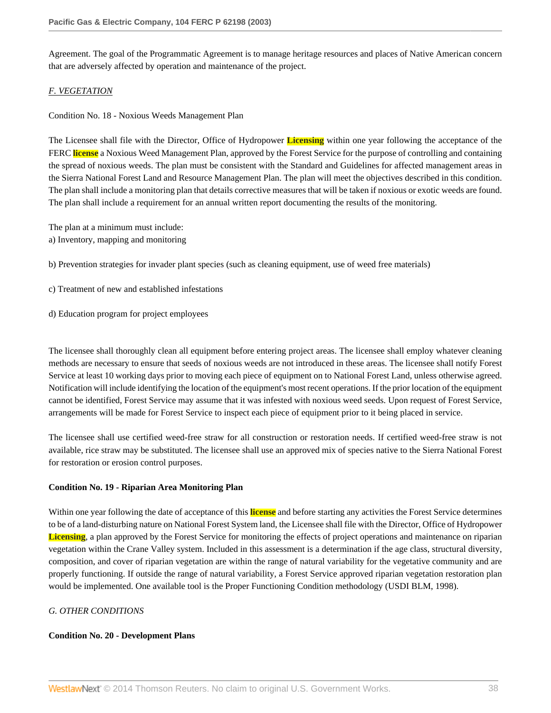Agreement. The goal of the Programmatic Agreement is to manage heritage resources and places of Native American concern that are adversely affected by operation and maintenance of the project.

# *F. VEGETATION*

Condition No. 18 - Noxious Weeds Management Plan

The Licensee shall file with the Director, Office of Hydropower **Licensing** within one year following the acceptance of the FERC **license** a Noxious Weed Management Plan, approved by the Forest Service for the purpose of controlling and containing the spread of noxious weeds. The plan must be consistent with the Standard and Guidelines for affected management areas in the Sierra National Forest Land and Resource Management Plan. The plan will meet the objectives described in this condition. The plan shall include a monitoring plan that details corrective measures that will be taken if noxious or exotic weeds are found. The plan shall include a requirement for an annual written report documenting the results of the monitoring.

The plan at a minimum must include:

a) Inventory, mapping and monitoring

b) Prevention strategies for invader plant species (such as cleaning equipment, use of weed free materials)

- c) Treatment of new and established infestations
- d) Education program for project employees

The licensee shall thoroughly clean all equipment before entering project areas. The licensee shall employ whatever cleaning methods are necessary to ensure that seeds of noxious weeds are not introduced in these areas. The licensee shall notify Forest Service at least 10 working days prior to moving each piece of equipment on to National Forest Land, unless otherwise agreed. Notification will include identifying the location of the equipment's most recent operations. If the prior location of the equipment cannot be identified, Forest Service may assume that it was infested with noxious weed seeds. Upon request of Forest Service, arrangements will be made for Forest Service to inspect each piece of equipment prior to it being placed in service.

The licensee shall use certified weed-free straw for all construction or restoration needs. If certified weed-free straw is not available, rice straw may be substituted. The licensee shall use an approved mix of species native to the Sierra National Forest for restoration or erosion control purposes.

# **Condition No. 19 - Riparian Area Monitoring Plan**

Within one year following the date of acceptance of this **license** and before starting any activities the Forest Service determines to be of a land-disturbing nature on National Forest System land, the Licensee shall file with the Director, Office of Hydropower **Licensing**, a plan approved by the Forest Service for monitoring the effects of project operations and maintenance on riparian vegetation within the Crane Valley system. Included in this assessment is a determination if the age class, structural diversity, composition, and cover of riparian vegetation are within the range of natural variability for the vegetative community and are properly functioning. If outside the range of natural variability, a Forest Service approved riparian vegetation restoration plan would be implemented. One available tool is the Proper Functioning Condition methodology (USDI BLM, 1998).

# *G. OTHER CONDITIONS*

#### **Condition No. 20 - Development Plans**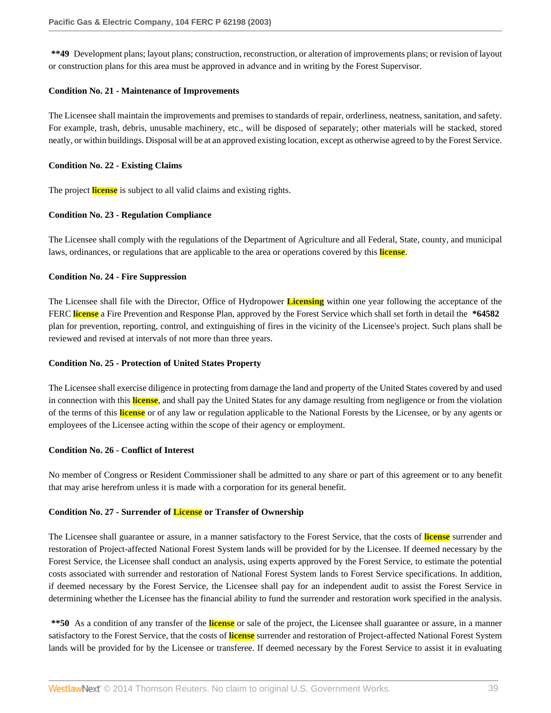**\*\*49** Development plans; layout plans; construction, reconstruction, or alteration of improvements plans; or revision of layout or construction plans for this area must be approved in advance and in writing by the Forest Supervisor.

#### **Condition No. 21 - Maintenance of Improvements**

The Licensee shall maintain the improvements and premises to standards of repair, orderliness, neatness, sanitation, and safety. For example, trash, debris, unusable machinery, etc., will be disposed of separately; other materials will be stacked, stored neatly, or within buildings. Disposal will be at an approved existing location, except as otherwise agreed to by the Forest Service.

### **Condition No. 22 - Existing Claims**

The project **license** is subject to all valid claims and existing rights.

### **Condition No. 23 - Regulation Compliance**

The Licensee shall comply with the regulations of the Department of Agriculture and all Federal, State, county, and municipal laws, ordinances, or regulations that are applicable to the area or operations covered by this **license**.

### **Condition No. 24 - Fire Suppression**

The Licensee shall file with the Director, Office of Hydropower **Licensing** within one year following the acceptance of the FERC **license** a Fire Prevention and Response Plan, approved by the Forest Service which shall set forth in detail the **\*64582** plan for prevention, reporting, control, and extinguishing of fires in the vicinity of the Licensee's project. Such plans shall be reviewed and revised at intervals of not more than three years.

# **Condition No. 25 - Protection of United States Property**

The Licensee shall exercise diligence in protecting from damage the land and property of the United States covered by and used in connection with this **license**, and shall pay the United States for any damage resulting from negligence or from the violation of the terms of this **license** or of any law or regulation applicable to the National Forests by the Licensee, or by any agents or employees of the Licensee acting within the scope of their agency or employment.

# **Condition No. 26 - Conflict of Interest**

No member of Congress or Resident Commissioner shall be admitted to any share or part of this agreement or to any benefit that may arise herefrom unless it is made with a corporation for its general benefit.

# **Condition No. 27 - Surrender of License or Transfer of Ownership**

The Licensee shall guarantee or assure, in a manner satisfactory to the Forest Service, that the costs of **license** surrender and restoration of Project-affected National Forest System lands will be provided for by the Licensee. If deemed necessary by the Forest Service, the Licensee shall conduct an analysis, using experts approved by the Forest Service, to estimate the potential costs associated with surrender and restoration of National Forest System lands to Forest Service specifications. In addition, if deemed necessary by the Forest Service, the Licensee shall pay for an independent audit to assist the Forest Service in determining whether the Licensee has the financial ability to fund the surrender and restoration work specified in the analysis.

**\*\*50** As a condition of any transfer of the **license** or sale of the project, the Licensee shall guarantee or assure, in a manner satisfactory to the Forest Service, that the costs of **license** surrender and restoration of Project-affected National Forest System lands will be provided for by the Licensee or transferee. If deemed necessary by the Forest Service to assist it in evaluating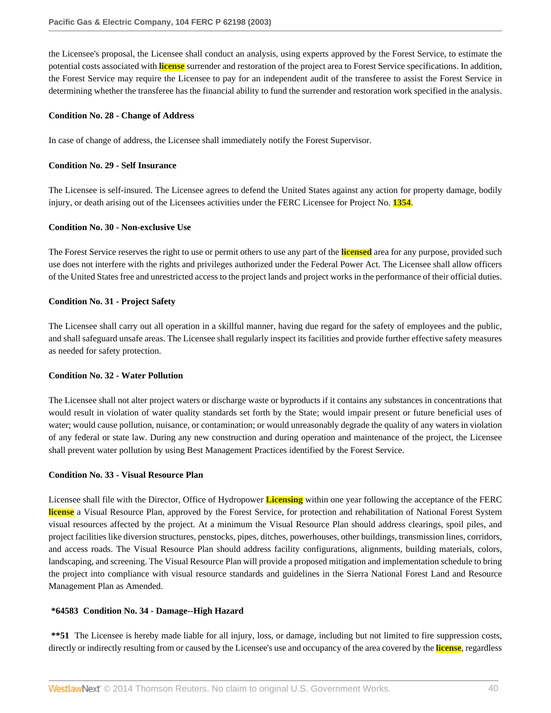the Licensee's proposal, the Licensee shall conduct an analysis, using experts approved by the Forest Service, to estimate the potential costs associated with **license** surrender and restoration of the project area to Forest Service specifications. In addition, the Forest Service may require the Licensee to pay for an independent audit of the transferee to assist the Forest Service in determining whether the transferee has the financial ability to fund the surrender and restoration work specified in the analysis.

#### **Condition No. 28 - Change of Address**

In case of change of address, the Licensee shall immediately notify the Forest Supervisor.

#### **Condition No. 29 - Self Insurance**

The Licensee is self-insured. The Licensee agrees to defend the United States against any action for property damage, bodily injury, or death arising out of the Licensees activities under the FERC Licensee for Project No. **1354**.

### **Condition No. 30 - Non-exclusive Use**

The Forest Service reserves the right to use or permit others to use any part of the **licensed** area for any purpose, provided such use does not interfere with the rights and privileges authorized under the Federal Power Act. The Licensee shall allow officers of the United States free and unrestricted access to the project lands and project works in the performance of their official duties.

### **Condition No. 31 - Project Safety**

The Licensee shall carry out all operation in a skillful manner, having due regard for the safety of employees and the public, and shall safeguard unsafe areas. The Licensee shall regularly inspect its facilities and provide further effective safety measures as needed for safety protection.

# **Condition No. 32 - Water Pollution**

The Licensee shall not alter project waters or discharge waste or byproducts if it contains any substances in concentrations that would result in violation of water quality standards set forth by the State; would impair present or future beneficial uses of water; would cause pollution, nuisance, or contamination; or would unreasonably degrade the quality of any waters in violation of any federal or state law. During any new construction and during operation and maintenance of the project, the Licensee shall prevent water pollution by using Best Management Practices identified by the Forest Service.

#### **Condition No. 33 - Visual Resource Plan**

Licensee shall file with the Director, Office of Hydropower **Licensing** within one year following the acceptance of the FERC **license** a Visual Resource Plan, approved by the Forest Service, for protection and rehabilitation of National Forest System visual resources affected by the project. At a minimum the Visual Resource Plan should address clearings, spoil piles, and project facilities like diversion structures, penstocks, pipes, ditches, powerhouses, other buildings, transmission lines, corridors, and access roads. The Visual Resource Plan should address facility configurations, alignments, building materials, colors, landscaping, and screening. The Visual Resource Plan will provide a proposed mitigation and implementation schedule to bring the project into compliance with visual resource standards and guidelines in the Sierra National Forest Land and Resource Management Plan as Amended.

#### **\*64583 Condition No. 34 - Damage--High Hazard**

**\*\*51** The Licensee is hereby made liable for all injury, loss, or damage, including but not limited to fire suppression costs, directly or indirectly resulting from or caused by the Licensee's use and occupancy of the area covered by the **license**, regardless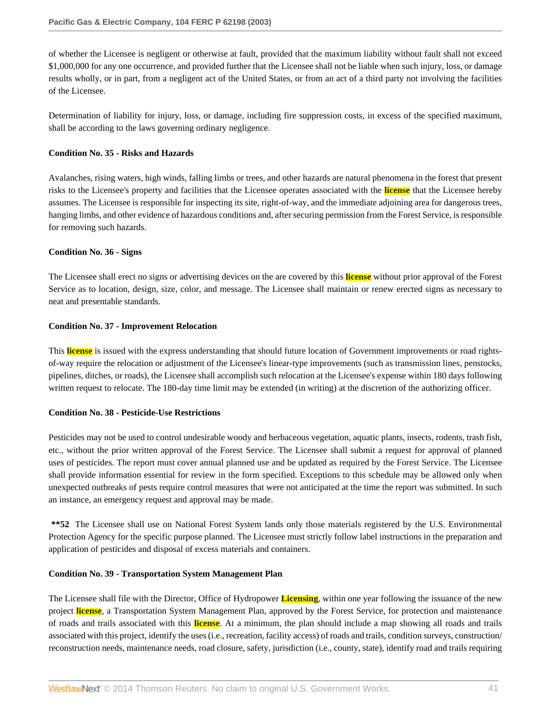of whether the Licensee is negligent or otherwise at fault, provided that the maximum liability without fault shall not exceed \$1,000,000 for any one occurrence, and provided further that the Licensee shall not be liable when such injury, loss, or damage results wholly, or in part, from a negligent act of the United States, or from an act of a third party not involving the facilities of the Licensee.

Determination of liability for injury, loss, or damage, including fire suppression costs, in excess of the specified maximum, shall be according to the laws governing ordinary negligence.

#### **Condition No. 35 - Risks and Hazards**

Avalanches, rising waters, high winds, falling limbs or trees, and other hazards are natural phenomena in the forest that present risks to the Licensee's property and facilities that the Licensee operates associated with the **license** that the Licensee hereby assumes. The Licensee is responsible for inspecting its site, right-of-way, and the immediate adjoining area for dangerous trees, hanging limbs, and other evidence of hazardous conditions and, after securing permission from the Forest Service, is responsible for removing such hazards.

### **Condition No. 36 - Signs**

The Licensee shall erect no signs or advertising devices on the are covered by this **license** without prior approval of the Forest Service as to location, design, size, color, and message. The Licensee shall maintain or renew erected signs as necessary to neat and presentable standards.

### **Condition No. 37 - Improvement Relocation**

This **license** is issued with the express understanding that should future location of Government improvements or road rightsof-way require the relocation or adjustment of the Licensee's linear-type improvements (such as transmission lines, penstocks, pipelines, ditches, or roads), the Licensee shall accomplish such relocation at the Licensee's expense within 180 days following written request to relocate. The 180-day time limit may be extended (in writing) at the discretion of the authorizing officer.

# **Condition No. 38 - Pesticide-Use Restrictions**

Pesticides may not be used to control undesirable woody and herbaceous vegetation, aquatic plants, insects, rodents, trash fish, etc., without the prior written approval of the Forest Service. The Licensee shall submit a request for approval of planned uses of pesticides. The report must cover annual planned use and be updated as required by the Forest Service. The Licensee shall provide information essential for review in the form specified. Exceptions to this schedule may be allowed only when unexpected outbreaks of pests require control measures that were not anticipated at the time the report was submitted. In such an instance, an emergency request and approval may be made.

**\*\*52** The Licensee shall use on National Forest System lands only those materials registered by the U.S. Environmental Protection Agency for the specific purpose planned. The Licensee must strictly follow label instructions in the preparation and application of pesticides and disposal of excess materials and containers.

#### **Condition No. 39 - Transportation System Management Plan**

The Licensee shall file with the Director, Office of Hydropower **Licensing**, within one year following the issuance of the new project **license**, a Transportation System Management Plan, approved by the Forest Service, for protection and maintenance of roads and trails associated with this **license**. At a minimum, the plan should include a map showing all roads and trails associated with this project, identify the uses (i.e., recreation, facility access) of roads and trails, condition surveys, construction/ reconstruction needs, maintenance needs, road closure, safety, jurisdiction (i.e., county, state), identify road and trails requiring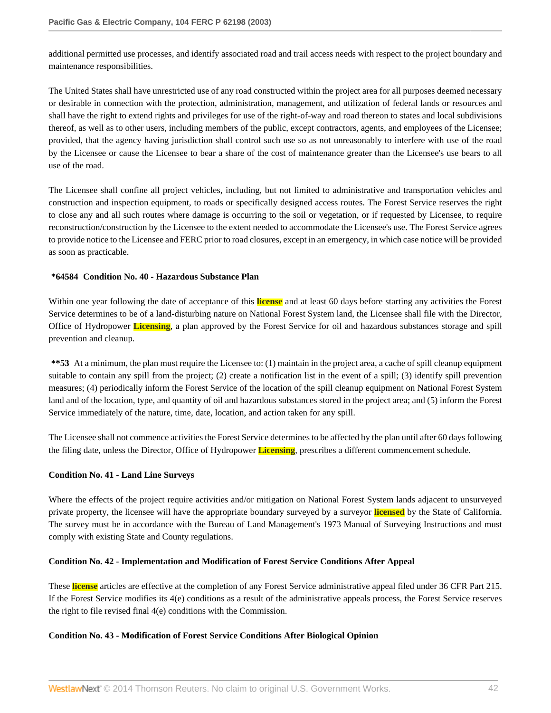additional permitted use processes, and identify associated road and trail access needs with respect to the project boundary and maintenance responsibilities.

The United States shall have unrestricted use of any road constructed within the project area for all purposes deemed necessary or desirable in connection with the protection, administration, management, and utilization of federal lands or resources and shall have the right to extend rights and privileges for use of the right-of-way and road thereon to states and local subdivisions thereof, as well as to other users, including members of the public, except contractors, agents, and employees of the Licensee; provided, that the agency having jurisdiction shall control such use so as not unreasonably to interfere with use of the road by the Licensee or cause the Licensee to bear a share of the cost of maintenance greater than the Licensee's use bears to all use of the road.

The Licensee shall confine all project vehicles, including, but not limited to administrative and transportation vehicles and construction and inspection equipment, to roads or specifically designed access routes. The Forest Service reserves the right to close any and all such routes where damage is occurring to the soil or vegetation, or if requested by Licensee, to require reconstruction/construction by the Licensee to the extent needed to accommodate the Licensee's use. The Forest Service agrees to provide notice to the Licensee and FERC prior to road closures, except in an emergency, in which case notice will be provided as soon as practicable.

### **\*64584 Condition No. 40 - Hazardous Substance Plan**

Within one year following the date of acceptance of this **license** and at least 60 days before starting any activities the Forest Service determines to be of a land-disturbing nature on National Forest System land, the Licensee shall file with the Director, Office of Hydropower **Licensing**, a plan approved by the Forest Service for oil and hazardous substances storage and spill prevention and cleanup.

**\*\*53** At a minimum, the plan must require the Licensee to: (1) maintain in the project area, a cache of spill cleanup equipment suitable to contain any spill from the project; (2) create a notification list in the event of a spill; (3) identify spill prevention measures; (4) periodically inform the Forest Service of the location of the spill cleanup equipment on National Forest System land and of the location, type, and quantity of oil and hazardous substances stored in the project area; and (5) inform the Forest Service immediately of the nature, time, date, location, and action taken for any spill.

The Licensee shall not commence activities the Forest Service determines to be affected by the plan until after 60 days following the filing date, unless the Director, Office of Hydropower **Licensing**, prescribes a different commencement schedule.

# **Condition No. 41 - Land Line Surveys**

Where the effects of the project require activities and/or mitigation on National Forest System lands adjacent to unsurveyed private property, the licensee will have the appropriate boundary surveyed by a surveyor **licensed** by the State of California. The survey must be in accordance with the Bureau of Land Management's 1973 Manual of Surveying Instructions and must comply with existing State and County regulations.

# **Condition No. 42 - Implementation and Modification of Forest Service Conditions After Appeal**

These **license** articles are effective at the completion of any Forest Service administrative appeal filed under 36 CFR Part 215. If the Forest Service modifies its 4(e) conditions as a result of the administrative appeals process, the Forest Service reserves the right to file revised final 4(e) conditions with the Commission.

# **Condition No. 43 - Modification of Forest Service Conditions After Biological Opinion**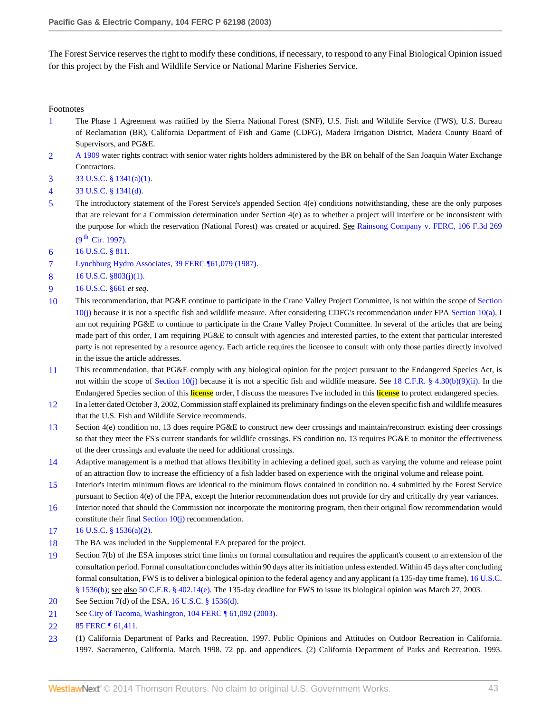The Forest Service reserves the right to modify these conditions, if necessary, to respond to any Final Biological Opinion issued for this project by the Fish and Wildlife Service or National Marine Fisheries Service.

Footnotes

- <span id="page-42-0"></span>[1](#page-0-0) The Phase 1 Agreement was ratified by the Sierra National Forest (SNF), U.S. Fish and Wildlife Service (FWS), U.S. Bureau of Reclamation (BR), California Department of Fish and Game (CDFG), Madera Irrigation District, Madera County Board of Supervisors, and PG&E.
- <span id="page-42-1"></span>[2](#page-2-0) [A 1909](http://www.westlaw.com/Link/Document/FullText?findType=Y&pubNum=5304&cite=CGOA1909&originationContext=document&vr=3.0&rs=cblt1.0&transitionType=DocumentItem&contextData=(sc.Search)) water rights contract with senior water rights holders administered by the BR on behalf of the San Joaquin Water Exchange Contractors.
- <span id="page-42-2"></span>[3](#page-2-1) [33 U.S.C. § 1341\(a\)\(1\).](http://www.westlaw.com/Link/Document/FullText?findType=L&pubNum=1000546&cite=33USCAS1341&originatingDoc=Ie835b436391d11dbb0d3b726c66cf290&refType=LQ&originationContext=document&vr=3.0&rs=cblt1.0&transitionType=DocumentItem&contextData=(sc.Search))
- <span id="page-42-3"></span>[4](#page-3-0) [33 U.S.C. § 1341\(d\).](http://www.westlaw.com/Link/Document/FullText?findType=L&pubNum=1000546&cite=33USCAS1341&originatingDoc=Ie835b436391d11dbb0d3b726c66cf290&refType=LQ&originationContext=document&vr=3.0&rs=cblt1.0&transitionType=DocumentItem&contextData=(sc.Search))
- <span id="page-42-4"></span>[5](#page-3-1) The introductory statement of the Forest Service's appended Section 4(e) conditions notwithstanding, these are the only purposes that are relevant for a Commission determination under Section 4(e) as to whether a project will interfere or be inconsistent with the purpose for which the reservation (National Forest) was created or acquired. Se[e Rainsong Company v. FERC, 106 F.3d 269](http://www.westlaw.com/Link/Document/FullText?findType=Y&serNum=1997047481&pubNum=506&originationContext=document&vr=3.0&rs=cblt1.0&transitionType=DocumentItem&contextData=(sc.Search))  $(9^{th}$  [Cir. 1997\).](http://www.westlaw.com/Link/Document/FullText?findType=Y&serNum=1997047481&pubNum=506&originationContext=document&vr=3.0&rs=cblt1.0&transitionType=DocumentItem&contextData=(sc.Search))
- <span id="page-42-5"></span>[6](#page-4-0) [16 U.S.C. § 811](http://www.westlaw.com/Link/Document/FullText?findType=L&pubNum=1000546&cite=16USCAS811&originatingDoc=Ie835b436391d11dbb0d3b726c66cf290&refType=LQ&originationContext=document&vr=3.0&rs=cblt1.0&transitionType=DocumentItem&contextData=(sc.Search)).
- <span id="page-42-6"></span>[7](#page-4-1) [Lynchburg Hydro Associates, 39 FERC ¶61,079 \(1987\)](http://www.westlaw.com/Link/Document/FullText?findType=Y&serNum=1987306613&pubNum=920&originationContext=document&vr=3.0&rs=cblt1.0&transitionType=DocumentItem&contextData=(sc.Search)).
- <span id="page-42-7"></span>[8](#page-4-2) [16 U.S.C. §803\(j\)\(1\).](http://www.westlaw.com/Link/Document/FullText?findType=L&pubNum=1000546&cite=16USCAS803&originatingDoc=Ie835b436391d11dbb0d3b726c66cf290&refType=LQ&originationContext=document&vr=3.0&rs=cblt1.0&transitionType=DocumentItem&contextData=(sc.Search))
- <span id="page-42-8"></span>[9](#page-4-3) [16 U.S.C. §661](http://www.westlaw.com/Link/Document/FullText?findType=L&pubNum=1000546&cite=16USCAS661&originatingDoc=Ie835b436391d11dbb0d3b726c66cf290&refType=LQ&originationContext=document&vr=3.0&rs=cblt1.0&transitionType=DocumentItem&contextData=(sc.Search)) *et seq*.
- <span id="page-42-9"></span>[10](#page-4-4) This recommendation, that PG&E continue to participate in the Crane Valley Project Committee, is not within the scope of [Section](http://www.westlaw.com/Link/Document/FullText?findType=L&pubNum=1000546&cite=16USCAS10&originatingDoc=Ie835b436391d11dbb0d3b726c66cf290&refType=LQ&originationContext=document&vr=3.0&rs=cblt1.0&transitionType=DocumentItem&contextData=(sc.Search)) [10\(j\)](http://www.westlaw.com/Link/Document/FullText?findType=L&pubNum=1000546&cite=16USCAS10&originatingDoc=Ie835b436391d11dbb0d3b726c66cf290&refType=LQ&originationContext=document&vr=3.0&rs=cblt1.0&transitionType=DocumentItem&contextData=(sc.Search)) because it is not a specific fish and wildlife measure. After considering CDFG's recommendation under FPA [Section 10\(a\)](http://www.westlaw.com/Link/Document/FullText?findType=L&pubNum=1000546&cite=16USCAS10&originatingDoc=Ie835b436391d11dbb0d3b726c66cf290&refType=LQ&originationContext=document&vr=3.0&rs=cblt1.0&transitionType=DocumentItem&contextData=(sc.Search)), I am not requiring PG&E to continue to participate in the Crane Valley Project Committee. In several of the articles that are being made part of this order, I am requiring PG&E to consult with agencies and interested parties, to the extent that particular interested party is not represented by a resource agency. Each article requires the licensee to consult with only those parties directly involved in the issue the article addresses.
- <span id="page-42-10"></span>[11](#page-4-5) This recommendation, that PG&E comply with any biological opinion for the project pursuant to the Endangered Species Act, is not within the scope of Section  $10(j)$  because it is not a specific fish and wildlife measure. See [18 C.F.R. § 4.30\(b\)\(9\)\(ii\)](http://www.westlaw.com/Link/Document/FullText?findType=L&pubNum=1000547&cite=18CFRS4.30&originatingDoc=Ie835b436391d11dbb0d3b726c66cf290&refType=LQ&originationContext=document&vr=3.0&rs=cblt1.0&transitionType=DocumentItem&contextData=(sc.Search)). In the Endangered Species section of this **license** order, I discuss the measures I've included in this **license** to protect endangered species.
- <span id="page-42-11"></span>[12](#page-5-0) In a letter dated October 3, 2002, Commission staff explained its preliminary findings on the eleven specific fish and wildlife measures that the U.S. Fish and Wildlife Service recommends.
- <span id="page-42-12"></span>[13](#page-6-0) Section 4(e) condition no. 13 does require PG&E to construct new deer crossings and maintain/reconstruct existing deer crossings so that they meet the FS's current standards for wildlife crossings. FS condition no. 13 requires PG&E to monitor the effectiveness of the deer crossings and evaluate the need for additional crossings.
- <span id="page-42-13"></span>[14](#page-6-1) Adaptive management is a method that allows flexibility in achieving a defined goal, such as varying the volume and release point of an attraction flow to increase the efficiency of a fish ladder based on experience with the original volume and release point.
- <span id="page-42-14"></span>[15](#page-7-0) Interior's interim minimum flows are identical to the minimum flows contained in condition no. 4 submitted by the Forest Service pursuant to Section 4(e) of the FPA, except the Interior recommendation does not provide for dry and critically dry year variances.
- <span id="page-42-15"></span>[16](#page-7-1) Interior noted that should the Commission not incorporate the monitoring program, then their original flow recommendation would constitute their final [Section 10\(j\)](http://www.westlaw.com/Link/Document/FullText?findType=L&pubNum=1000546&cite=16USCAS10&originatingDoc=Ie835b436391d11dbb0d3b726c66cf290&refType=LQ&originationContext=document&vr=3.0&rs=cblt1.0&transitionType=DocumentItem&contextData=(sc.Search)) recommendation.
- <span id="page-42-16"></span>[17](#page-7-2) [16 U.S.C. § 1536\(a\)\(2\).](http://www.westlaw.com/Link/Document/FullText?findType=L&pubNum=1000546&cite=16USCAS1536&originatingDoc=Ie835b436391d11dbb0d3b726c66cf290&refType=LQ&originationContext=document&vr=3.0&rs=cblt1.0&transitionType=DocumentItem&contextData=(sc.Search))
- <span id="page-42-17"></span>[18](#page-7-3) The BA was included in the Supplemental EA prepared for the project.
- <span id="page-42-18"></span>[19](#page-8-0) Section 7(b) of the ESA imposes strict time limits on formal consultation and requires the applicant's consent to an extension of the consultation period. Formal consultation concludes within 90 days after its initiation unless extended. Within 45 days after concluding formal consultation, FWS is to deliver a biological opinion to the federal agency and any applicant (a 135-day time frame). [16 U.S.C.](http://www.westlaw.com/Link/Document/FullText?findType=L&pubNum=1000546&cite=16USCAS1536&originatingDoc=Ie835b436391d11dbb0d3b726c66cf290&refType=LQ&originationContext=document&vr=3.0&rs=cblt1.0&transitionType=DocumentItem&contextData=(sc.Search)) [§ 1536\(b\)](http://www.westlaw.com/Link/Document/FullText?findType=L&pubNum=1000546&cite=16USCAS1536&originatingDoc=Ie835b436391d11dbb0d3b726c66cf290&refType=LQ&originationContext=document&vr=3.0&rs=cblt1.0&transitionType=DocumentItem&contextData=(sc.Search)); see also [50 C.F.R. § 402.14\(e\)](http://www.westlaw.com/Link/Document/FullText?findType=L&pubNum=1000547&cite=50CFRS402.14&originatingDoc=Ie835b436391d11dbb0d3b726c66cf290&refType=LQ&originationContext=document&vr=3.0&rs=cblt1.0&transitionType=DocumentItem&contextData=(sc.Search)). The 135-day deadline for FWS to issue its biological opinion was March 27, 2003.
- <span id="page-42-19"></span>[20](#page-8-1) See Section 7(d) of the ESA, [16 U.S.C. § 1536\(d\)](http://www.westlaw.com/Link/Document/FullText?findType=L&pubNum=1000546&cite=16USCAS1536&originatingDoc=Ie835b436391d11dbb0d3b726c66cf290&refType=LQ&originationContext=document&vr=3.0&rs=cblt1.0&transitionType=DocumentItem&contextData=(sc.Search)).
- <span id="page-42-20"></span>[21](#page-8-2) See [City of Tacoma, Washington, 104 FERC ¶ 61,092 \(2003\)](http://www.westlaw.com/Link/Document/FullText?findType=Y&serNum=2003506528&pubNum=920&originationContext=document&vr=3.0&rs=cblt1.0&transitionType=DocumentItem&contextData=(sc.Search)).
- <span id="page-42-21"></span>[22](#page-9-0) 85 FERC  $\P$  61,411.
- <span id="page-42-22"></span>[23](#page-10-0) (1) California Department of Parks and Recreation. 1997. Public Opinions and Attitudes on Outdoor Recreation in California. 1997. Sacramento, California. March 1998. 72 pp. and appendices. (2) California Department of Parks and Recreation. 1993.